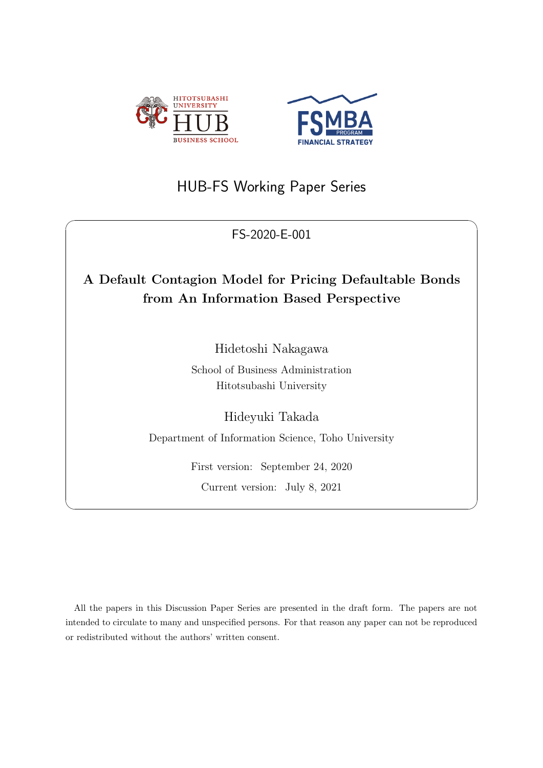



# HUB-FS Working Paper Series

## FS-2020-E-001

 $\sqrt{2\pi}$ 

# **A Default Contagion Model for Pricing Defaultable Bonds from An Information Based Perspective**

Hidetoshi Nakagawa

School of Business Administration Hitotsubashi University

Hideyuki Takada

Department of Information Science, Toho University

First version: September 24, 2020 Current version: July 8, 2021

 $\Box$ 

All the papers in this Discussion Paper Series are presented in the draft form. The papers are not intended to circulate to many and unspecified persons. For that reason any paper can not be reproduced or redistributed without the authors' written consent.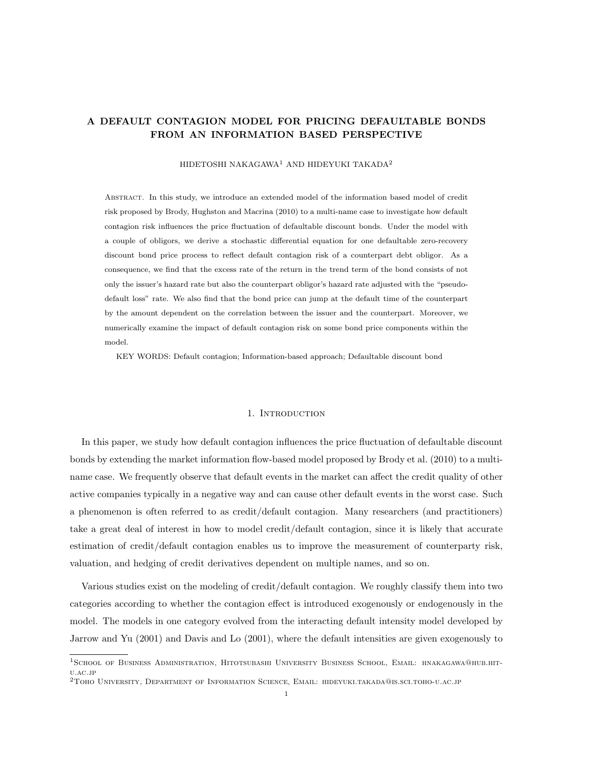### **A DEFAULT CONTAGION MODEL FOR PRICING DEFAULTABLE BONDS FROM AN INFORMATION BASED PERSPECTIVE**

HIDETOSHI NAKAGAWA<sup>1</sup> AND HIDEYUKI TAKADA<sup>2</sup>

Abstract. In this study, we introduce an extended model of the information based model of credit risk proposed by Brody, Hughston and Macrina (2010) to a multi-name case to investigate how default contagion risk influences the price fluctuation of defaultable discount bonds. Under the model with a couple of obligors, we derive a stochastic differential equation for one defaultable zero-recovery discount bond price process to reflect default contagion risk of a counterpart debt obligor. As a consequence, we find that the excess rate of the return in the trend term of the bond consists of not only the issuer's hazard rate but also the counterpart obligor's hazard rate adjusted with the "pseudodefault loss" rate. We also find that the bond price can jump at the default time of the counterpart by the amount dependent on the correlation between the issuer and the counterpart. Moreover, we numerically examine the impact of default contagion risk on some bond price components within the model.

KEY WORDS: Default contagion; Information-based approach; Defaultable discount bond

#### 1. INTRODUCTION

In this paper, we study how default contagion influences the price fluctuation of defaultable discount bonds by extending the market information flow-based model proposed by Brody et al. (2010) to a multiname case. We frequently observe that default events in the market can affect the credit quality of other active companies typically in a negative way and can cause other default events in the worst case. Such a phenomenon is often referred to as credit/default contagion. Many researchers (and practitioners) take a great deal of interest in how to model credit/default contagion, since it is likely that accurate estimation of credit/default contagion enables us to improve the measurement of counterparty risk, valuation, and hedging of credit derivatives dependent on multiple names, and so on.

Various studies exist on the modeling of credit/default contagion. We roughly classify them into two categories according to whether the contagion effect is introduced exogenously or endogenously in the model. The models in one category evolved from the interacting default intensity model developed by Jarrow and Yu (2001) and Davis and Lo (2001), where the default intensities are given exogenously to

<sup>1</sup>School of Business Administration, Hitotsubashi University Business School, Email: hnakagawa@hub.hitu.ac.jp

<sup>2</sup>Toho University, Department of Information Science, Email: hideyuki.takada@is.sci.toho-u.ac.jp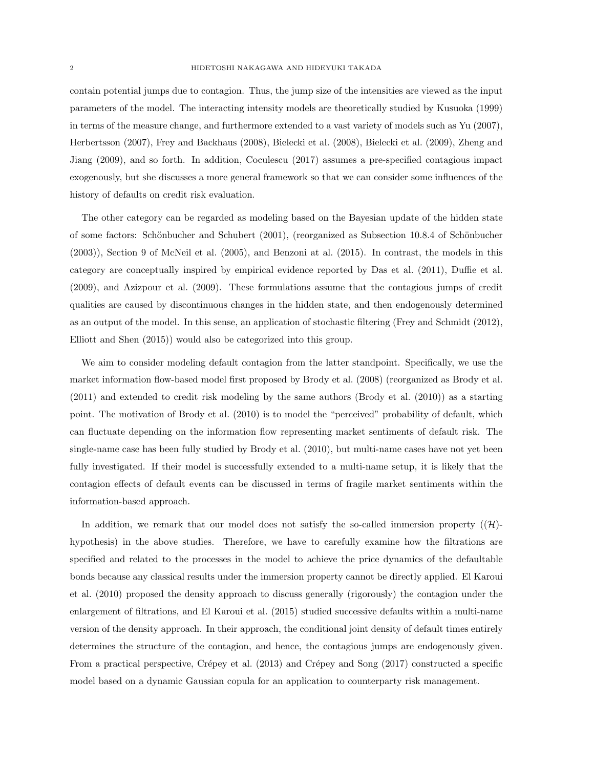contain potential jumps due to contagion. Thus, the jump size of the intensities are viewed as the input parameters of the model. The interacting intensity models are theoretically studied by Kusuoka (1999) in terms of the measure change, and furthermore extended to a vast variety of models such as Yu (2007), Herbertsson (2007), Frey and Backhaus (2008), Bielecki et al. (2008), Bielecki et al. (2009), Zheng and Jiang (2009), and so forth. In addition, Coculescu (2017) assumes a pre-specified contagious impact exogenously, but she discusses a more general framework so that we can consider some influences of the history of defaults on credit risk evaluation.

The other category can be regarded as modeling based on the Bayesian update of the hidden state of some factors: Schönbucher and Schubert (2001), (reorganized as Subsection 10.8.4 of Schönbucher (2003)), Section 9 of McNeil et al. (2005), and Benzoni at al. (2015). In contrast, the models in this category are conceptually inspired by empirical evidence reported by Das et al. (2011), Duffie et al. (2009), and Azizpour et al. (2009). These formulations assume that the contagious jumps of credit qualities are caused by discontinuous changes in the hidden state, and then endogenously determined as an output of the model. In this sense, an application of stochastic filtering (Frey and Schmidt (2012), Elliott and Shen (2015)) would also be categorized into this group.

We aim to consider modeling default contagion from the latter standpoint. Specifically, we use the market information flow-based model first proposed by Brody et al. (2008) (reorganized as Brody et al. (2011) and extended to credit risk modeling by the same authors (Brody et al. (2010)) as a starting point. The motivation of Brody et al. (2010) is to model the "perceived" probability of default, which can fluctuate depending on the information flow representing market sentiments of default risk. The single-name case has been fully studied by Brody et al. (2010), but multi-name cases have not yet been fully investigated. If their model is successfully extended to a multi-name setup, it is likely that the contagion effects of default events can be discussed in terms of fragile market sentiments within the information-based approach.

In addition, we remark that our model does not satisfy the so-called immersion property  $((\mathcal{H})$ hypothesis) in the above studies. Therefore, we have to carefully examine how the filtrations are specified and related to the processes in the model to achieve the price dynamics of the defaultable bonds because any classical results under the immersion property cannot be directly applied. El Karoui et al. (2010) proposed the density approach to discuss generally (rigorously) the contagion under the enlargement of filtrations, and El Karoui et al. (2015) studied successive defaults within a multi-name version of the density approach. In their approach, the conditional joint density of default times entirely determines the structure of the contagion, and hence, the contagious jumps are endogenously given. From a practical perspective, Crépey et al. (2013) and Crépey and Song (2017) constructed a specific model based on a dynamic Gaussian copula for an application to counterparty risk management.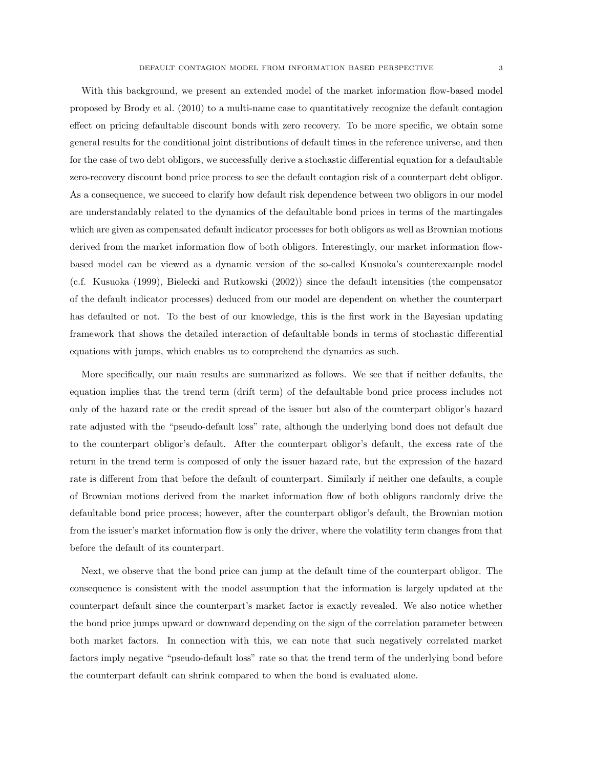With this background, we present an extended model of the market information flow-based model proposed by Brody et al. (2010) to a multi-name case to quantitatively recognize the default contagion effect on pricing defaultable discount bonds with zero recovery. To be more specific, we obtain some general results for the conditional joint distributions of default times in the reference universe, and then for the case of two debt obligors, we successfully derive a stochastic differential equation for a defaultable zero-recovery discount bond price process to see the default contagion risk of a counterpart debt obligor. As a consequence, we succeed to clarify how default risk dependence between two obligors in our model are understandably related to the dynamics of the defaultable bond prices in terms of the martingales which are given as compensated default indicator processes for both obligors as well as Brownian motions derived from the market information flow of both obligors. Interestingly, our market information flowbased model can be viewed as a dynamic version of the so-called Kusuoka's counterexample model (c.f. Kusuoka (1999), Bielecki and Rutkowski (2002)) since the default intensities (the compensator of the default indicator processes) deduced from our model are dependent on whether the counterpart has defaulted or not. To the best of our knowledge, this is the first work in the Bayesian updating framework that shows the detailed interaction of defaultable bonds in terms of stochastic differential equations with jumps, which enables us to comprehend the dynamics as such.

More specifically, our main results are summarized as follows. We see that if neither defaults, the equation implies that the trend term (drift term) of the defaultable bond price process includes not only of the hazard rate or the credit spread of the issuer but also of the counterpart obligor's hazard rate adjusted with the "pseudo-default loss" rate, although the underlying bond does not default due to the counterpart obligor's default. After the counterpart obligor's default, the excess rate of the return in the trend term is composed of only the issuer hazard rate, but the expression of the hazard rate is different from that before the default of counterpart. Similarly if neither one defaults, a couple of Brownian motions derived from the market information flow of both obligors randomly drive the defaultable bond price process; however, after the counterpart obligor's default, the Brownian motion from the issuer's market information flow is only the driver, where the volatility term changes from that before the default of its counterpart.

Next, we observe that the bond price can jump at the default time of the counterpart obligor. The consequence is consistent with the model assumption that the information is largely updated at the counterpart default since the counterpart's market factor is exactly revealed. We also notice whether the bond price jumps upward or downward depending on the sign of the correlation parameter between both market factors. In connection with this, we can note that such negatively correlated market factors imply negative "pseudo-default loss" rate so that the trend term of the underlying bond before the counterpart default can shrink compared to when the bond is evaluated alone.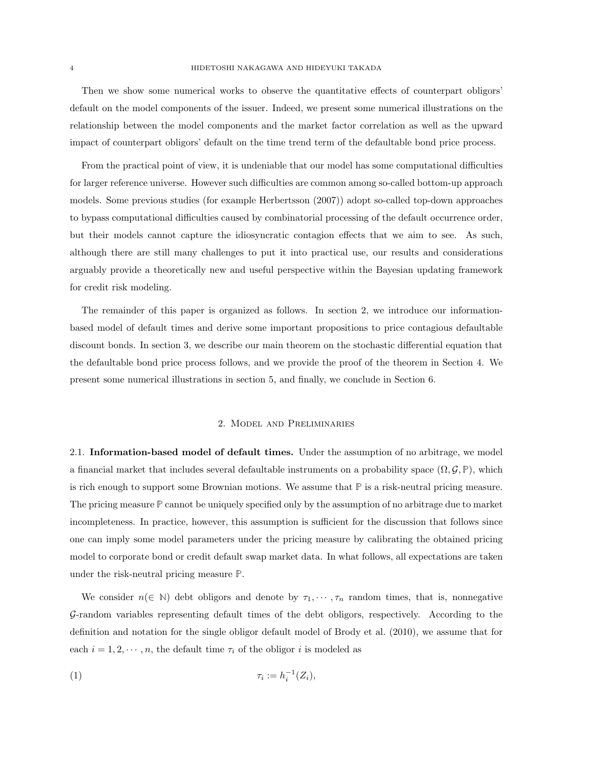Then we show some numerical works to observe the quantitative effects of counterpart obligors' default on the model components of the issuer. Indeed, we present some numerical illustrations on the relationship between the model components and the market factor correlation as well as the upward impact of counterpart obligors' default on the time trend term of the defaultable bond price process.

From the practical point of view, it is undeniable that our model has some computational difficulties for larger reference universe. However such difficulties are common among so-called bottom-up approach models. Some previous studies (for example Herbertsson (2007)) adopt so-called top-down approaches to bypass computational difficulties caused by combinatorial processing of the default occurrence order, but their models cannot capture the idiosyncratic contagion effects that we aim to see. As such, although there are still many challenges to put it into practical use, our results and considerations arguably provide a theoretically new and useful perspective within the Bayesian updating framework for credit risk modeling.

The remainder of this paper is organized as follows. In section 2, we introduce our informationbased model of default times and derive some important propositions to price contagious defaultable discount bonds. In section 3, we describe our main theorem on the stochastic differential equation that the defaultable bond price process follows, and we provide the proof of the theorem in Section 4. We present some numerical illustrations in section 5, and finally, we conclude in Section 6.

### 2. Model and Preliminaries

2.1. **Information-based model of default times.** Under the assumption of no arbitrage, we model a financial market that includes several defaultable instruments on a probability space  $(\Omega, \mathcal{G}, \mathbb{P})$ , which is rich enough to support some Brownian motions. We assume that **P** is a risk-neutral pricing measure. The pricing measure **P** cannot be uniquely specified only by the assumption of no arbitrage due to market incompleteness. In practice, however, this assumption is sufficient for the discussion that follows since one can imply some model parameters under the pricing measure by calibrating the obtained pricing model to corporate bond or credit default swap market data. In what follows, all expectations are taken under the risk-neutral pricing measure **P**.

We consider  $n(\in \mathbb{N})$  debt obligors and denote by  $\tau_1, \dots, \tau_n$  random times, that is, nonnegative *G*-random variables representing default times of the debt obligors, respectively. According to the definition and notation for the single obligor default model of Brody et al. (2010), we assume that for each  $i = 1, 2, \dots, n$ , the default time  $\tau_i$  of the obligor *i* is modeled as

$$
\tau_i := h_i^{-1}(Z_i),
$$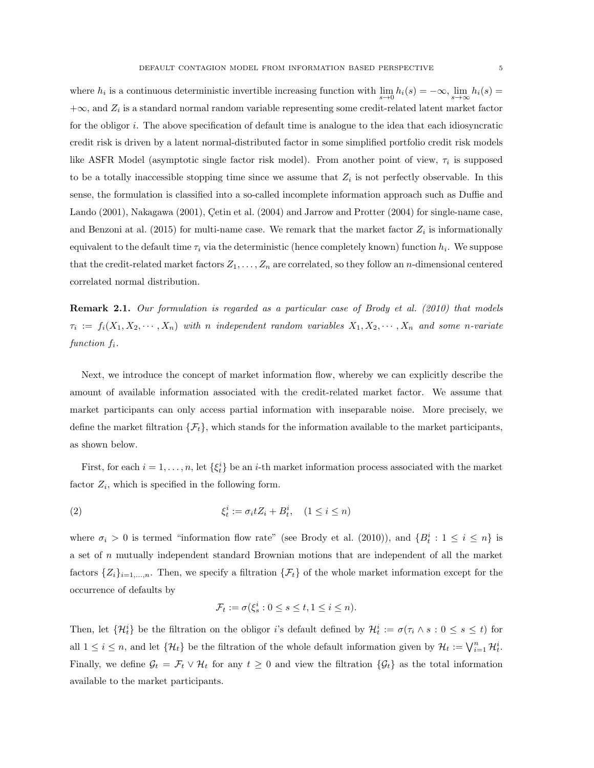where  $h_i$  is a continuous deterministic invertible increasing function with  $\lim_{s\to 0} h_i(s) = -\infty$ ,  $\lim_{s\to \infty} h_i(s) =$ +*∞*, and *Z<sup>i</sup>* is a standard normal random variable representing some credit-related latent market factor for the obligor *i*. The above specification of default time is analogue to the idea that each idiosyncratic credit risk is driven by a latent normal-distributed factor in some simplified portfolio credit risk models like ASFR Model (asymptotic single factor risk model). From another point of view, *τ<sup>i</sup>* is supposed to be a totally inaccessible stopping time since we assume that  $Z_i$  is not perfectly observable. In this sense, the formulation is classified into a so-called incomplete information approach such as Duffie and Lando  $(2001)$ , Nakagawa  $(2001)$ , Cetin et al.  $(2004)$  and Jarrow and Protter  $(2004)$  for single-name case, and Benzoni at al. (2015) for multi-name case. We remark that the market factor  $Z_i$  is informationally equivalent to the default time  $\tau_i$  via the deterministic (hence completely known) function  $h_i$ . We suppose that the credit-related market factors  $Z_1, \ldots, Z_n$  are correlated, so they follow an *n*-dimensional centered correlated normal distribution.

**Remark 2.1.** *Our formulation is regarded as a particular case of Brody et al. (2010) that models*  $\tau_i := f_i(X_1, X_2, \cdots, X_n)$  with n independent random variables  $X_1, X_2, \cdots, X_n$  and some n-variate *function fi.*

Next, we introduce the concept of market information flow, whereby we can explicitly describe the amount of available information associated with the credit-related market factor. We assume that market participants can only access partial information with inseparable noise. More precisely, we define the market filtration  $\{\mathcal{F}_t\}$ , which stands for the information available to the market participants, as shown below.

First, for each  $i = 1, \ldots, n$ , let  $\{\xi_i^i\}$  be an *i*-th market information process associated with the market factor  $Z_i$ , which is specified in the following form.

(2) 
$$
\xi_t^i := \sigma_i t Z_i + B_t^i, \quad (1 \le i \le n)
$$

where  $\sigma_i > 0$  is termed "information flow rate" (see Brody et al. (2010)), and  $\{B_t^i : 1 \leq i \leq n\}$  is a set of *n* mutually independent standard Brownian motions that are independent of all the market factors  $\{Z_i\}_{i=1,\dots,n}$ . Then, we specify a filtration  $\{\mathcal{F}_t\}$  of the whole market information except for the occurrence of defaults by

$$
\mathcal{F}_t := \sigma(\xi_s^i : 0 \le s \le t, 1 \le i \le n).
$$

Then, let  $\{\mathcal{H}_t^i\}$  be the filtration on the obligor *i*'s default defined by  $\mathcal{H}_t^i := \sigma(\tau_i \wedge s : 0 \leq s \leq t)$  for all  $1 \leq i \leq n$ , and let  $\{\mathcal{H}_t\}$  be the filtration of the whole default information given by  $\mathcal{H}_t := \bigvee_{i=1}^n \mathcal{H}_t^i$ . Finally, we define  $\mathcal{G}_t = \mathcal{F}_t \vee \mathcal{H}_t$  for any  $t \geq 0$  and view the filtration  $\{\mathcal{G}_t\}$  as the total information available to the market participants.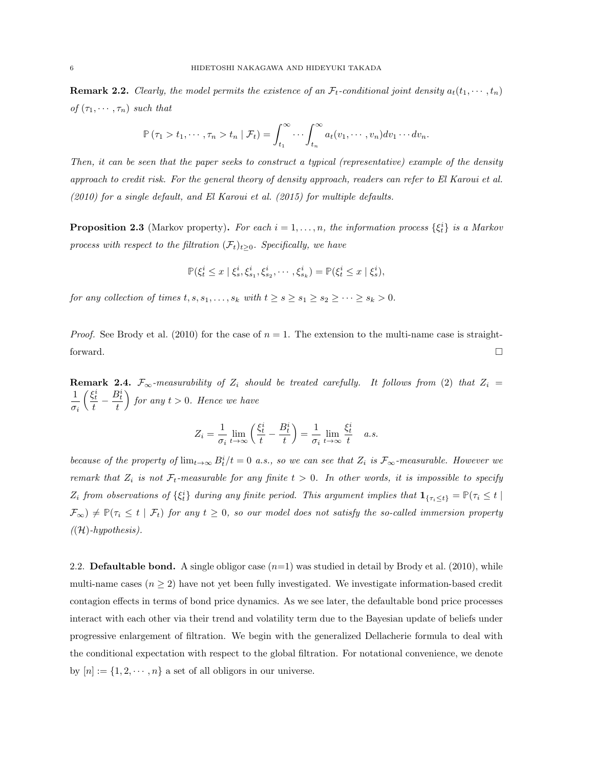**Remark 2.2.** *Clearly, the model permits the existence of an*  $\mathcal{F}_t$ -conditional joint density  $a_t(t_1, \dots, t_n)$ *of*  $(\tau_1, \dots, \tau_n)$  *such that* 

$$
\mathbb{P}(\tau_1 > t_1, \cdots, \tau_n > t_n | \mathcal{F}_t) = \int_{t_1}^{\infty} \cdots \int_{t_n}^{\infty} a_t(v_1, \cdots, v_n) dv_1 \cdots dv_n.
$$

*Then, it can be seen that the paper seeks to construct a typical (representative) example of the density approach to credit risk. For the general theory of density approach, readers can refer to El Karoui et al. (2010) for a single default, and El Karoui et al. (2015) for multiple defaults.*

**Proposition 2.3** (Markov property). For each  $i = 1, \ldots, n$ , the information process  $\{\xi_i^i\}$  is a Markov *process with respect to the filtration*  $(\mathcal{F}_t)_{t\geq 0}$ *. Specifically, we have* 

$$
\mathbb{P}(\xi_t^i \leq x \mid \xi_s^i, \xi_{s_1}^i, \xi_{s_2}^i, \cdots, \xi_{s_k}^i) = \mathbb{P}(\xi_t^i \leq x \mid \xi_s^i),
$$

*for any collection of times*  $t, s, s_1, \ldots, s_k$  *with*  $t \geq s \geq s_1 \geq s_2 \geq \cdots \geq s_k > 0$ .

*Proof.* See Brody et al. (2010) for the case of  $n = 1$ . The extension to the multi-name case is straightforward.  $\Box$ 

**Remark 2.4.**  $\mathcal{F}_{\infty}$ -measurability of  $Z_i$  should be treated carefully. It follows from (2) that  $Z_i =$ 1 *σi*  $\int \xi_t^i$  $\frac{t^{i}_{it}}{t} - \frac{B^{i}_{t}}{t}$ *t for any*  $t > 0$ *. Hence we have* 

$$
Z_i = \frac{1}{\sigma_i} \lim_{t \to \infty} \left( \frac{\xi_t^i}{t} - \frac{B_t^i}{t} \right) = \frac{1}{\sigma_i} \lim_{t \to \infty} \frac{\xi_t^i}{t} \quad a.s.
$$

*because of the property of*  $\lim_{t\to\infty} B_t^i/t = 0$  *a.s., so we can see that*  $Z_i$  *is*  $\mathcal{F}_{\infty}$ -measurable. However we *remark that*  $Z_i$  *is not*  $\mathcal{F}_t$ -measurable for any finite  $t > 0$ . In other words, it is impossible to specify  $Z_i$  from observations of  $\{\xi_t^i\}$  during any finite period. This argument implies that  $\mathbf{1}_{\{\tau_i \leq t\}} = \mathbb{P}(\tau_i \leq t \mid$  $\mathcal{F}_{\infty}$ )  $\neq \mathbb{P}(\tau_i \leq t \mid \mathcal{F}_t)$  for any  $t \geq 0$ , so our model does not satisfy the so-called immersion property *(*(*H*)*-hypothesis).*

2.2. **Defaultable bond.** A single obligor case  $(n=1)$  was studied in detail by Brody et al. (2010), while multi-name cases  $(n \geq 2)$  have not yet been fully investigated. We investigate information-based credit contagion effects in terms of bond price dynamics. As we see later, the defaultable bond price processes interact with each other via their trend and volatility term due to the Bayesian update of beliefs under progressive enlargement of filtration. We begin with the generalized Dellacherie formula to deal with the conditional expectation with respect to the global filtration. For notational convenience, we denote by  $[n] := \{1, 2, \dots, n\}$  a set of all obligors in our universe.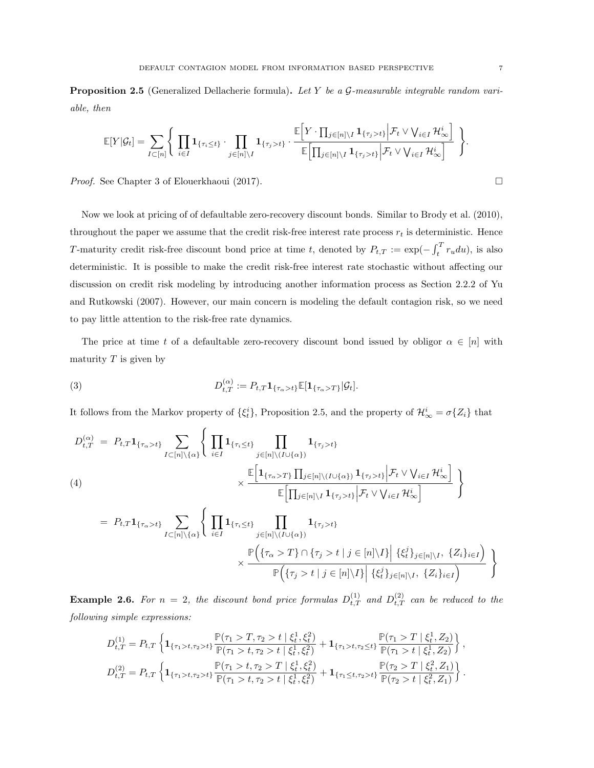**Proposition 2.5** (Generalized Dellacherie formula)**.** *Let Y be a G-measurable integrable random variable, then*

$$
\mathbb{E}[Y|\mathcal{G}_t] = \sum_{I \subset [n]} \Bigg\{ \prod_{i \in I} \mathbf{1}_{\{\tau_i \leq t\}} \cdot \prod_{j \in [n] \setminus I} \mathbf{1}_{\{\tau_j > t\}} \cdot \frac{\mathbb{E}\Big[Y \cdot \prod_{j \in [n] \setminus I} \mathbf{1}_{\{\tau_j > t\}} \Big| \mathcal{F}_t \vee \bigvee_{i \in I} \mathcal{H}_{\infty}^i\Big]}{\mathbb{E}\Big[\prod_{j \in [n] \setminus I} \mathbf{1}_{\{\tau_j > t\}} \Big| \mathcal{F}_t \vee \bigvee_{i \in I} \mathcal{H}_{\infty}^i\Big]} \Bigg\}.
$$

*Proof.* See Chapter 3 of Elouerkhaoui (2017). □

Now we look at pricing of of defaultable zero-recovery discount bonds. Similar to Brody et al. (2010), throughout the paper we assume that the credit risk-free interest rate process  $r<sub>t</sub>$  is deterministic. Hence *T*-maturity credit risk-free discount bond price at time *t*, denoted by  $P_{t,T} := \exp(-\int_t^T r_u du)$ , is also deterministic. It is possible to make the credit risk-free interest rate stochastic without affecting our discussion on credit risk modeling by introducing another information process as Section 2.2.2 of Yu and Rutkowski (2007). However, our main concern is modeling the default contagion risk, so we need to pay little attention to the risk-free rate dynamics.

The price at time *t* of a defaultable zero-recovery discount bond issued by obligor  $\alpha \in [n]$  with maturity *T* is given by

(3) 
$$
D_{t,T}^{(\alpha)} := P_{t,T} \mathbf{1}_{\{\tau_\alpha > t\}} \mathbb{E}[\mathbf{1}_{\{\tau_\alpha > T\}} | \mathcal{G}_t].
$$

It follows from the Markov property of  $\{\xi_t^i\}$ , Proposition 2.5, and the property of  $\mathcal{H}^i_{\infty} = \sigma\{Z_i\}$  that

$$
D_{t,T}^{(\alpha)} = P_{t,T} \mathbf{1}_{\{\tau_{\alpha} > t\}} \sum_{I \subset [n] \setminus \{\alpha\}} \left\{ \prod_{i \in I} \mathbf{1}_{\{\tau_i \le t\}} \prod_{j \in [n] \setminus (I \cup \{\alpha\})} \mathbf{1}_{\{\tau_j > t\}} \right\}
$$
\n
$$
(4)
$$
\n
$$
\times \frac{\mathbb{E} \Big[ \mathbf{1}_{\{\tau_{\alpha} > T\}} \prod_{j \in [n] \setminus (I \cup \{\alpha\})} \mathbf{1}_{\{\tau_j > t\}} \Big| \mathcal{F}_t \vee \bigvee_{i \in I} \mathcal{H}_{\infty}^i \Big]}{\mathbb{E} \Big[ \prod_{j \in [n] \setminus I} \mathbf{1}_{\{\tau_j > t\}} \Big| \mathcal{F}_t \vee \bigvee_{i \in I} \mathcal{H}_{\infty}^i \Big]} \right\}
$$
\n
$$
= P_{t,T} \mathbf{1}_{\{\tau_{\alpha} > t\}} \sum_{I \subset [n] \setminus \{\alpha\}} \left\{ \prod_{i \in I} \mathbf{1}_{\{\tau_i \le t\}} \prod_{j \in [n] \setminus (I \cup \{\alpha\})} \mathbf{1}_{\{\tau_j > t\}} \right\}
$$
\n
$$
\times \frac{\mathbb{P} \Big( \{\tau_{\alpha} > T\} \cap \{\tau_j > t \mid j \in [n] \setminus I\} \Big| \{\xi_t^j\}_{j \in [n] \setminus I}, \{Z_i\}_{i \in I} \Big)}{\mathbb{P} \Big( \{\tau_j > t \mid j \in [n] \setminus I \} \Big| \{\xi_t^j\}_{j \in [n] \setminus I}, \{Z_i\}_{i \in I} \Big)}
$$

**Example 2.6.** For  $n = 2$ , the discount bond price formulas  $D_{t,T}^{(1)}$  and  $D_{t,T}^{(2)}$  can be reduced to the *following simple expressions:*

$$
D_{t,T}^{(1)} = P_{t,T} \left\{ \mathbf{1}_{\{\tau_1 > t, \tau_2 > t\}} \frac{\mathbb{P}(\tau_1 > T, \tau_2 > t \mid \xi_t^1, \xi_t^2)}{\mathbb{P}(\tau_1 > t, \tau_2 > t \mid \xi_t^1, \xi_t^2)} + \mathbf{1}_{\{\tau_1 > t, \tau_2 \le t\}} \frac{\mathbb{P}(\tau_1 > T \mid \xi_t^1, Z_2)}{\mathbb{P}(\tau_1 > t \mid \xi_t^1, Z_2)} \right\},
$$
  

$$
D_{t,T}^{(2)} = P_{t,T} \left\{ \mathbf{1}_{\{\tau_1 > t, \tau_2 > t\}} \frac{\mathbb{P}(\tau_1 > t, \tau_2 > T \mid \xi_t^1, \xi_t^2)}{\mathbb{P}(\tau_1 > t, \tau_2 > t \mid \xi_t^1, \xi_t^2)} + \mathbf{1}_{\{\tau_1 \le t, \tau_2 > t\}} \frac{\mathbb{P}(\tau_2 > T \mid \xi_t^2, Z_1)}{\mathbb{P}(\tau_2 > t \mid \xi_t^2, Z_1)} \right\}.
$$

 $\lambda$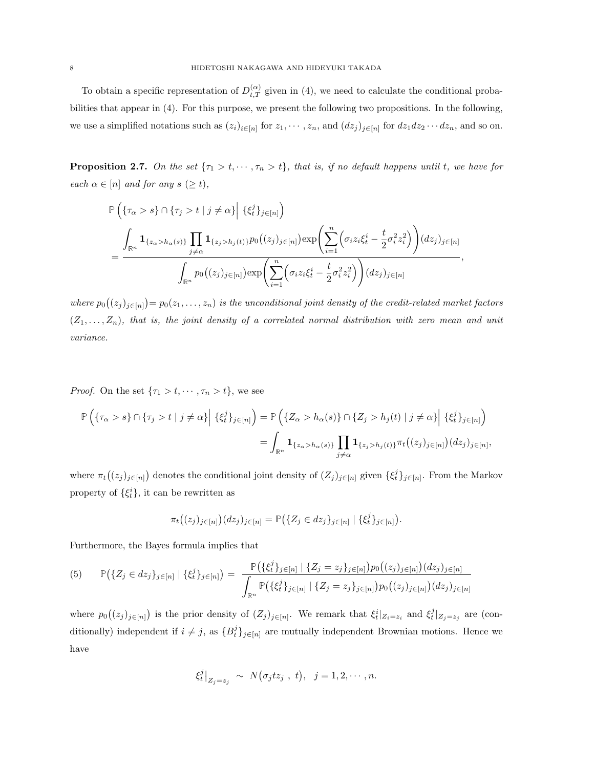To obtain a specific representation of  $D_{t,T}^{(\alpha)}$  given in (4), we need to calculate the conditional probabilities that appear in (4). For this purpose, we present the following two propositions. In the following, we use a simplified notations such as  $(z_i)_{i\in[n]}$  for  $z_1,\dots,z_n$ , and  $(dz_j)_{j\in[n]}$  for  $dz_1dz_2\dots dz_n$ , and so on.

**Proposition 2.7.** *On the set*  $\{\tau_1 > t, \dots, \tau_n > t\}$ *, that is, if no default happens until t, we have for each*  $\alpha \in [n]$  *and for any*  $s \geq t$ *)*,

$$
\mathbb{P}\left(\left\{\tau_{\alpha} > s\right\} \cap \left\{\tau_{j} > t \mid j \neq \alpha\right\} \Big| \left\{\xi_{t}^{j}\right\}_{j \in [n]}\right) \n= \frac{\int_{\mathbb{R}^{n}} \mathbf{1}_{\left\{z_{\alpha} > h_{\alpha}(s)\right\}} \prod_{j \neq \alpha} \mathbf{1}_{\left\{z_{j} > h_{j}(t)\right\}} p_{0}\left((z_{j})_{j \in [n]}\right) \exp\left(\sum_{i=1}^{n} \left(\sigma_{i} z_{i} \xi_{t}^{i} - \frac{t}{2} \sigma_{i}^{2} z_{i}^{2}\right)\right) (dz_{j})_{j \in [n]} }{\int_{\mathbb{R}^{n}} p_{0}\left((z_{j})_{j \in [n]}\right) \exp\left(\sum_{i=1}^{n} \left(\sigma_{i} z_{i} \xi_{t}^{i} - \frac{t}{2} \sigma_{i}^{2} z_{i}^{2}\right)\right) (dz_{j})_{j \in [n]}},
$$

where  $p_0((z_j)_{j\in[n]}) = p_0(z_1,\ldots,z_n)$  is the unconditional joint density of the credit-related market factors  $(Z_1, \ldots, Z_n)$ , that is, the joint density of a correlated normal distribution with zero mean and unit *variance.*

*Proof.* On the set  ${\tau_1 > t, \dots, \tau_n > t}$ , we see

$$
\mathbb{P}\left(\left\{\tau_{\alpha} > s\right\} \cap \left\{\tau_{j} > t \mid j \neq \alpha\right\} \middle| \{\xi_{t}^{j}\}_{j \in [n]}\right) = \mathbb{P}\left(\left\{Z_{\alpha} > h_{\alpha}(s)\right\} \cap \left\{Z_{j} > h_{j}(t) \mid j \neq \alpha\right\} \middle| \{\xi_{t}^{j}\}_{j \in [n]}\right)
$$
\n
$$
= \int_{\mathbb{R}^{n}} \mathbf{1}_{\left\{z_{\alpha} > h_{\alpha}(s)\right\}} \prod_{j \neq \alpha} \mathbf{1}_{\left\{z_{j} > h_{j}(t)\right\}} \pi_{t}\big((z_{j})_{j \in [n]}\big)(dz_{j})_{j \in [n]},
$$

where  $\pi_t((z_j)_{j\in[n]})$  denotes the conditional joint density of  $(Z_j)_{j\in[n]}$  given  $\{\xi_i^j\}_{j\in[n]}$ . From the Markov property of  $\{\xi_t^i\}$ , it can be rewritten as

$$
\pi_t((z_j)_{j\in[n]}) (dz_j)_{j\in[n]} = \mathbb{P}\big(\{Z_j \in dz_j\}_{j\in[n]} | \{\xi_i^j\}_{j\in[n]}\big).
$$

Furthermore, the Bayes formula implies that

$$
(5) \qquad \mathbb{P}(\lbrace Z_j \in dz_j \rbrace_{j \in [n]} \mid \lbrace \xi_i^j \rbrace_{j \in [n]} ) = \frac{\mathbb{P}(\lbrace \xi_i^j \rbrace_{j \in [n]} \mid \lbrace Z_j = z_j \rbrace_{j \in [n]} \rbrace p_0((z_j)_{j \in [n]}) (dz_j)_{j \in [n]} \vert}{\int_{\mathbb{R}^n} \mathbb{P}(\lbrace \xi_i^j \rbrace_{j \in [n]} \mid \lbrace Z_j = z_j \rbrace_{j \in [n]} \rbrace p_0((z_j)_{j \in [n]}) (dz_j)_{j \in [n]}}
$$

where  $p_0((z_j)_{j\in[n]})$  is the prior density of  $(Z_j)_{j\in[n]}$ . We remark that  $\xi_t^i|_{Z_i=z_i}$  and  $\xi_t^j|_{Z_j=z_j}$  are (conditionally) independent if  $i \neq j$ , as  ${B<sup>j</sup><sub>i</sub>}<sub>j \in [n]}</sub>$  are mutually independent Brownian motions. Hence we have

$$
\xi_t^j\big|_{Z_j=z_j} \sim N(\sigma_j t z_j , t), \ \ j=1,2,\cdots,n.
$$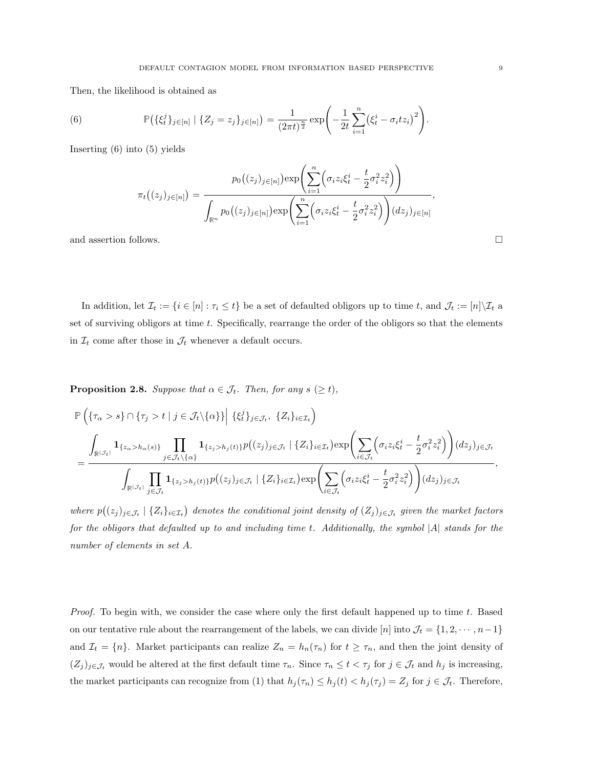Then, the likelihood is obtained as

(6) 
$$
\mathbb{P}\big(\{\xi_t^j\}_{j\in[n]}\mid \{Z_j=z_j\}_{j\in[n]}\big)=\frac{1}{(2\pi t)^{\frac{n}{2}}}\exp\bigg(-\frac{1}{2t}\sum_{i=1}^n(\xi_t^i-\sigma_i t z_i)^2\bigg).
$$

Inserting (6) into (5) yields

$$
\pi_t((z_j)_{j \in [n]}) = \frac{p_0((z_j)_{j \in [n]}) \exp\left(\sum_{i=1}^n \left(\sigma_i z_i \xi_i^i - \frac{t}{2} \sigma_i^2 z_i^2\right)\right)}{\int_{\mathbb{R}^n} p_0((z_j)_{j \in [n]}) \exp\left(\sum_{i=1}^n \left(\sigma_i z_i \xi_i^i - \frac{t}{2} \sigma_i^2 z_i^2\right)\right) (dz_j)_{j \in [n]}},
$$

and assertion follows.  $\hfill \square$ 

In addition, let  $\mathcal{I}_t := \{i \in [n] : \tau_i \le t\}$  be a set of defaulted obligors up to time  $t$ , and  $\mathcal{J}_t := [n] \setminus \mathcal{I}_t$  a set of surviving obligors at time *t*. Specifically, rearrange the order of the obligors so that the elements in  $\mathcal{I}_t$  come after those in  $\mathcal{J}_t$  whenever a default occurs.

**Proposition 2.8.** *Suppose that*  $\alpha \in \mathcal{J}_t$ *. Then, for any*  $s \geq t$ *),* 

$$
\mathbb{P}\left(\left\{\tau_{\alpha} > s\right\} \cap \left\{\tau_{j} > t \mid j \in \mathcal{J}_{t}\setminus\{\alpha\}\right\}\right| \left\{\xi_{t}^{j}\}_{j\in\mathcal{J}_{t}}, \left\{Z_{i}\right\}_{i\in\mathcal{I}_{t}}\right) \n= \frac{\int_{\mathbb{R}^{|\mathcal{J}_{t}|}} \mathbf{1}_{\{z_{\alpha} > h_{\alpha}(s)\}} \prod_{j\in\mathcal{J}_{t}\setminus\{\alpha\}} \mathbf{1}_{\{z_{j} > h_{j}(t)\}} p((z_{j})_{j\in\mathcal{J}_{t}} \mid \{Z_{i}\}_{i\in\mathcal{I}_{t}}) \exp\left(\sum_{i\in\mathcal{J}_{t}} \left(\sigma_{i} z_{i} \xi_{t}^{i} - \frac{t}{2} \sigma_{i}^{2} z_{i}^{2}\right)\right) (dz_{j})_{j\in\mathcal{J}_{t}}}{\int_{\mathbb{R}^{|\mathcal{J}_{t}|}} \prod_{j\in\mathcal{J}_{t}} \mathbf{1}_{\{z_{j} > h_{j}(t)\}} p((z_{j})_{j\in\mathcal{J}_{t}} \mid \{Z_{i}\}_{i\in\mathcal{I}_{t}}) \exp\left(\sum_{i\in\mathcal{J}_{t}} \left(\sigma_{i} z_{i} \xi_{t}^{i} - \frac{t}{2} \sigma_{i}^{2} z_{i}^{2}\right)\right) (dz_{j})_{j\in\mathcal{J}_{t}}},
$$

where  $p((z_j)_{j\in\mathcal{J}_t} | \{Z_i\}_{i\in\mathcal{I}_t})$  denotes the conditional joint density of  $(Z_j)_{j\in\mathcal{J}_t}$  given the market factors *for the obligors that defaulted up to and including time t. Additionally, the symbol |A| stands for the number of elements in set A.*

*Proof.* To begin with, we consider the case where only the first default happened up to time *t*. Based on our tentative rule about the rearrangement of the labels, we can divide  $[n]$  into  $\mathcal{J}_t = \{1, 2, \dots, n-1\}$ and  $\mathcal{I}_t = \{n\}$ . Market participants can realize  $Z_n = h_n(\tau_n)$  for  $t \geq \tau_n$ , and then the joint density of  $(Z_j)_{j \in \mathcal{J}_t}$  would be altered at the first default time  $\tau_n$ . Since  $\tau_n \leq t < \tau_j$  for  $j \in \mathcal{J}_t$  and  $h_j$  is increasing, the market participants can recognize from (1) that  $h_j(\tau_n) \leq h_j(t) < h_j(\tau_j) = Z_j$  for  $j \in \mathcal{J}_t$ . Therefore,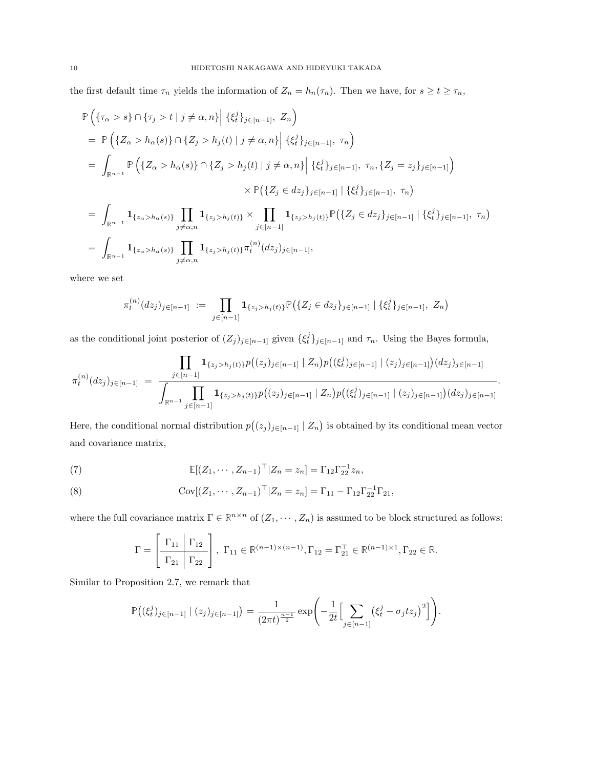the first default time  $\tau_n$  yields the information of  $Z_n = h_n(\tau_n)$ . Then we have, for  $s \ge t \ge \tau_n$ ,

$$
\mathbb{P}\left(\{\tau_{\alpha} > s\} \cap \{\tau_{j} > t \mid j \neq \alpha, n\} \Big| \{\xi_{t}^{j}\}_{j \in [n-1]}, Z_{n}\right)
$$
\n
$$
= \mathbb{P}\left(\{Z_{\alpha} > h_{\alpha}(s)\} \cap \{Z_{j} > h_{j}(t) \mid j \neq \alpha, n\} \Big| \{\xi_{t}^{j}\}_{j \in [n-1]}, \tau_{n}\right)
$$
\n
$$
= \int_{\mathbb{R}^{n-1}} \mathbb{P}\left(\{Z_{\alpha} > h_{\alpha}(s)\} \cap \{Z_{j} > h_{j}(t) \mid j \neq \alpha, n\} \Big| \{\xi_{t}^{j}\}_{j \in [n-1]}, \tau_{n}, \{Z_{j} = z_{j}\}_{j \in [n-1]}\right)
$$
\n
$$
\times \mathbb{P}(\{Z_{j} \in dz_{j}\}_{j \in [n-1]} \Big| \{\xi_{t}^{j}\}_{j \in [n-1]}, \tau_{n})
$$
\n
$$
= \int_{\mathbb{R}^{n-1}} \mathbf{1}_{\{z_{\alpha} > h_{\alpha}(s)\}} \prod_{j \neq \alpha, n} \mathbf{1}_{\{z_{j} > h_{j}(t)\}} \times \prod_{j \in [n-1]} \mathbf{1}_{\{z_{j} > h_{j}(t)\}} \mathbb{P}(\{Z_{j} \in dz_{j}\}_{j \in [n-1]} \Big| \{\xi_{t}^{j}\}_{j \in [n-1]}, \tau_{n})
$$
\n
$$
= \int_{\mathbb{R}^{n-1}} \mathbf{1}_{\{z_{\alpha} > h_{\alpha}(s)\}} \prod_{j \neq \alpha, n} \mathbf{1}_{\{z_{j} > h_{j}(t)\}} \pi_{t}^{(n)}(dz_{j})_{j \in [n-1]},
$$

where we set

$$
\pi_t^{(n)}(dz_j)_{j\in[n-1]} := \prod_{j\in[n-1]} \mathbf{1}_{\{z_j > h_j(t)\}} \mathbb{P}\big(\{Z_j \in dz_j\}_{j\in[n-1]} | \{\xi_t^j\}_{j\in[n-1]}, Z_n\big)
$$

as the conditional joint posterior of  $(Z_j)_{j \in [n-1]}$  given  $\{\xi_i^j\}_{j \in [n-1]}$  and  $\tau_n$ . Using the Bayes formula,

$$
\pi_t^{(n)}(dz_j)_{j \in [n-1]} = \frac{\prod_{j \in [n-1]} \mathbf{1}_{\{z_j > h_j(t)\}} p((z_j)_{j \in [n-1]} \mid Z_n) p((\xi_t^j)_{j \in [n-1]} \mid (z_j)_{j \in [n-1]})(dz_j)_{j \in [n-1]}}{\int_{\mathbb{R}^{n-1}} \prod_{j \in [n-1]} \mathbf{1}_{\{z_j > h_j(t)\}} p((z_j)_{j \in [n-1]} \mid Z_n) p((\xi_t^j)_{j \in [n-1]} \mid (z_j)_{j \in [n-1]})(dz_j)_{j \in [n-1]}}
$$

*.*

Here, the conditional normal distribution  $p((z_j)_{j\in[n-1]} | Z_n)$  is obtained by its conditional mean vector and covariance matrix,

(7) 
$$
\mathbb{E}[(Z_1, \cdots, Z_{n-1})^{\top} | Z_n = z_n] = \Gamma_{12} \Gamma_{22}^{-1} z_n,
$$

(8) 
$$
Cov[(Z_1, \cdots, Z_{n-1})^\top | Z_n = z_n] = \Gamma_{11} - \Gamma_{12} \Gamma_{22}^{-1} \Gamma_{21},
$$

where the full covariance matrix  $\Gamma \in \mathbb{R}^{n \times n}$  of  $(Z_1, \dots, Z_n)$  is assumed to be block structured as follows:

$$
\Gamma = \left[ \frac{\Gamma_{11} | \Gamma_{12}}{\Gamma_{21} | \Gamma_{22}} \right], \ \Gamma_{11} \in \mathbb{R}^{(n-1)\times(n-1)}, \Gamma_{12} = \Gamma_{21}^{\top} \in \mathbb{R}^{(n-1)\times 1}, \Gamma_{22} \in \mathbb{R}.
$$

Similar to Proposition 2.7, we remark that

$$
\mathbb{P}\big((\xi_t^j)_{j\in[n-1]} \mid (z_j)_{j\in[n-1]}\big) = \frac{1}{(2\pi t)^{\frac{n-1}{2}}} \exp\Biggl(-\frac{1}{2t} \Bigl[\sum_{j\in[n-1]} \bigl(\xi_t^j - \sigma_j t z_j \bigr)^2\Bigr]\Biggr).
$$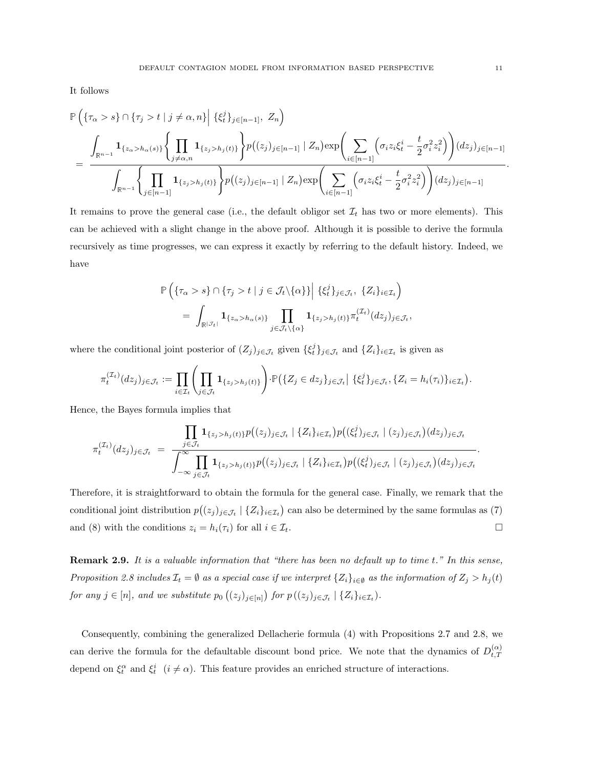It follows

$$
\mathbb{P}\left(\{\tau_{\alpha} > s\} \cap \{\tau_{j} > t \mid j \neq \alpha, n\} \Big| \{\xi_{t}^{j}\}_{j \in [n-1]}, Z_{n}\right)
$$
\n
$$
= \frac{\int_{\mathbb{R}^{n-1}} \mathbf{1}_{\{z_{\alpha} > h_{\alpha}(s)\}} \left\{\prod_{j \neq \alpha, n} \mathbf{1}_{\{z_{j} > h_{j}(t)\}} \right\} p((z_{j})_{j \in [n-1]} | Z_{n}) \exp\left(\sum_{i \in [n-1]} \left(\sigma_{i} z_{i} \xi_{t}^{i} - \frac{t}{2} \sigma_{i}^{2} z_{i}^{2}\right)\right) (dz_{j})_{j \in [n-1]}}{\int_{\mathbb{R}^{n-1}} \left\{\prod_{j \in [n-1]} \mathbf{1}_{\{z_{j} > h_{j}(t)\}} \right\} p((z_{j})_{j \in [n-1]} | Z_{n}) \exp\left(\sum_{i \in [n-1]} \left(\sigma_{i} z_{i} \xi_{t}^{i} - \frac{t}{2} \sigma_{i}^{2} z_{i}^{2}\right)\right) (dz_{j})_{j \in [n-1]}}.
$$

It remains to prove the general case (i.e., the default obligor set  $\mathcal{I}_t$  has two or more elements). This can be achieved with a slight change in the above proof. Although it is possible to derive the formula recursively as time progresses, we can express it exactly by referring to the default history. Indeed, we have

$$
\mathbb{P}\left(\{\tau_{\alpha} > s\} \cap \{\tau_{j} > t \mid j \in \mathcal{J}_{t} \setminus \{\alpha\}\}\middle| \{\xi_{t}^{j}\}_{j \in \mathcal{J}_{t}}, \{Z_{i}\}_{i \in \mathcal{I}_{t}}\right)
$$
\n
$$
= \int_{\mathbb{R}^{|\mathcal{J}_{t}|}} \mathbf{1}_{\{z_{\alpha} > h_{\alpha}(s)\}} \prod_{j \in \mathcal{J}_{t} \setminus \{\alpha\}} \mathbf{1}_{\{z_{j} > h_{j}(t)\}} \pi_{t}^{(\mathcal{I}_{t})}(dz_{j})_{j \in \mathcal{J}_{t}},
$$

where the conditional joint posterior of  $(Z_j)_{j \in \mathcal{J}_t}$  given  $\{\xi_t^j\}_{j \in \mathcal{J}_t}$  and  $\{Z_i\}_{i \in \mathcal{I}_t}$  is given as

$$
\pi_t^{(\mathcal{I}_t)}(dz_j)_{j\in\mathcal{J}_t} := \prod_{i\in\mathcal{I}_t} \left( \prod_{j\in\mathcal{J}_t} \mathbf{1}_{\{z_j > h_j(t)\}} \right) \cdot \mathbb{P}\left( \{Z_j \in dz_j\}_{j\in\mathcal{J}_t} \mid \{\xi_t^j\}_{j\in\mathcal{J}_t}, \{Z_i = h_i(\tau_i)\}_{i\in\mathcal{I}_t} \right).
$$

Hence, the Bayes formula implies that

$$
\pi_t^{(\mathcal{I}_t)}(dz_j)_{j\in\mathcal{J}_t} = \frac{\prod_{j\in\mathcal{J}_t} \mathbf{1}_{\{z_j > h_j(t)\}} p\big((z_j)_{j\in\mathcal{J}_t} \mid \{Z_i\}_{i\in\mathcal{I}_t}\big) p\big((\xi_t^j)_{j\in\mathcal{J}_t} \mid (z_j)_{j\in\mathcal{J}_t}\big)(dz_j)_{j\in\mathcal{J}_t}}{\int_{-\infty}^{\infty} \prod_{j\in\mathcal{J}_t} \mathbf{1}_{\{z_j > h_j(t)\}} p\big((z_j)_{j\in\mathcal{J}_t} \mid \{Z_i\}_{i\in\mathcal{I}_t}\big) p\big((\xi_t^j)_{j\in\mathcal{J}_t} \mid (z_j)_{j\in\mathcal{J}_t}\big)(dz_j)_{j\in\mathcal{J}_t}}.
$$

Therefore, it is straightforward to obtain the formula for the general case. Finally, we remark that the conditional joint distribution  $p((z_j)_{j \in \mathcal{J}_t} | \{Z_i\}_{i \in \mathcal{I}_t})$  can also be determined by the same formulas as (7) and (8) with the conditions  $z_i = h_i(\tau_i)$  for all  $i \in \mathcal{I}_t$ .

**Remark 2.9.** *It is a valuable information that "there has been no default up to time t." In this sense,* Proposition 2.8 includes  $\mathcal{I}_t = \emptyset$  as a special case if we interpret  $\{Z_i\}_{i \in \emptyset}$  as the information of  $Z_j > h_j(t)$ for any  $j \in [n]$ , and we substitute  $p_0((z_j)_{j \in [n]})$  for  $p((z_j)_{j \in \mathcal{J}_t} | \{Z_i\}_{i \in \mathcal{I}_t})$ .

Consequently, combining the generalized Dellacherie formula (4) with Propositions 2.7 and 2.8, we can derive the formula for the defaultable discount bond price. We note that the dynamics of  $D_{+T}^{(\alpha)}$ *t,T* depend on  $\xi_t^{\alpha}$  and  $\xi_t^i$  ( $i \neq \alpha$ ). This feature provides an enriched structure of interactions.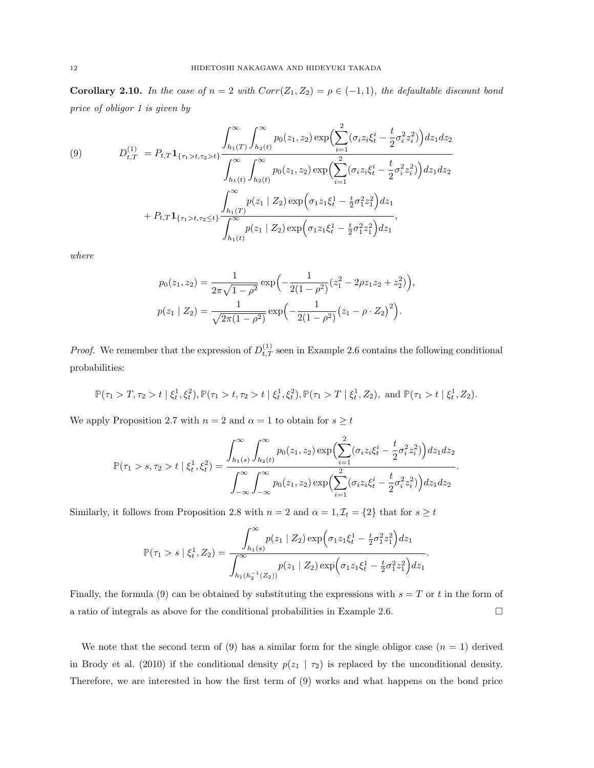**Corollary 2.10.** In the case of  $n = 2$  with  $Corr(Z_1, Z_2) = \rho \in (-1, 1)$ , the defaultable discount bond *price of obligor 1 is given by*

(9) 
$$
D_{t,T}^{(1)} = P_{t,T} \mathbf{1}_{\{\tau_1 > t, \tau_2 > t\}} \frac{\int_{h_1(T)}^{\infty} \int_{h_2(t)}^{\infty} p_0(z_1, z_2) \exp\Bigl(\sum_{i=1}^2 (\sigma_i z_i \xi_t^i - \frac{t}{2} \sigma_i^2 z_i^2)\Bigr) dz_1 dz_2}{\int_{h_1(t)}^{\infty} \int_{h_2(t)}^{\infty} p_0(z_1, z_2) \exp\Bigl(\sum_{i=1}^2 (\sigma_i z_i \xi_t^i - \frac{t}{2} \sigma_i^2 z_i^2)\Bigr) dz_1 dz_2}
$$

$$
+ P_{t,T} \mathbf{1}_{\{\tau_1 > t, \tau_2 \le t\}} \frac{\int_{h_1(T)}^{\infty} p(z_1 \mid Z_2) \exp\Bigl(\sigma_1 z_1 \xi_t^1 - \frac{t}{2} \sigma_1^2 z_1^2\Bigr) dz_1}{\int_{h_1(t)}^{\infty} p(z_1 \mid Z_2) \exp\Bigl(\sigma_1 z_1 \xi_t^1 - \frac{t}{2} \sigma_1^2 z_1^2\Bigr) dz_1},
$$

*where*

$$
p_0(z_1, z_2) = \frac{1}{2\pi\sqrt{1 - \rho^2}} \exp\left(-\frac{1}{2(1 - \rho^2)}(z_1^2 - 2\rho z_1 z_2 + z_2^2)\right),
$$
  

$$
p(z_1 \mid Z_2) = \frac{1}{\sqrt{2\pi(1 - \rho^2)}} \exp\left(-\frac{1}{2(1 - \rho^2)}(z_1 - \rho \cdot Z_2)^2\right).
$$

*Proof.* We remember that the expression of  $D_{t,T}^{(1)}$  seen in Example 2.6 contains the following conditional probabilities:

$$
\mathbb{P}(\tau_1 > T, \tau_2 > t \mid \xi_t^1, \xi_t^2), \mathbb{P}(\tau_1 > t, \tau_2 > t \mid \xi_t^1, \xi_t^2), \mathbb{P}(\tau_1 > T \mid \xi_t^1, Z_2), \text{ and } \mathbb{P}(\tau_1 > t \mid \xi_t^1, Z_2).
$$

We apply Proposition 2.7 with  $n = 2$  and  $\alpha = 1$  to obtain for  $s \ge t$ 

$$
\mathbb{P}(\tau_1 > s, \tau_2 > t \mid \xi_t^1, \xi_t^2) = \frac{\int_{h_1(s)}^{\infty} \int_{h_2(t)}^{\infty} p_0(z_1, z_2) \exp\left(\sum_{i=1}^2 (\sigma_i z_i \xi_t^i - \frac{t}{2} \sigma_i^2 z_i^2)\right) dz_1 dz_2}{\int_{-\infty}^{\infty} \int_{-\infty}^{\infty} p_0(z_1, z_2) \exp\left(\sum_{i=1}^2 (\sigma_i z_i \xi_t^i - \frac{t}{2} \sigma_i^2 z_i^2)\right) dz_1 dz_2}.
$$

Similarly, it follows from Proposition 2.8 with  $n = 2$  and  $\alpha = 1, \mathcal{I}_t = \{2\}$  that for  $s \ge t$ ∫ *<sup>∞</sup>*

$$
\mathbb{P}(\tau_1 > s \mid \xi_t^1, Z_2) = \frac{\int_{h_1(s)}^{\infty} p(z_1 \mid Z_2) \exp\left(\sigma_1 z_1 \xi_t^1 - \frac{t}{2} \sigma_1^2 z_1^2\right) dz_1}{\int_{h_1(h_2^{-1}(Z_2))}^{\infty} p(z_1 \mid Z_2) \exp\left(\sigma_1 z_1 \xi_t^1 - \frac{t}{2} \sigma_1^2 z_1^2\right) dz_1}.
$$

Finally, the formula (9) can be obtained by substituting the expressions with  $s = T$  or  $t$  in the form of a ratio of integrals as above for the conditional probabilities in Example 2.6.  $\Box$ 

We note that the second term of  $(9)$  has a similar form for the single obligor case  $(n = 1)$  derived in Brody et al. (2010) if the conditional density  $p(z_1 | \tau_2)$  is replaced by the unconditional density. Therefore, we are interested in how the first term of (9) works and what happens on the bond price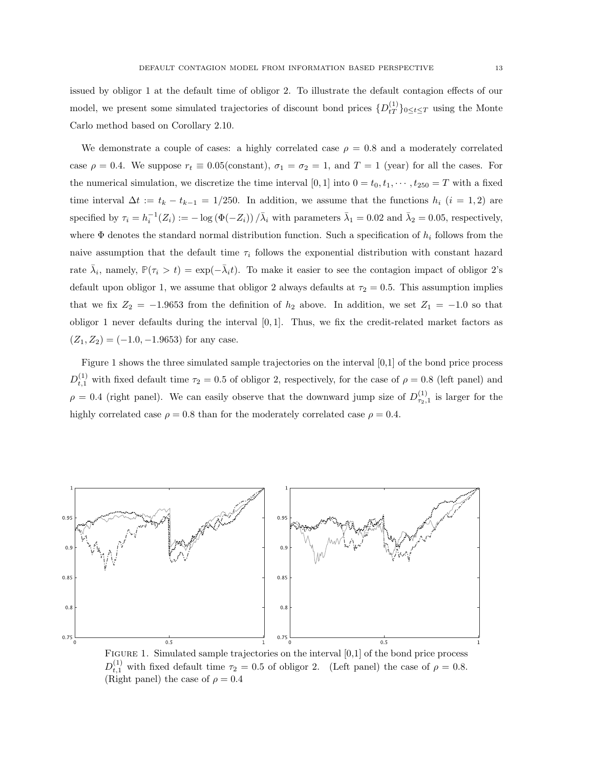issued by obligor 1 at the default time of obligor 2. To illustrate the default contagion effects of our model, we present some simulated trajectories of discount bond prices  $\{D_{tT}^{(1)}\}_{0 \le t \le T}$  using the Monte Carlo method based on Corollary 2.10.

We demonstrate a couple of cases: a highly correlated case  $\rho = 0.8$  and a moderately correlated case  $\rho = 0.4$ . We suppose  $r_t \equiv 0.05$ (constant),  $\sigma_1 = \sigma_2 = 1$ , and  $T = 1$  (year) for all the cases. For the numerical simulation, we discretize the time interval [0, 1] into  $0 = t_0, t_1, \dots, t_{250} = T$  with a fixed time interval  $\Delta t := t_k - t_{k-1} = 1/250$ . In addition, we assume that the functions  $h_i$  ( $i = 1, 2$ ) are specified by  $\tau_i = h_i^{-1}(Z_i) := -\log(\Phi(-Z_i)) / \bar{\lambda}_i$  with parameters  $\bar{\lambda}_1 = 0.02$  and  $\bar{\lambda}_2 = 0.05$ , respectively, where Φ denotes the standard normal distribution function. Such a specification of *h<sup>i</sup>* follows from the naive assumption that the default time  $\tau_i$  follows the exponential distribution with constant hazard rate  $\bar{\lambda}_i$ , namely,  $\mathbb{P}(\tau_i > t) = \exp(-\bar{\lambda}_i t)$ . To make it easier to see the contagion impact of obligor 2's default upon obligor 1, we assume that obligor 2 always defaults at  $\tau_2 = 0.5$ . This assumption implies that we fix  $Z_2 = -1.9653$  from the definition of  $h_2$  above. In addition, we set  $Z_1 = -1.0$  so that obligor 1 never defaults during the interval [0*,* 1]. Thus, we fix the credit-related market factors as  $(Z_1, Z_2) = (-1.0, -1.9653)$  for any case.

Figure 1 shows the three simulated sample trajectories on the interval [0,1] of the bond price process  $D_{t,1}^{(1)}$  with fixed default time  $\tau_2 = 0.5$  of obligor 2, respectively, for the case of  $\rho = 0.8$  (left panel) and  $\rho = 0.4$  (right panel). We can easily observe that the downward jump size of  $D_{\tau_2,1}^{(1)}$  is larger for the highly correlated case  $\rho = 0.8$  than for the moderately correlated case  $\rho = 0.4$ .



FIGURE 1. Simulated sample trajectories on the interval [0,1] of the bond price process  $D_{t,1}^{(1)}$  with fixed default time  $\tau_2 = 0.5$  of obligor 2. (Left panel) the case of  $\rho = 0.8$ . (Right panel) the case of  $\rho = 0.4$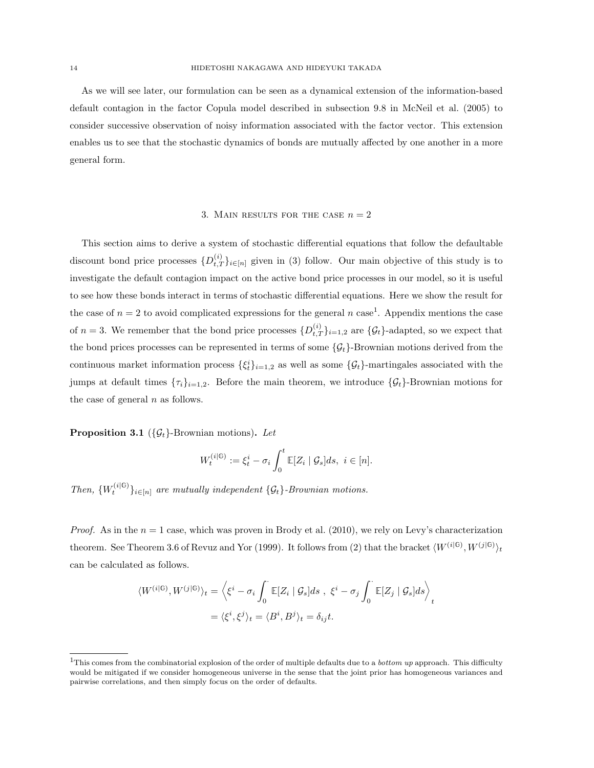As we will see later, our formulation can be seen as a dynamical extension of the information-based default contagion in the factor Copula model described in subsection 9.8 in McNeil et al. (2005) to consider successive observation of noisy information associated with the factor vector. This extension enables us to see that the stochastic dynamics of bonds are mutually affected by one another in a more general form.

#### 3. MAIN RESULTS FOR THE CASE  $n = 2$

This section aims to derive a system of stochastic differential equations that follow the defaultable discount bond price processes  $\{D_{t,T}^{(i)}\}_{i\in[n]}$  given in (3) follow. Our main objective of this study is to investigate the default contagion impact on the active bond price processes in our model, so it is useful to see how these bonds interact in terms of stochastic differential equations. Here we show the result for the case of  $n = 2$  to avoid complicated expressions for the general *n* case<sup>1</sup>. Appendix mentions the case of  $n = 3$ . We remember that the bond price processes  $\{D_{t,T}^{(i)}\}_{i=1,2}$  are  $\{\mathcal{G}_t\}$ -adapted, so we expect that the bond prices processes can be represented in terms of some  ${G<sub>t</sub>}$ -Brownian motions derived from the continuous market information process  $\{\xi_t^i\}_{i=1,2}$  as well as some  $\{\mathcal{G}_t\}$ -martingales associated with the jumps at default times  $\{\tau_i\}_{i=1,2}$ . Before the main theorem, we introduce  $\{\mathcal{G}_t\}$ -Brownian motions for the case of general *n* as follows.

**Proposition 3.1** ( $\{\mathcal{G}_t\}$ -Brownian motions). Let

$$
W_t^{(i|\mathbb{G})} := \xi_t^i - \sigma_i \int_0^t \mathbb{E}[Z_i \mid \mathcal{G}_s] ds, \ i \in [n].
$$

*Then,*  $\{W_t^{(i|G)}\}_{i \in [n]}$  *are mutually independent*  $\{\mathcal{G}_t\}$ *-Brownian motions.* 

*Proof.* As in the  $n = 1$  case, which was proven in Brody et al. (2010), we rely on Levy's characterization theorem. See Theorem 3.6 of Revuz and Yor (1999). It follows from (2) that the bracket  $\langle W^{(i|G)}, W^{(j|G)} \rangle_t$ can be calculated as follows.

$$
\langle W^{(i|\mathbb{G})}, W^{(j|\mathbb{G})} \rangle_t = \left\langle \xi^i - \sigma_i \int_0^\cdot \mathbb{E}[Z_i \mid \mathcal{G}_s] ds \ , \ \xi^i - \sigma_j \int_0^\cdot \mathbb{E}[Z_j \mid \mathcal{G}_s] ds \right\rangle_t
$$
  
=  $\langle \xi^i, \xi^j \rangle_t = \langle B^i, B^j \rangle_t = \delta_{ij} t.$ 

<sup>1</sup>This comes from the combinatorial explosion of the order of multiple defaults due to a *bottom up* approach. This difficulty would be mitigated if we consider homogeneous universe in the sense that the joint prior has homogeneous variances and pairwise correlations, and then simply focus on the order of defaults.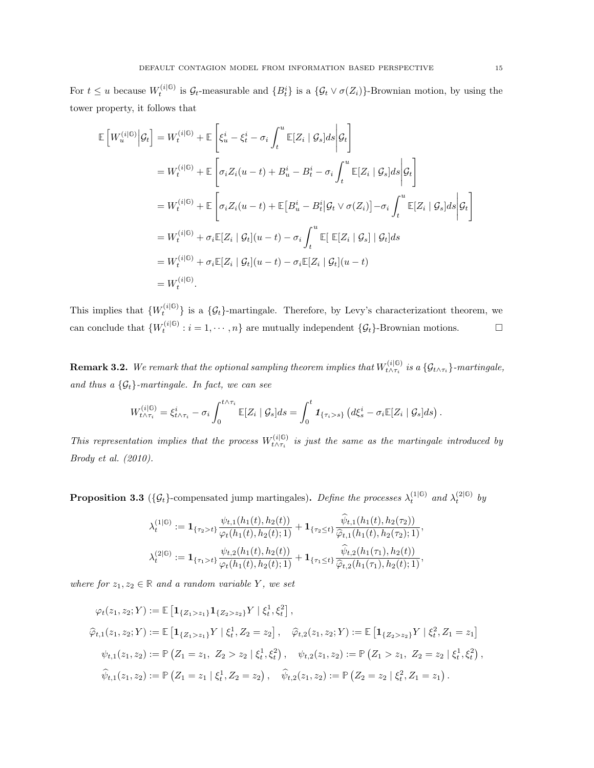For  $t \leq u$  because  $W_t^{(i|G)}$  is  $\mathcal{G}_t$ -measurable and  $\{B_t^i\}$  is a  $\{\mathcal{G}_t \vee \sigma(Z_i)\}$ -Brownian motion, by using the tower property, it follows that

$$
\mathbb{E}\left[W_{u}^{(i|\mathbb{G})}\Big|\mathcal{G}_{t}\right] = W_{t}^{(i|\mathbb{G})} + \mathbb{E}\left[\xi_{u}^{i} - \xi_{t}^{i} - \sigma_{i}\int_{t}^{u}\mathbb{E}[Z_{i} \mid \mathcal{G}_{s}]ds\Big|\mathcal{G}_{t}\right]
$$
\n
$$
= W_{t}^{(i|\mathbb{G})} + \mathbb{E}\left[\sigma_{i}Z_{i}(u-t) + B_{u}^{i} - B_{t}^{i} - \sigma_{i}\int_{t}^{u}\mathbb{E}[Z_{i} \mid \mathcal{G}_{s}]ds\Big|\mathcal{G}_{t}\right]
$$
\n
$$
= W_{t}^{(i|\mathbb{G})} + \mathbb{E}\left[\sigma_{i}Z_{i}(u-t) + \mathbb{E}\left[B_{u}^{i} - B_{t}^{i}\Big|\mathcal{G}_{t} \vee \sigma(Z_{i})\right] - \sigma_{i}\int_{t}^{u}\mathbb{E}[Z_{i} \mid \mathcal{G}_{s}]ds\Big|\mathcal{G}_{t}\right]
$$
\n
$$
= W_{t}^{(i|\mathbb{G})} + \sigma_{i}\mathbb{E}[Z_{i} \mid \mathcal{G}_{t}](u-t) - \sigma_{i}\int_{t}^{u}\mathbb{E}\left[\mathbb{E}[Z_{i} \mid \mathcal{G}_{s}] \mid \mathcal{G}_{t}\right]ds
$$
\n
$$
= W_{t}^{(i|\mathbb{G})} + \sigma_{i}\mathbb{E}[Z_{i} \mid \mathcal{G}_{t}](u-t) - \sigma_{i}\mathbb{E}[Z_{i} \mid \mathcal{G}_{t}](u-t)
$$
\n
$$
= W_{t}^{(i|\mathbb{G})}.
$$

This implies that  ${W_t^{(i|G)} }$  is a  ${G_t}$ -martingale. Therefore, by Levy's characterizationt theorem, we can conclude that  $\{W_t^{(i|\mathbb{G})}: i = 1, \dots, n\}$  are mutually independent  $\{\mathcal{G}_t\}$ -Brownian motions.  $\Box$ 

**Remark 3.2.** We remark that the optional sampling theorem implies that  $W_{t\wedge\tau_{i}}^{(i|\mathbb{G})}$  is a  $\{\mathcal{G}_{t\wedge\tau_{i}}\}$ -martingale, and thus a  ${G_t}$ *-martingale. In fact, we can see* 

$$
W_{t\wedge\tau_i}^{(i|0)} = \xi_{t\wedge\tau_i}^i - \sigma_i \int_0^{t\wedge\tau_i} \mathbb{E}[Z_i \mid \mathcal{G}_s] ds = \int_0^t \mathbf{1}_{\{\tau_i>s\}} \left( d\xi_s^i - \sigma_i \mathbb{E}[Z_i \mid \mathcal{G}_s] ds \right).
$$

*This representation implies that the process*  $W_{t \wedge \tau_i}^{(i|G)}$  *is just the same as the martingale introduced by Brody et al. (2010).*

**Proposition 3.3** ({G<sub>t</sub>}-compensated jump martingales). Define the processes  $\lambda_t^{(1|G)}$  and  $\lambda_t^{(2|G)}$  by

$$
\lambda_t^{(1|G)} := \mathbf{1}_{\{\tau_2 > t\}} \frac{\psi_{t,1}(h_1(t), h_2(t))}{\varphi_t(h_1(t), h_2(t); 1)} + \mathbf{1}_{\{\tau_2 \le t\}} \frac{\widetilde{\psi}_{t,1}(h_1(t), h_2(\tau_2))}{\widetilde{\varphi}_{t,1}(h_1(t), h_2(\tau_2); 1)},
$$
  

$$
\lambda_t^{(2|G)} := \mathbf{1}_{\{\tau_1 > t\}} \frac{\psi_{t,2}(h_1(t), h_2(t))}{\varphi_t(h_1(t), h_2(t); 1)} + \mathbf{1}_{\{\tau_1 \le t\}} \frac{\widetilde{\psi}_{t,2}(h_1(\tau_1), h_2(t))}{\widetilde{\varphi}_{t,2}(h_1(\tau_1), h_2(t); 1)},
$$

*where for*  $z_1, z_2 \in \mathbb{R}$  *and a random variable Y*, *we set* 

$$
\varphi_t(z_1, z_2; Y) := \mathbb{E} \left[ \mathbf{1}_{\{Z_1 > z_1\}} \mathbf{1}_{\{Z_2 > z_2\}} Y \mid \xi_t^1, \xi_t^2 \right],
$$
  
\n
$$
\widehat{\varphi}_{t,1}(z_1, z_2; Y) := \mathbb{E} \left[ \mathbf{1}_{\{Z_1 > z_1\}} Y \mid \xi_t^1, Z_2 = z_2 \right], \quad \widehat{\varphi}_{t,2}(z_1, z_2; Y) := \mathbb{E} \left[ \mathbf{1}_{\{Z_2 > z_2\}} Y \mid \xi_t^2, Z_1 = z_1 \right]
$$
  
\n
$$
\psi_{t,1}(z_1, z_2) := \mathbb{P} \left( Z_1 = z_1, Z_2 > z_2 \mid \xi_t^1, \xi_t^2 \right), \quad \psi_{t,2}(z_1, z_2) := \mathbb{P} \left( Z_1 > z_1, Z_2 = z_2 \mid \xi_t^1, \xi_t^2 \right),
$$
  
\n
$$
\widehat{\psi}_{t,1}(z_1, z_2) := \mathbb{P} \left( Z_1 = z_1 \mid \xi_t^1, Z_2 = z_2 \right), \quad \widehat{\psi}_{t,2}(z_1, z_2) := \mathbb{P} \left( Z_2 = z_2 \mid \xi_t^2, Z_1 = z_1 \right).
$$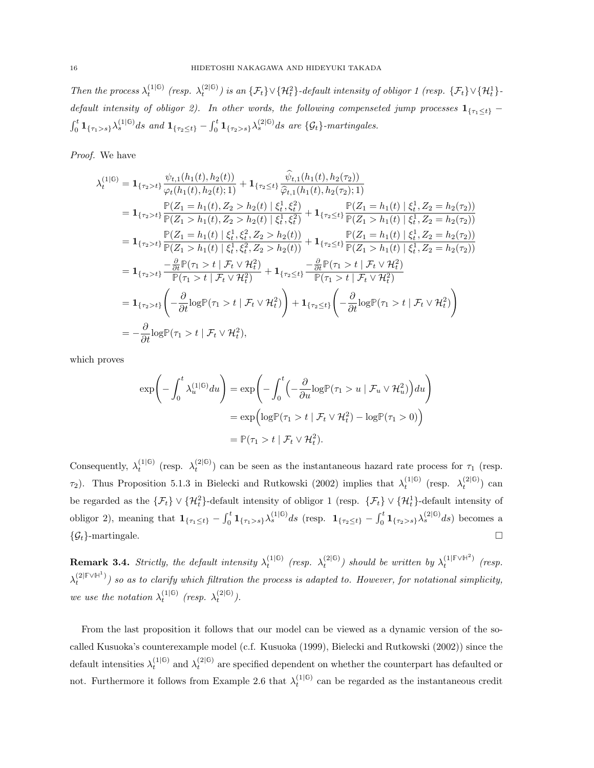Then the process  $\lambda_t^{(1|G)}$  (resp.  $\lambda_t^{(2|G)}$ ) is an  $\{\mathcal{F}_t\} \vee \{\mathcal{H}_t^2\}$ -default intensity of obligor 1 (resp.  $\{\mathcal{F}_t\} \vee \{\mathcal{H}_t^1\}$ *default intensity of obligor 2). In other words, the following compenseted jump processes*  $\mathbf{1}_{\{\tau_1 \leq t\}}$  –  $\int_0^t \mathbf{1}_{\{\tau_1>s\}} \lambda_s^{(1|\mathbb{G})} ds$  and  $\mathbf{1}_{\{\tau_2 \leq t\}} - \int_0^t \mathbf{1}_{\{\tau_2>s\}} \lambda_s^{(2|\mathbb{G})} ds$  are  $\{\mathcal{G}_t\}$ -martingales.

*Proof.* We have

$$
\lambda_{t}^{(1|G)} = \mathbf{1}_{\{\tau_{2} > t\}} \frac{\psi_{t,1}(h_{1}(t), h_{2}(t))}{\varphi_{t}(h_{1}(t), h_{2}(t); 1)} + \mathbf{1}_{\{\tau_{2} \le t\}} \frac{\psi_{t,1}(h_{1}(t), h_{2}(\tau_{2}))}{\hat{\varphi}_{t,1}(h_{1}(t), h_{2}(\tau_{2}); 1)}
$$
\n
$$
= \mathbf{1}_{\{\tau_{2} > t\}} \frac{\mathbb{P}(Z_{1} = h_{1}(t), Z_{2} > h_{2}(t) \mid \xi_{t}^{1}, \xi_{t}^{2})}{\mathbb{P}(Z_{1} > h_{1}(t), Z_{2} > h_{2}(t) \mid \xi_{t}^{1}, \xi_{t}^{2})} + \mathbf{1}_{\{\tau_{2} \le t\}} \frac{\mathbb{P}(Z_{1} = h_{1}(t) \mid \xi_{t}^{1}, Z_{2} = h_{2}(\tau_{2}))}{\mathbb{P}(Z_{1} > h_{1}(t) \mid \xi_{t}^{1}, Z_{2} = h_{2}(\tau_{2}))}
$$
\n
$$
= \mathbf{1}_{\{\tau_{2} > t\}} \frac{\mathbb{P}(Z_{1} = h_{1}(t) \mid \xi_{t}^{1}, \xi_{t}^{2}, Z_{2} > h_{2}(t))}{\mathbb{P}(Z_{1} > h_{2}(t))} + \mathbf{1}_{\{\tau_{2} \le t\}} \frac{\mathbb{P}(Z_{1} = h_{1}(t) \mid \xi_{t}^{1}, Z_{2} = h_{2}(\tau_{2}))}{\mathbb{P}(Z_{1} > h_{1}(t) \mid \xi_{t}^{1}, Z_{2} = h_{2}(\tau_{2}))}
$$
\n
$$
= \mathbf{1}_{\{\tau_{2} > t\}} \frac{-\frac{\partial}{\partial t} \mathbb{P}(\tau_{1} > t \mid \mathcal{F}_{t} \lor \mathcal{H}_{t}^{2})}{\mathbb{P}(\tau_{1} > t \mid \mathcal{F}_{t} \lor \mathcal{H}_{t}^{2})} + \mathbf{1}_{\{\tau_{2} \le t\}} \frac{-\frac{\partial}{\partial t} \mathbb{P}(\tau_{1} > t \mid \mathcal{F}_{t} \lor \mathcal{H}_{t}^{2})}{\mathbb{P}(\tau_{1} > t \mid \
$$

which proves

$$
\exp\left(-\int_0^t \lambda_u^{(1|\mathbb{G})} du\right) = \exp\left(-\int_0^t \left(-\frac{\partial}{\partial u} \log \mathbb{P}(\tau_1 > u \mid \mathcal{F}_u \vee \mathcal{H}_u^2)\right) du\right)
$$

$$
= \exp\left(\log \mathbb{P}(\tau_1 > t \mid \mathcal{F}_t \vee \mathcal{H}_t^2) - \log \mathbb{P}(\tau_1 > 0)\right)
$$

$$
= \mathbb{P}(\tau_1 > t \mid \mathcal{F}_t \vee \mathcal{H}_t^2).
$$

Consequently,  $\lambda_t^{(1|\mathbb{G})}$  (resp.  $\lambda_t^{(2|\mathbb{G})}$ ) can be seen as the instantaneous hazard rate process for  $\tau_1$  (resp. *τ*<sub>2</sub>). Thus Proposition 5.1.3 in Bielecki and Rutkowski (2002) implies that  $\lambda_t^{(1|\mathbb{G})}$  (resp.  $\lambda_t^{(2|\mathbb{G})}$ ) can be regarded as the  $\{\mathcal{F}_t\} \vee \{\mathcal{H}_t^2\}$ -default intensity of obligor 1 (resp.  $\{\mathcal{F}_t\} \vee \{\mathcal{H}_t^1\}$ -default intensity of obligor 2), meaning that  $\mathbf{1}_{\{\tau_1 \leq t\}} - \int_0^t \mathbf{1}_{\{\tau_1 > s\}} \lambda_s^{(1|\mathbb{G})} ds$  (resp.  $\mathbf{1}_{\{\tau_2 \leq t\}} - \int_0^t \mathbf{1}_{\{\tau_2 > s\}} \lambda_s^{(2|\mathbb{G})} ds$ ) becomes a  ${G_t}$ }-martingale. □

**Remark 3.4.** Strictly, the default intensity  $\lambda_t^{(1|\mathbb{G})}$  (resp.  $\lambda_t^{(2|\mathbb{G})}$ ) should be written by  $\lambda_t^{(1|\mathbb{F} \vee \mathbb{H}^2)}$  (resp.  $\lambda_t^{(2|\mathbb{F} \vee \mathbb{H}^1)}$ ) so as to clarify which filtration the process is adapted to. However, for notational simplicity, *we use the notation*  $\lambda_t^{(1|\mathbb{G})}$  (resp.  $\lambda_t^{(2|\mathbb{G})}$ ).

From the last proposition it follows that our model can be viewed as a dynamic version of the socalled Kusuoka's counterexample model (c.f. Kusuoka (1999), Bielecki and Rutkowski (2002)) since the default intensities  $\lambda_t^{(1|\mathbb{G})}$  and  $\lambda_t^{(2|\mathbb{G})}$  are specified dependent on whether the counterpart has defaulted or not. Furthermore it follows from Example 2.6 that  $\lambda_t^{(1|\mathbb{G})}$  can be regarded as the instantaneous credit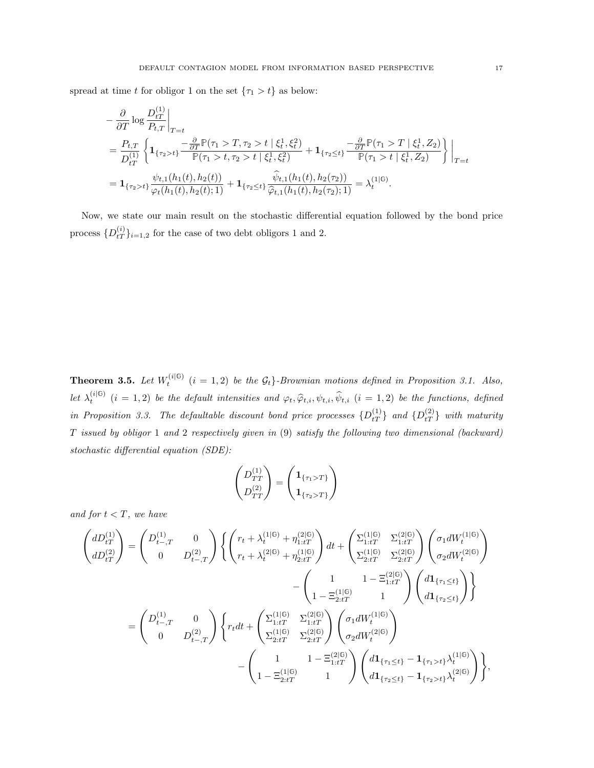spread at time *t* for obligor 1 on the set  $\{\tau_1 > t\}$  as below:

$$
-\frac{\partial}{\partial T} \log \frac{D_{tT}^{(1)}}{P_{t,T}}\Big|_{T=t}
$$
  
=  $\frac{P_{t,T}}{D_{tT}^{(1)}} \left\{ \mathbf{1}_{\{\tau_2 > t\}} \frac{-\frac{\partial}{\partial T} \mathbb{P}(\tau_1 > T, \tau_2 > t \mid \xi_t^1, \xi_t^2)}{\mathbb{P}(\tau_1 > t, \tau_2 > t \mid \xi_t^1, \xi_t^2)} + \mathbf{1}_{\{\tau_2 \le t\}} \frac{-\frac{\partial}{\partial T} \mathbb{P}(\tau_1 > T \mid \xi_t^1, Z_2)}{\mathbb{P}(\tau_1 > t \mid \xi_t^1, Z_2)} \right\}\Big|_{T=t}$   
=  $\mathbf{1}_{\{\tau_2 > t\}} \frac{\psi_{t,1}(h_1(t), h_2(t))}{\varphi_t(h_1(t), h_2(t); 1)} + \mathbf{1}_{\{\tau_2 \le t\}} \frac{\widehat{\psi}_{t,1}(h_1(t), h_2(\tau_2))}{\widehat{\varphi}_{t,1}(h_1(t), h_2(\tau_2); 1)} = \lambda_t^{(1|6)}.$ 

Now, we state our main result on the stochastic differential equation followed by the bond price process  $\{D_{tT}^{(i)}\}_{i=1,2}$  for the case of two debt obligors 1 and 2.

**Theorem 3.5.** Let  $W_t^{(i|G)}$   $(i = 1, 2)$  be the  $\mathcal{G}_t$ *}*-Brownian motions defined in Proposition 3.1. Also, let  $\lambda_t^{(i|G)}$   $(i = 1, 2)$  be the default intensities and  $\varphi_t, \hat{\varphi}_{t,i}, \psi_{t,i}, \hat{\psi}_{t,i}$   $(i = 1, 2)$  be the functions, defined *in Proposition 3.3. The defaultable discount bond price processes*  ${D_{tT}^{(1)}}$  *and*  ${D_{tT}^{(2)}}$  *with maturity T issued by obligor* 1 *and* 2 *respectively given in* (9) *satisfy the following two dimensional (backward) stochastic differential equation (SDE):*

$$
\begin{pmatrix}\nD_{TT}^{(1)} \\
D_{TT}^{(2)}\n\end{pmatrix} = \begin{pmatrix}\n\mathbf{1}_{\{\tau_1 > T\}} \\
\mathbf{1}_{\{\tau_2 > T\}}\n\end{pmatrix}
$$

*and for t < T, we have*

$$
\begin{split} \begin{pmatrix} dD_{tT}^{(1)} \\ dD_{tT}^{(2)} \end{pmatrix} &= \begin{pmatrix} D_{t-,T}^{(1)} & 0 \\ 0 & D_{t-,T}^{(2)} \end{pmatrix} \left\{ \begin{pmatrix} r_t + \lambda_t^{(1|\mathbb{G})} + \eta_{1:tT}^{(2|\mathbb{G})} \\ r_t + \lambda_t^{(2|\mathbb{G})} + \eta_{2:tT}^{(1|\mathbb{G})} \end{pmatrix} dt + \begin{pmatrix} \Sigma_{1:tT}^{(1|\mathbb{G})} & \Sigma_{1:tT}^{(2|\mathbb{G})} \\ \Sigma_{2:tT}^{(1|\mathbb{G})} & \Sigma_{2:tT}^{(2|\mathbb{G})} \end{pmatrix} \begin{pmatrix} \sigma_1 dW_t^{(1|\mathbb{G})} \\ \sigma_2 dW_t^{(2|\mathbb{G})} \end{pmatrix} \right. \\ &= \begin{pmatrix} D_{t-,T}^{(1)} & 0 \\ 0 & D_{t-,T}^{(2)} \end{pmatrix} \left\{ r_t dt + \begin{pmatrix} \Sigma_{1:tT}^{(1|\mathbb{G})} & \Sigma_{1:tT}^{(2|\mathbb{G})} \\ \Sigma_{2:tT}^{(1|\mathbb{G})} & \Sigma_{2:tT}^{(2|\mathbb{G})} \end{pmatrix} \begin{pmatrix} \sigma_1 dW_t^{(1|\mathbb{G})} \\ d\mathbf{1}_{\{\tau_2 \leq t\}} \end{pmatrix} \right\} \\ &= \begin{pmatrix} D_{t-,T}^{(1)} & 0 \\ 0 & D_{t-,T}^{(2)} \end{pmatrix} \left\{ r_t dt + \begin{pmatrix} \Sigma_{1:tT}^{(1|\mathbb{G})} & \Sigma_{1:tT}^{(2|\mathbb{G})} \\ \Sigma_{2:tT}^{(1|\mathbb{G})} & \Sigma_{2:tT}^{(2|\mathbb{G})} \end{pmatrix} \begin{pmatrix} \sigma_1 dW_t^{(1|\mathbb{G})} \\ \sigma_2 dW_t^{(2|\mathbb{G})} \end{pmatrix} \right. \\ &\quad - \begin{pmatrix} 1 & 1 - \Xi_{1:tT}^{(2|\mathbb{G})} \\ 1 - \Xi_{2:tT}^{(1|\mathbb{G})} & 1 \end{pmatrix} \begin{pmatrix} d\mathbf{1}_{\{\tau_1 \leq t\}} - \mathbf{1}_{\
$$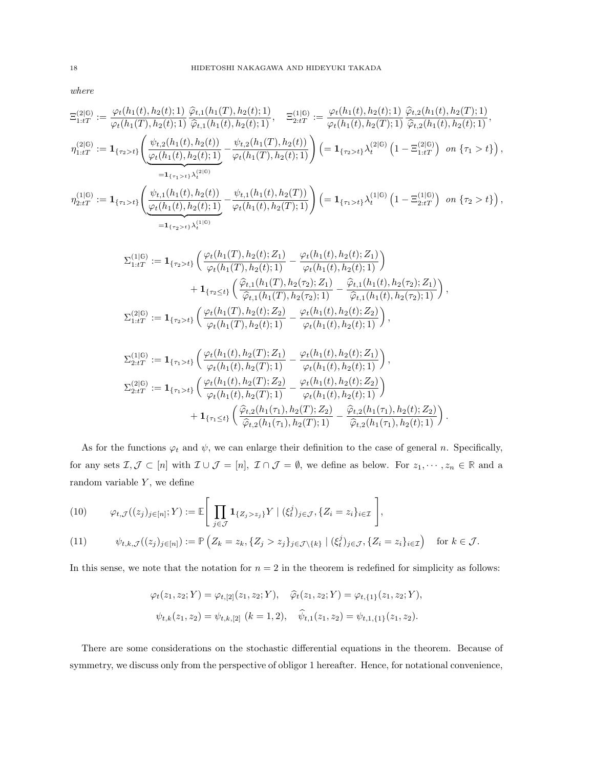*where*

$$
\Xi_{1:tT}^{(2|6)} := \frac{\varphi_t(h_1(t), h_2(t); 1)}{\varphi_t(h_1(T), h_2(t); 1)} \frac{\widehat{\varphi}_{t,1}(h_1(T), h_2(t); 1)}{\widehat{\varphi}_{t,1}(h_1(t), h_2(t); 1)}, \quad \Xi_{2:tT}^{(1|6)} := \frac{\varphi_t(h_1(t), h_2(t); 1)}{\varphi_t(h_1(t), h_2(T); 1)} \frac{\widehat{\varphi}_{t,2}(h_1(t), h_2(T); 1)}{\widehat{\varphi}_{t,2}(h_1(t), h_2(t); 1)},
$$
\n
$$
\eta_{1:tT}^{(2|6)} := \mathbf{1}_{\{\tau_2 > t\}} \Bigg( \frac{\psi_{t,2}(h_1(t), h_2(t))}{\varphi_t(h_1(t), h_2(t); 1)} - \frac{\psi_{t,2}(h_1(T), h_2(t))}{\varphi_t(h_1(T), h_2(t); 1)} \Bigg) \Big( = \mathbf{1}_{\{\tau_2 > t\}} \lambda_t^{(2|6)} \left(1 - \Xi_{1:tT}^{(2|6)}\right) \text{ on } \{\tau_1 > t\} \Bigg),
$$
\n
$$
\eta_{2:tT}^{(1|6)} := \mathbf{1}_{\{\tau_1 > t\}} \Bigg( \frac{\psi_{t,1}(h_1(t), h_2(t))}{\varphi_t(h_1(t), h_2(t); 1)} - \frac{\psi_{t,1}(h_1(t), h_2(T))}{\varphi_t(h_1(t), h_2(T); 1)} \Bigg) \Big( = \mathbf{1}_{\{\tau_1 > t\}} \lambda_t^{(1|6)} \left(1 - \Xi_{2:tT}^{(1|6)}\right) \text{ on } \{\tau_2 > t\} \Bigg),
$$
\n
$$
= \mathbf{1}_{\{\tau_2 > t\}} \lambda_t^{(1|6)}
$$

$$
\Sigma_{1:tT}^{(1|0)} := \mathbf{1}_{\{\tau_2 > t\}} \left( \frac{\varphi_t(h_1(T), h_2(t); Z_1)}{\varphi_t(h_1(T), h_2(t); 1)} - \frac{\varphi_t(h_1(t), h_2(t); Z_1)}{\varphi_t(h_1(t), h_2(t); 1)} \right)
$$
\n
$$
+ \mathbf{1}_{\{\tau_2 \le t\}} \left( \frac{\widehat{\varphi}_{t,1}(h_1(T), h_2(\tau_2); Z_1)}{\widehat{\varphi}_{t,1}(h_1(T), h_2(\tau_2); 1)} - \frac{\widehat{\varphi}_{t,1}(h_1(t), h_2(\tau_2); Z_1)}{\widehat{\varphi}_{t,1}(h_1(t), h_2(\tau_2); 1)} \right),
$$
\n
$$
\Sigma_{1:tT}^{(2|0)} := \mathbf{1}_{\{\tau_2 > t\}} \left( \frac{\varphi_t(h_1(T), h_2(t); Z_2)}{\varphi_t(h_1(T), h_2(t); 1)} - \frac{\varphi_t(h_1(t), h_2(t); Z_2)}{\varphi_t(h_1(t), h_2(t); 1)} \right),
$$
\n
$$
\Sigma_{2:tT}^{(1|0)} := \mathbf{1}_{\{\tau_1 > t\}} \left( \frac{\varphi_t(h_1(t), h_2(T); Z_1)}{\varphi_t(h_1(t), h_2(T); 1)} - \frac{\varphi_t(h_1(t), h_2(t); Z_1)}{\varphi_t(h_1(t), h_2(t); 1)} \right),
$$
\n
$$
\Sigma_{2:tT}^{(2|0)} := \mathbf{1}_{\{\tau_1 > t\}} \left( \frac{\varphi_t(h_1(t), h_2(T); Z_2)}{\varphi_t(h_1(t), h_2(T); 1)} - \frac{\varphi_t(h_1(t), h_2(t); Z_2)}{\varphi_t(h_1(t), h_2(t); 1)} \right)
$$

As for the functions 
$$
\varphi_t
$$
 and  $\psi$ , we can enlarge their definition to the case of general *n*. Specifically, for any sets  $\mathcal{I}, \mathcal{J} \subset [n]$  with  $\mathcal{I} \cup \mathcal{J} = [n]$ ,  $\mathcal{I} \cap \mathcal{J} = \emptyset$ , we define as below. For  $z_1, \dots, z_n \in \mathbb{R}$  and a random variable *Y*, we define

+  $\mathbf{1}_{\{\tau_1 \leq t\}}\left(\frac{\widehat{\varphi}_{t,2}(h_1(\tau_1), h_2(T); Z_2)}{\widehat{\varphi}_{t,2}(h_1(\tau_1), h_2(T); 1)} - \frac{\widehat{\varphi}_{t,2}(h_1(\tau_1), h_2(t); Z_2)}{\widehat{\varphi}_{t,2}(h_1(\tau_1), h_2(t); 1)}\right).$ 

(10) 
$$
\varphi_{t,\mathcal{J}}((z_j)_{j\in[n]};Y):=\mathbb{E}\Bigg[\prod_{j\in\mathcal{J}}\mathbf{1}_{\{Z_j>z_j\}}Y\mid (\xi_t^j)_{j\in\mathcal{J}},\{Z_i=z_i\}_{i\in\mathcal{I}}\Bigg],
$$

(11) 
$$
\psi_{t,k,\mathcal{J}}((z_j)_{j\in[n]}) := \mathbb{P}\left(Z_k = z_k, \{Z_j > z_j\}_{j\in\mathcal{J}\setminus\{k\}} \mid (\xi_t^j)_{j\in\mathcal{J}}, \{Z_i = z_i\}_{i\in\mathcal{I}}\right) \text{ for } k \in \mathcal{J}.
$$

In this sense, we note that the notation for  $n = 2$  in the theorem is redefined for simplicity as follows:

$$
\varphi_t(z_1, z_2; Y) = \varphi_{t,[2]}(z_1, z_2; Y), \quad \widehat{\varphi}_t(z_1, z_2; Y) = \varphi_{t,[1]}(z_1, z_2; Y),
$$
  

$$
\psi_{t,k}(z_1, z_2) = \psi_{t,k,[2]} \ (k = 1, 2), \quad \widehat{\psi}_{t,1}(z_1, z_2) = \psi_{t,1,[1]}(z_1, z_2).
$$

There are some considerations on the stochastic differential equations in the theorem. Because of symmetry, we discuss only from the perspective of obligor 1 hereafter. Hence, for notational convenience,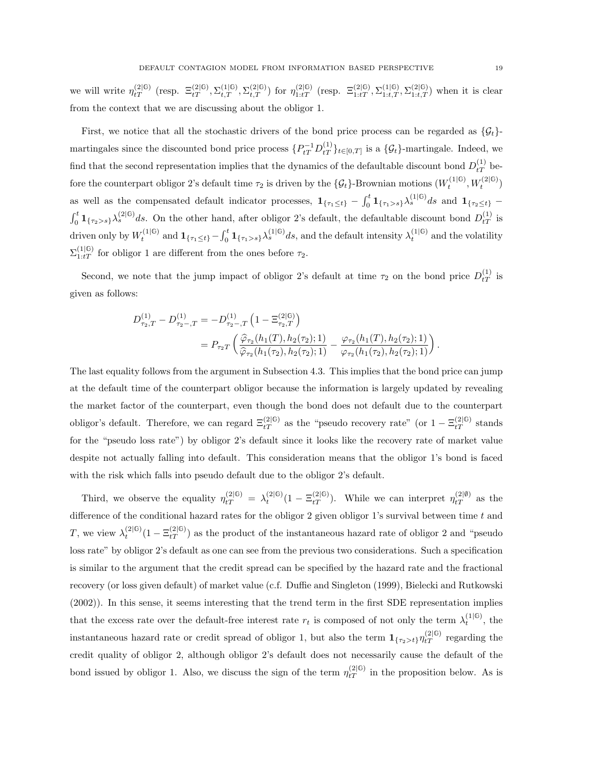we will write  $\eta_{tT}^{(2|\mathbb{G})}$  (resp.  $\Xi_{tT}^{(2|\mathbb{G})}, \Sigma_{t,T}^{(1|\mathbb{G})}, \Sigma_{t,T}^{(2|\mathbb{G})})$  for  $\eta_{1:tT}^{(2|\mathbb{G})}$  (resp.  $\Xi_{1:tT}^{(2|\mathbb{G})}, \Sigma_{1:t,T}^{(1|\mathbb{G})}, \Sigma_{1:t,T}^{(2|\mathbb{G})})$  when it is clear from the context that we are discussing about the obligor 1.

First, we notice that all the stochastic drivers of the bond price process can be regarded as  $\{\mathcal{G}_t\}$ martingales since the discounted bond price process  $\{P_{tT}^{-1}D_{tT}^{(1)}\}_{t\in[0,T]}$  is a  $\{\mathcal{G}_t\}$ -martingale. Indeed, we find that the second representation implies that the dynamics of the defaultable discount bond  $D_{tT}^{(1)}$  before the counterpart obligor 2's default time  $\tau_2$  is driven by the  $\{\mathcal{G}_t\}$ -Brownian motions  $(W_t^{(1|0)}, W_t^{(2|0)})$ as well as the compensated default indicator processes,  $1_{\{\tau_1\leq t\}} - \int_0^t 1_{\{\tau_1>s\}} \lambda_s^{(1|0)} ds$  and  $1_{\{\tau_2\leq t\}}$  $\int_0^t \mathbf{1}_{\{\tau_2>s\}} \lambda_s^{(2|\mathbb{G})} ds$ . On the other hand, after obligor 2's default, the defaultable discount bond  $D_{tT}^{(1)}$  is driven only by  $W_t^{(1|\mathbb{G})}$  and  $\mathbf{1}_{\{\tau_1 \leq t\}} - \int_0^t \mathbf{1}_{\{\tau_1 > s\}} \lambda_s^{(1|\mathbb{G})} ds$ , and the default intensity  $\lambda_t^{(1|\mathbb{G})}$  and the volatility  $\Sigma_{1:tT}^{(1|G)}$  for obligor 1 are different from the ones before  $\tau_2$ .

Second, we note that the jump impact of obligor 2's default at time  $\tau_2$  on the bond price  $D_{tT}^{(1)}$  is given as follows:

$$
D_{\tau_2,T}^{(1)} - D_{\tau_2-,T}^{(1)} = -D_{\tau_2-,T}^{(1)} \left(1 - \Xi_{\tau_2,T}^{(2|G)}\right)
$$
  
= 
$$
P_{\tau_2,T} \left( \frac{\hat{\varphi}_{\tau_2}(h_1(T), h_2(\tau_2); 1)}{\hat{\varphi}_{\tau_2}(h_1(\tau_2), h_2(\tau_2); 1)} - \frac{\varphi_{\tau_2}(h_1(T), h_2(\tau_2); 1)}{\varphi_{\tau_2}(h_1(\tau_2), h_2(\tau_2); 1)} \right).
$$

The last equality follows from the argument in Subsection 4.3. This implies that the bond price can jump at the default time of the counterpart obligor because the information is largely updated by revealing the market factor of the counterpart, even though the bond does not default due to the counterpart obligor's default. Therefore, we can regard  $\Xi_{tT}^{(2|\mathbb{G})}$  as the "pseudo recovery rate" (or  $1 - \Xi_{tT}^{(2|\mathbb{G})}$  stands for the "pseudo loss rate") by obligor 2's default since it looks like the recovery rate of market value despite not actually falling into default. This consideration means that the obligor 1's bond is faced with the risk which falls into pseudo default due to the obligor 2's default.

Third, we observe the equality  $\eta_{tT}^{(2|\mathbb{G})} = \lambda_t^{(2|\mathbb{G})} (1 - \Xi_{tT}^{(2|\mathbb{G})})$ . While we can interpret  $\eta_{tT}^{(2|\emptyset)}$  as the difference of the conditional hazard rates for the obligor 2 given obligor 1's survival between time *t* and *T*, we view  $\lambda_t^{(2|G)}(1 - \Xi_{tT}^{(2|G)})$  as the product of the instantaneous hazard rate of obligor 2 and "pseudo loss rate" by obligor 2's default as one can see from the previous two considerations. Such a specification is similar to the argument that the credit spread can be specified by the hazard rate and the fractional recovery (or loss given default) of market value (c.f. Duffie and Singleton (1999), Bielecki and Rutkowski (2002)). In this sense, it seems interesting that the trend term in the first SDE representation implies that the excess rate over the default-free interest rate  $r_t$  is composed of not only the term  $\lambda_t^{(1|G)}$ , the instantaneous hazard rate or credit spread of obligor 1, but also the term  $\mathbf{1}_{\{\tau_2 > t\}} \eta_{tT}^{(2|0)}$  regarding the credit quality of obligor 2, although obligor 2's default does not necessarily cause the default of the bond issued by obligor 1. Also, we discuss the sign of the term  $\eta_{tT}^{(2|0)}$  in the proposition below. As is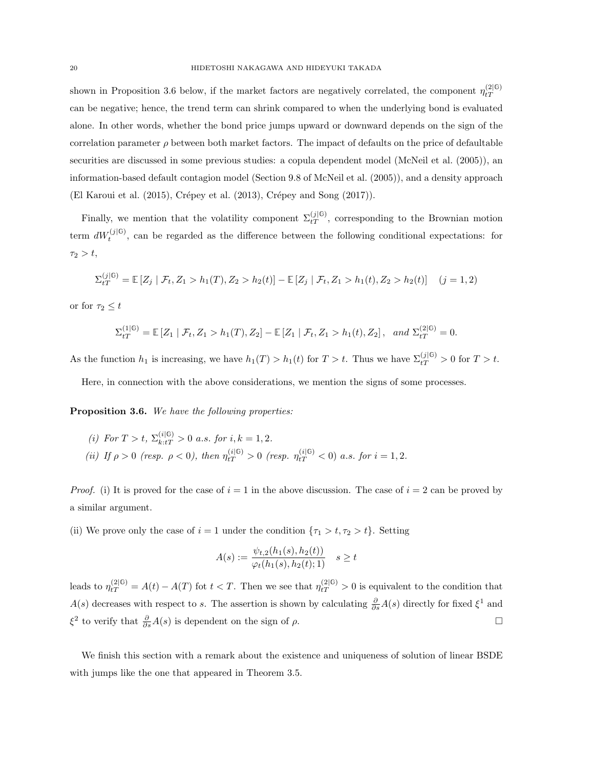shown in Proposition 3.6 below, if the market factors are negatively correlated, the component  $\eta_{tT}^{(2|G)}$ can be negative; hence, the trend term can shrink compared to when the underlying bond is evaluated alone. In other words, whether the bond price jumps upward or downward depends on the sign of the correlation parameter  $\rho$  between both market factors. The impact of defaults on the price of defaultable securities are discussed in some previous studies: a copula dependent model (McNeil et al. (2005)), an information-based default contagion model (Section 9.8 of McNeil et al. (2005)), and a density approach (El Karoui et al.  $(2015)$ , Crépey et al.  $(2013)$ , Crépey and Song  $(2017)$ ).

Finally, we mention that the volatility component  $\Sigma_{tT}^{(j|G)}$ , corresponding to the Brownian motion term  $dW_t^{(j|G)}$ , can be regarded as the difference between the following conditional expectations: for *τ*<sup>2</sup> *> t*,

$$
\Sigma_{tT}^{(j|G)} = \mathbb{E}\left[Z_j \mid \mathcal{F}_t, Z_1 > h_1(T), Z_2 > h_2(t)\right] - \mathbb{E}\left[Z_j \mid \mathcal{F}_t, Z_1 > h_1(t), Z_2 > h_2(t)\right] \quad (j = 1, 2)
$$

or for  $\tau_2 \leq t$ 

$$
\Sigma_{tT}^{(1|6)} = \mathbb{E}\left[Z_1 \mid \mathcal{F}_t, Z_1 > h_1(T), Z_2\right] - \mathbb{E}\left[Z_1 \mid \mathcal{F}_t, Z_1 > h_1(t), Z_2\right], \quad \text{and } \Sigma_{tT}^{(2|6)} = 0.
$$

As the function  $h_1$  is increasing, we have  $h_1(T) > h_1(t)$  for  $T > t$ . Thus we have  $\sum_{t}^{(j|C)} > 0$  for  $T > t$ .

Here, in connection with the above considerations, we mention the signs of some processes.

**Proposition 3.6.** *We have the following properties:*

*(i) For*  $T > t$ ,  $\sum_{k:t}^{(i|\mathbb{G})} > 0$  *a.s. for*  $i, k = 1, 2$ *.* (ii) If  $\rho > 0$  (resp.  $\rho < 0$ ), then  $\eta_{tT}^{(i|0)} > 0$  (resp.  $\eta_{tT}^{(i|0)} < 0$ ) a.s. for  $i = 1, 2$ .

*Proof.* (i) It is proved for the case of  $i = 1$  in the above discussion. The case of  $i = 2$  can be proved by a similar argument.

(ii) We prove only the case of  $i = 1$  under the condition  $\{\tau_1 > t, \tau_2 > t\}$ . Setting

$$
A(s) := \frac{\psi_{t,2}(h_1(s), h_2(t))}{\varphi_t(h_1(s), h_2(t); 1)} \quad s \ge t
$$

leads to  $\eta_{tT}^{(2|\mathbb{G})} = A(t) - A(T)$  fot  $t < T$ . Then we see that  $\eta_{tT}^{(2|\mathbb{G})} > 0$  is equivalent to the condition that *A*(*s*) decreases with respect to *s*. The assertion is shown by calculating  $\frac{\partial}{\partial s}A(s)$  directly for fixed  $\xi^1$  and  $\xi^2$  to verify that  $\frac{\partial}{\partial s}A(s)$  is dependent on the sign of *ρ*. □

We finish this section with a remark about the existence and uniqueness of solution of linear BSDE with jumps like the one that appeared in Theorem 3.5.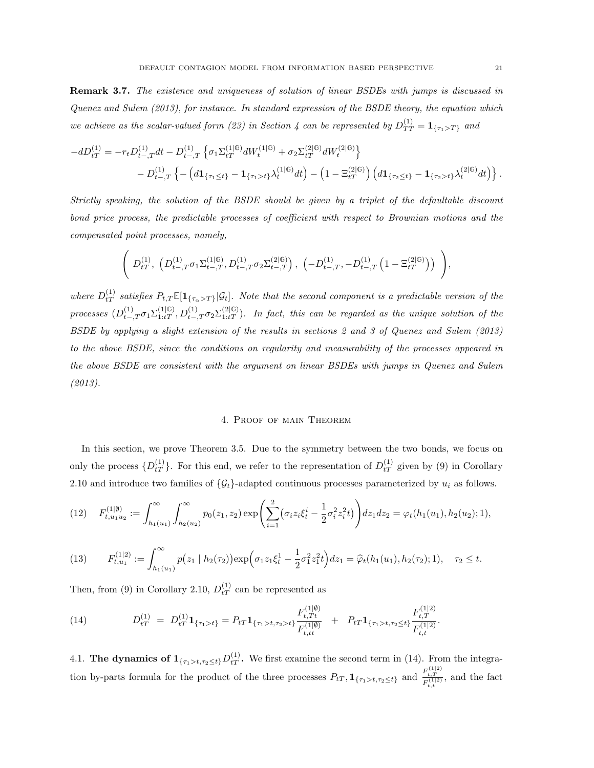**Remark 3.7.** *The existence and uniqueness of solution of linear BSDEs with jumps is discussed in Quenez and Sulem (2013), for instance. In standard expression of the BSDE theory, the equation which we achieve as the scalar-valued form (23) in Section 4 can be represented by*  $D_{TT}^{(1)} = \mathbf{1}_{\{\tau_1 > T\}}$  and

$$
-dD_{tT}^{(1)} = -r_t D_{t-,T}^{(1)} dt - D_{t-,T}^{(1)} \left\{ \sigma_1 \Sigma_{tT}^{(1|\mathbb{G})} dW_t^{(1|\mathbb{G})} + \sigma_2 \Sigma_{tT}^{(2|\mathbb{G})} dW_t^{(2|\mathbb{G})} \right\}
$$
  

$$
-D_{t-,T}^{(1)} \left\{ -\left( d\mathbf{1}_{\{\tau_1 \le t\}} - \mathbf{1}_{\{\tau_1 > t\}} \lambda_t^{(1|\mathbb{G})} dt \right) - \left( 1 - \Xi_{tT}^{(2|\mathbb{G})} \right) \left( d\mathbf{1}_{\{\tau_2 \le t\}} - \mathbf{1}_{\{\tau_2 > t\}} \lambda_t^{(2|\mathbb{G})} dt \right) \right\}.
$$

*Strictly speaking, the solution of the BSDE should be given by a triplet of the defaultable discount bond price process, the predictable processes of coefficient with respect to Brownian motions and the compensated point processes, namely,*

$$
\Bigg(\ D_{tT}^{(1)},\ \left(D_{t-,T}^{(1)}\sigma_1\Sigma_{t-,T}^{(1|\mathbb{G})},D_{t-,T}^{(1)}\sigma_2\Sigma_{t-,T}^{(2|\mathbb{G})}\right),\ \left(-D_{t-,T}^{(1)},-D_{t-,T}^{(1)}\left(1-\Xi_{tT}^{(2|\mathbb{G})}\right)\right)\ \Bigg),
$$

 $where D_{tT}^{(1)}$  satisfies  $P_{t,T} \mathbb{E}[\mathbf{1}_{\{\tau_\alpha > T\}} | \mathcal{G}_t]$ . Note that the second component is a predictable version of the processes  $(D_{t-,T}^{(1)} \sigma_1 \Sigma_{1:tT}^{(1|0)}, D_{t-,T}^{(1)} \sigma_2 \Sigma_{1:tT}^{(2|0)})$ . In fact, this can be regarded as the unique solution of the *BSDE by applying a slight extension of the results in sections 2 and 3 of Quenez and Sulem (2013) to the above BSDE, since the conditions on regularity and measurability of the processes appeared in the above BSDE are consistent with the argument on linear BSDEs with jumps in Quenez and Sulem (2013).*

#### 4. Proof of main Theorem

In this section, we prove Theorem 3.5. Due to the symmetry between the two bonds, we focus on only the process  $\{D_{tT}^{(1)}\}$ . For this end, we refer to the representation of  $D_{tT}^{(1)}$  given by (9) in Corollary 2.10 and introduce two families of  $\{\mathcal{G}_t\}$ -adapted continuous processes parameterized by  $u_i$  as follows.

$$
(12) \quad F_{t,u_1u_2}^{(1|\emptyset)} := \int_{h_1(u_1)}^{\infty} \int_{h_2(u_2)}^{\infty} p_0(z_1, z_2) \exp\left(\sum_{i=1}^2 (\sigma_i z_i \xi_t^i - \frac{1}{2} \sigma_i^2 z_i^2 t)\right) dz_1 dz_2 = \varphi_t(h_1(u_1), h_2(u_2); 1),
$$

$$
(13) \qquad F_{t,u_1}^{(1|2)} := \int_{h_1(u_1)}^{\infty} p(z_1 \mid h_2(\tau_2)) \exp\left(\sigma_1 z_1 \xi_t^1 - \frac{1}{2} \sigma_1^2 z_1^2 t\right) dz_1 = \hat{\varphi}_t(h_1(u_1), h_2(\tau_2); 1), \quad \tau_2 \leq t.
$$

Then, from (9) in Corollary 2.10,  $D_{tT}^{(1)}$  can be represented as

(14) 
$$
D_{tT}^{(1)} = D_{tT}^{(1)} \mathbf{1}_{\{\tau_1 > t\}} = P_{tT} \mathbf{1}_{\{\tau_1 > t, \tau_2 > t\}} \frac{F_{t,Tt}^{(1|\emptyset)}}{F_{t,tt}^{(1|\emptyset)}} + P_{tT} \mathbf{1}_{\{\tau_1 > t, \tau_2 \le t\}} \frac{F_{t,T}^{(1|2)}}{F_{t,t}^{(1|2)}}.
$$

4.1. **The dynamics of**  $\mathbf{1}_{\{\tau_1 > t, \tau_2 \le t\}} D_{tT}^{(1)}$ **. We first examine the second term in (14). From the integra**tion by-parts formula for the product of the three processes  $P_{tT}$ ,  $\mathbf{1}_{\{\tau_1 > t, \tau_2 \leq t\}}$  and  $\frac{F_{t,T}^{(1|2)}}{F_{t,t}^{(1|2)}}$ , and the fact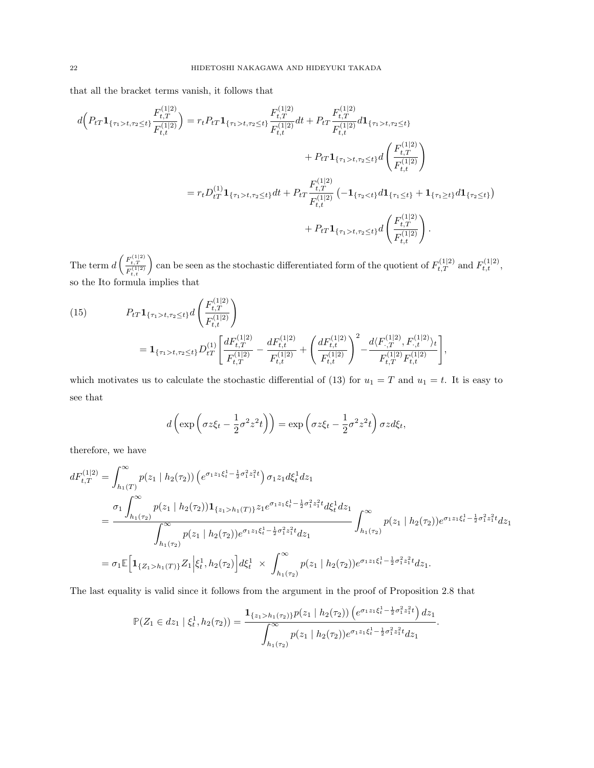that all the bracket terms vanish, it follows that

$$
d\left(P_{tT}\mathbf{1}_{\{\tau_1>t,\tau_2\leq t\}}\frac{F_{t,T}^{(1|2)}}{F_{t,t}^{(1|2)}}\right) = r_t P_{tT}\mathbf{1}_{\{\tau_1>t,\tau_2\leq t\}}\frac{F_{t,T}^{(1|2)}}{F_{t,t}^{(1|2)}}dt + P_{tT}\frac{F_{t,T}^{(1|2)}}{F_{t,t}^{(1|2)}}d\mathbf{1}_{\{\tau_1>t,\tau_2\leq t\}}dt
$$
  
+ 
$$
P_{tT}\mathbf{1}_{\{\tau_1>t,\tau_2\leq t\}}d\left(\frac{F_{t,T}^{(1|2)}}{F_{t,t}^{(1|2)}}\right)
$$
  
= 
$$
r_t D_{tT}^{(1)}\mathbf{1}_{\{\tau_1>t,\tau_2\leq t\}}dt + P_{tT}\frac{F_{t,T}^{(1|2)}}{F_{t,t}^{(1|2)}}\left(-\mathbf{1}_{\{\tau_2  
+ 
$$
P_{tT}\mathbf{1}_{\{\tau_1>t,\tau_2\leq t\}}d\left(\frac{F_{t,T}^{(1|2)}}{F_{t,t}^{(1|2)}}\right).
$$
$$

The term  $d\left(\frac{F_{t,T}^{(1|2)}}{F_{t,t}^{(1|2)}}\right)$ an be seen as the stochastic differentiated form of the quotient of  $F_{t,T}^{(1|2)}$  and  $F_{t,t}^{(1|2)}$ , so the Ito formula implies that

(15) 
$$
P_{t} \mathbf{1}_{\{\tau_1 > t, \tau_2 \le t\}} d\left(\frac{F_{t,T}^{(1|2)}}{F_{t,t}^{(1|2)}}\right)
$$

$$
= \mathbf{1}_{\{\tau_1 > t, \tau_2 \le t\}} D_{tT}^{(1)} \left[ \frac{dF_{t,T}^{(1|2)}}{F_{t,T}^{(1|2)}} - \frac{dF_{t,t}^{(1|2)}}{F_{t,t}^{(1|2)}} + \left(\frac{dF_{t,t}^{(1|2)}}{F_{t,t}^{(1|2)}}\right)^2 - \frac{d\langle F_{t,T}^{(1|2)}, F_{t,t}^{(1|2)}\rangle_t}{F_{t,T}^{(1|2)}F_{t,t}^{(1|2)}} \right]
$$

which motivates us to calculate the stochastic differential of (13) for  $u_1 = T$  and  $u_1 = t$ . It is easy to see that

*,*

$$
d\left(\exp\left(\sigma z \xi_t - \frac{1}{2}\sigma^2 z^2 t\right)\right) = \exp\left(\sigma z \xi_t - \frac{1}{2}\sigma^2 z^2 t\right) \sigma z d\xi_t,
$$

therefore, we have

$$
dF_{t,T}^{(1|2)} = \int_{h_1(T)}^{\infty} p(z_1 | h_2(\tau_2)) \left( e^{\sigma_1 z_1 \xi_t^1 - \frac{1}{2}\sigma_1^2 z_1^2 t} \right) \sigma_1 z_1 d\xi_t^1 dz_1
$$
  
\n
$$
= \frac{\sigma_1 \int_{h_1(\tau_2)}^{\infty} p(z_1 | h_2(\tau_2)) \mathbf{1}_{\{z_1 > h_1(T)\}} z_1 e^{\sigma_1 z_1 \xi_t^1 - \frac{1}{2}\sigma_1^2 z_1^2 t} d\xi_t^1 dz_1}{\int_{h_1(\tau_2)}^{\infty} p(z_1 | h_2(\tau_2)) e^{\sigma_1 z_1 \xi_t^1 - \frac{1}{2}\sigma_1^2 z_1^2 t} dz_1} \int_{h_1(\tau_2)}^{\infty} p(z_1 | h_2(\tau_2)) e^{\sigma_1 z_1 \xi_t^1 - \frac{1}{2}\sigma_1^2 z_1^2 t} dz_1
$$
  
\n
$$
= \sigma_1 \mathbb{E} \Big[ \mathbf{1}_{\{Z_1 > h_1(T)\}} Z_1 \Big| \xi_t^1, h_2(\tau_2) \Big] d\xi_t^1 \times \int_{h_1(\tau_2)}^{\infty} p(z_1 | h_2(\tau_2)) e^{\sigma_1 z_1 \xi_t^1 - \frac{1}{2}\sigma_1^2 z_1^2 t} dz_1.
$$

The last equality is valid since it follows from the argument in the proof of Proposition 2.8 that

$$
\mathbb{P}(Z_1 \in dz_1 \mid \xi_t^1, h_2(\tau_2)) = \frac{\mathbf{1}_{\{z_1 > h_1(\tau_2)\}} p(z_1 \mid h_2(\tau_2)) \left(e^{\sigma_1 z_1 \xi_t^1 - \frac{1}{2}\sigma_1^2 z_1^2 t}\right) dz_1}{\int_{h_1(\tau_2)}^{\infty} p(z_1 \mid h_2(\tau_2)) e^{\sigma_1 z_1 \xi_t^1 - \frac{1}{2}\sigma_1^2 z_1^2 t} dz_1}.
$$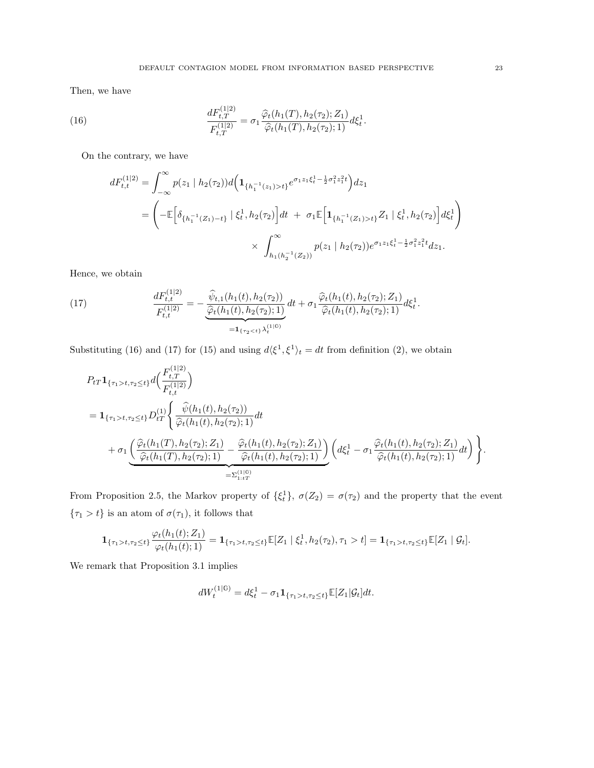Then, we have

(16) 
$$
\frac{dF_{t,T}^{(1|2)}}{F_{t,T}^{(1|2)}} = \sigma_1 \frac{\widehat{\varphi}_t(h_1(T), h_2(\tau_2); Z_1)}{\widehat{\varphi}_t(h_1(T), h_2(\tau_2); 1)} d\xi_t^1.
$$

On the contrary, we have

$$
dF_{t,t}^{(1|2)} = \int_{-\infty}^{\infty} p(z_1 | h_2(\tau_2)) d\left(\mathbf{1}_{\{h_1^{-1}(z_1) > t\}} e^{\sigma_1 z_1 \xi_t^1 - \frac{1}{2}\sigma_1^2 z_1^2 t}\right) dz_1
$$
  
= 
$$
\left(-\mathbb{E}\Big[\delta_{\{h_1^{-1}(Z_1) - t\}} | \xi_t^1, h_2(\tau_2)\Big] dt + \sigma_1 \mathbb{E}\Big[\mathbf{1}_{\{h_1^{-1}(Z_1) > t\}} Z_1 | \xi_t^1, h_2(\tau_2)\Big] d\xi_t^1\right)
$$

$$
\times \int_{h_1(h_2^{-1}(Z_2))}^{\infty} p(z_1 | h_2(\tau_2)) e^{\sigma_1 z_1 \xi_t^1 - \frac{1}{2}\sigma_1^2 z_1^2 t} dz_1.
$$

Hence, we obtain

(17) 
$$
\frac{dF_{t,t}^{(1|2)}}{F_{t,t}^{(1|2)}} = -\frac{\widehat{\psi}_{t,1}(h_1(t), h_2(\tau_2))}{\widehat{\mathcal{L}}_t(h_1(t), h_2(\tau_2); 1)} dt + \sigma_1 \frac{\widehat{\varphi}_t(h_1(t), h_2(\tau_2); Z_1)}{\widehat{\varphi}_t(h_1(t), h_2(\tau_2); 1)} d\xi_t^1.
$$

Substituting (16) and (17) for (15) and using  $d\langle\xi^1,\xi^1\rangle_t = dt$  from definition (2), we obtain

$$
P_{t}T1_{\{\tau_{1}>t,\tau_{2}\leq t\}}d\left(\frac{F_{t,T}^{(1|2)}}{F_{t,t}^{(1|2)}}\right)
$$
  
=  $1_{\{\tau_{1}>t,\tau_{2}\leq t\}}D_{tT}^{(1)}\left\{\frac{\widehat{\psi}(h_{1}(t),h_{2}(\tau_{2}))}{\widehat{\varphi}_{t}(h_{1}(t),h_{2}(\tau_{2});1)}dt\right\}$   
+  $\sigma_{1}\underbrace{\left(\frac{\widehat{\varphi}_{t}(h_{1}(T),h_{2}(\tau_{2});Z_{1})}{\widehat{\varphi}_{t}(h_{1}(T),h_{2}(\tau_{2});1)}-\frac{\widehat{\varphi}_{t}(h_{1}(t),h_{2}(\tau_{2});Z_{1})}{\widehat{\varphi}_{t}(h_{1}(t),h_{2}(\tau_{2});1)}\right)}_{=\Sigma_{1:tT}^{(1|0)}}\left(d\xi_{t}^{1}-\sigma_{1}\frac{\widehat{\varphi}_{t}(h_{1}(t),h_{2}(\tau_{2});Z_{1})}{\widehat{\varphi}_{t}(h_{1}(t),h_{2}(\tau_{2});1)}dt\right)\right\}.$ 

From Proposition 2.5, the Markov property of  $\{\xi_t^1\}, \sigma(Z_2) = \sigma(\tau_2)$  and the property that the event  ${\tau_1 > t}$  is an atom of  $\sigma(\tau_1)$ , it follows that

$$
\mathbf{1}_{\{\tau_1 > t, \tau_2 \leq t\}} \frac{\varphi_t(h_1(t); Z_1)}{\varphi_t(h_1(t); 1)} = \mathbf{1}_{\{\tau_1 > t, \tau_2 \leq t\}} \mathbb{E}[Z_1 \mid \xi_t^1, h_2(\tau_2), \tau_1 > t] = \mathbf{1}_{\{\tau_1 > t, \tau_2 \leq t\}} \mathbb{E}[Z_1 \mid \mathcal{G}_t].
$$

We remark that Proposition 3.1 implies

$$
dW_t^{(1|\mathbb{G})} = d\xi_t^1 - \sigma_1 \mathbf{1}_{\{\tau_1 > t, \tau_2 \le t\}} \mathbb{E}[Z_1 | \mathcal{G}_t] dt.
$$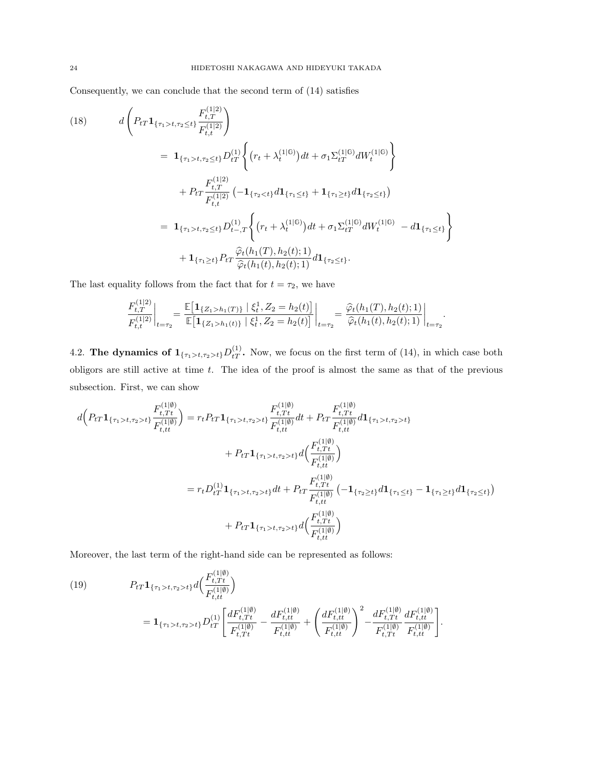Consequently, we can conclude that the second term of (14) satisfies

(18) 
$$
d\left(P_{tT}\mathbf{1}_{\{\tau_1 > t, \tau_2 \leq t\}} \frac{F_{t,T}^{(1|2)}}{F_{t,t}^{(1|2)}}\right)
$$
  
\n
$$
= \mathbf{1}_{\{\tau_1 > t, \tau_2 \leq t\}} D_{tT}^{(1)} \left\{ (r_t + \lambda_t^{(1|0)}) dt + \sigma_1 \Sigma_{tT}^{(1|0)} dW_t^{(1|0)} \right\}
$$
  
\n
$$
+ P_{tT} \frac{F_{t,T}^{(1|2)}}{F_{t,t}^{(1|2)}} \left( -\mathbf{1}_{\{\tau_2 < t\}} d\mathbf{1}_{\{\tau_1 \leq t\}} + \mathbf{1}_{\{\tau_1 \geq t\}} d\mathbf{1}_{\{\tau_2 \leq t\}} \right)
$$
  
\n
$$
= \mathbf{1}_{\{\tau_1 > t, \tau_2 \leq t\}} D_{t-,T}^{(1)} \left\{ (r_t + \lambda_t^{(1|0)}) dt + \sigma_1 \Sigma_{tT}^{(1|0)} dW_t^{(1|0)} - d\mathbf{1}_{\{\tau_1 \leq t\}} \right\}
$$
  
\n
$$
+ \mathbf{1}_{\{\tau_1 \geq t\}} P_{tT} \frac{\widehat{\varphi}_t(h_1(T), h_2(t); 1)}{\widehat{\varphi}_t(h_1(t), h_2(t); 1)} d\mathbf{1}_{\{\tau_2 \leq t\}}.
$$

The last equality follows from the fact that for  $t = \tau_2$ , we have

$$
\frac{F_{t,T}^{(1|2)}}{F_{t,t}^{(1|2)}}\bigg|_{t=\tau_2} = \frac{\mathbb{E}\big[\mathbf{1}_{\{Z_1 > h_1(T)\}} \mid \xi_t^1, Z_2 = h_2(t) \big] }{\mathbb{E}\big[\mathbf{1}_{\{Z_1 > h_1(t)\}} \mid \xi_t^1, Z_2 = h_2(t) \big] } \bigg|_{t=\tau_2} = \frac{\widehat{\varphi}_t(h_1(T), h_2(t); 1)}{\widehat{\varphi}_t(h_1(t), h_2(t); 1)} \bigg|_{t=\tau_2}.
$$

4.2. **The dynamics of**  $\mathbf{1}_{\{\tau_1 > t, \tau_2 > t\}} D_{tT}^{(1)}$ **. Now, we focus on the first term of (14), in which case both** obligors are still active at time *t*. The idea of the proof is almost the same as that of the previous subsection. First, we can show

$$
d\left(P_{tT}\mathbf{1}_{\{\tau_{1} > t, \tau_{2} > t\}}\frac{F_{t, Tt}^{(1|\emptyset)}}{F_{t, tt}^{(1|\emptyset)}}\right) = r_{t}P_{tT}\mathbf{1}_{\{\tau_{1} > t, \tau_{2} > t\}}\frac{F_{t, Tt}^{(1|\emptyset)}}{F_{t, tt}^{(1|\emptyset)}}dt + P_{tT}\frac{F_{t, Tt}^{(1|\emptyset)}}{F_{t, tt}^{(1|\emptyset)}}d\mathbf{1}_{\{\tau_{1} > t, \tau_{2} > t\}}dt
$$

$$
+ P_{tT}\mathbf{1}_{\{\tau_{1} > t, \tau_{2} > t\}}d\left(\frac{F_{t, Tt}^{(1|\emptyset)}}{F_{t, tt}^{(1|\emptyset)}}\right)
$$

$$
= r_{t}D_{tT}^{(1)}\mathbf{1}_{\{\tau_{1} > t, \tau_{2} > t\}}dt + P_{tT}\frac{F_{t, Tt}^{(1|\emptyset)}}{F_{t, tt}^{(1|\emptyset)}}\left(-\mathbf{1}_{\{\tau_{2} \ge t\}}d\mathbf{1}_{\{\tau_{1} \le t\}} - \mathbf{1}_{\{\tau_{1} \ge t\}}d\mathbf{1}_{\{\tau_{2} \le t\}}\right)
$$

$$
+ P_{tT}\mathbf{1}_{\{\tau_{1} > t, \tau_{2} > t\}}d\left(\frac{F_{t, Tt}^{(1|\emptyset)}}{F_{t, tt}^{(1|\emptyset)}}\right)
$$

Moreover, the last term of the right-hand side can be represented as follows:

(19) 
$$
P_{t} \mathbf{1}_{\{\tau_1 > t, \tau_2 > t\}} d\left(\frac{F_{t, Tt}^{(1|\emptyset)}}{F_{t, tt}^{(1|\emptyset)}}\right)
$$

$$
= \mathbf{1}_{\{\tau_1 > t, \tau_2 > t\}} D_{t}^{(1)} \left[ \frac{dF_{t, Tt}^{(1|\emptyset)}}{F_{t, Tt}^{(1|\emptyset)}} - \frac{dF_{t, tt}^{(1|\emptyset)}}{F_{t, tt}^{(1|\emptyset)}} + \left(\frac{dF_{t, tt}^{(1|\emptyset)}}{F_{t, tt}^{(1|\emptyset)}}\right)^2 - \frac{dF_{t, Tt}^{(1|\emptyset)}}{F_{t, Tt}^{(1|\emptyset)}} \frac{dF_{t, tt}^{(1|\emptyset)}}{F_{t, tt}^{(1|\emptyset)}} \right].
$$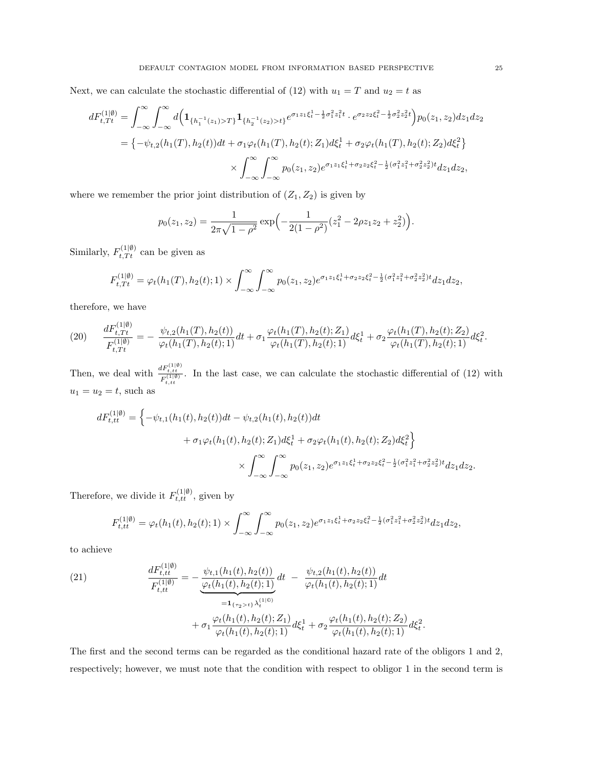Next, we can calculate the stochastic differential of (12) with  $u_1 = T$  and  $u_2 = t$  as

$$
dF_{t,Tt}^{(1|\emptyset)} = \int_{-\infty}^{\infty} \int_{-\infty}^{\infty} d\Big( \mathbf{1}_{\{h_1^{-1}(z_1) > T\}} \mathbf{1}_{\{h_2^{-1}(z_2) > t\}} e^{\sigma_1 z_1 \xi_t^1 - \frac{1}{2}\sigma_1^2 z_1^2 t} \cdot e^{\sigma_2 z_2 \xi_t^2 - \frac{1}{2}\sigma_2^2 z_2^2 t} \Big) p_0(z_1, z_2) dz_1 dz_2
$$
\n
$$
= \left\{ -\psi_{t,2}(h_1(T), h_2(t))dt + \sigma_1 \varphi_t(h_1(T), h_2(t); Z_1) d\xi_t^1 + \sigma_2 \varphi_t(h_1(T), h_2(t); Z_2) d\xi_t^2 \right\}
$$
\n
$$
\times \int_{-\infty}^{\infty} \int_{-\infty}^{\infty} p_0(z_1, z_2) e^{\sigma_1 z_1 \xi_t^1 + \sigma_2 z_2 \xi_t^2 - \frac{1}{2}(\sigma_1^2 z_1^2 + \sigma_2^2 z_2^2)t} dz_1 dz_2,
$$

where we remember the prior joint distribution of  $(Z_1, Z_2)$  is given by

$$
p_0(z_1, z_2) = \frac{1}{2\pi\sqrt{1-\rho^2}} \exp\left(-\frac{1}{2(1-\rho^2)}(z_1^2 - 2\rho z_1 z_2 + z_2^2)\right).
$$

Similarly,  $F_{t, Tt}^{(1|\emptyset)}$  can be given as

$$
F_{t,Tt}^{(1|\emptyset)} = \varphi_t(h_1(T), h_2(t); 1) \times \int_{-\infty}^{\infty} \int_{-\infty}^{\infty} p_0(z_1, z_2) e^{\sigma_1 z_1 \xi_t^1 + \sigma_2 z_2 \xi_t^2 - \frac{1}{2} (\sigma_1^2 z_1^2 + \sigma_2^2 z_2^2) t} dz_1 dz_2,
$$

therefore, we have

(20) 
$$
\frac{dF_{t, Tt}^{(1|\emptyset)}}{F_{t, Tt}^{(1|\emptyset)}} = -\frac{\psi_{t, 2}(h_1(T), h_2(t))}{\varphi_t(h_1(T), h_2(t); 1)} dt + \sigma_1 \frac{\varphi_t(h_1(T), h_2(t); Z_1)}{\varphi_t(h_1(T), h_2(t); 1)} d\xi_t^1 + \sigma_2 \frac{\varphi_t(h_1(T), h_2(t); Z_2)}{\varphi_t(h_1(T), h_2(t); 1)} d\xi_t^2.
$$

Then, we deal with  $\frac{dF_{t,tt}^{(1|\emptyset)}}{F_{t,tt}^{(1|\emptyset)}}$ . In the last case, we can calculate the stochastic differential of (12) with  $u_1 = u_2 = t$ , such as

$$
dF_{t,tt}^{(1|\emptyset)} = \left\{-\psi_{t,1}(h_1(t), h_2(t))dt - \psi_{t,2}(h_1(t), h_2(t))dt + \sigma_1\varphi_t(h_1(t), h_2(t); Z_1)d\xi_t^1 + \sigma_2\varphi_t(h_1(t), h_2(t); Z_2)d\xi_t^2\right\}
$$

$$
\times \int_{-\infty}^{\infty} \int_{-\infty}^{\infty} p_0(z_1, z_2) e^{\sigma_1 z_1 \xi_t^1 + \sigma_2 z_2 \xi_t^2 - \frac{1}{2}(\sigma_1^2 z_1^2 + \sigma_2^2 z_2^2)t} dz_1 dz_2.
$$

Therefore, we divide it  $F_{t,tt}^{(1|\emptyset)}$ , given by

$$
F_{t,tt}^{(1|\emptyset)} = \varphi_t(h_1(t), h_2(t); 1) \times \int_{-\infty}^{\infty} \int_{-\infty}^{\infty} p_0(z_1, z_2) e^{\sigma_1 z_1 \xi_t^1 + \sigma_2 z_2 \xi_t^2 - \frac{1}{2} (\sigma_1^2 z_1^2 + \sigma_2^2 z_2^2) t} dz_1 dz_2,
$$

to achieve

(21) 
$$
\frac{dF_{t,tt}^{(1|\emptyset)}}{F_{t,tt}^{(1|\emptyset)}} = -\frac{\psi_{t,1}(h_1(t), h_2(t))}{\varphi_t(h_1(t), h_2(t); 1)} dt - \frac{\psi_{t,2}(h_1(t), h_2(t))}{\varphi_t(h_1(t), h_2(t); 1)} dt \n= \mathbf{1}_{\{\tau_2 > t\}} \lambda_t^{(1|\Theta)} \n+ \sigma_1 \frac{\varphi_t(h_1(t), h_2(t); Z_1)}{\varphi_t(h_1(t), h_2(t); 1)} d\xi_t^1 + \sigma_2 \frac{\varphi_t(h_1(t), h_2(t); Z_2)}{\varphi_t(h_1(t), h_2(t); 1)} d\xi_t^2
$$

The first and the second terms can be regarded as the conditional hazard rate of the obligors 1 and 2, respectively; however, we must note that the condition with respect to obligor 1 in the second term is

*.*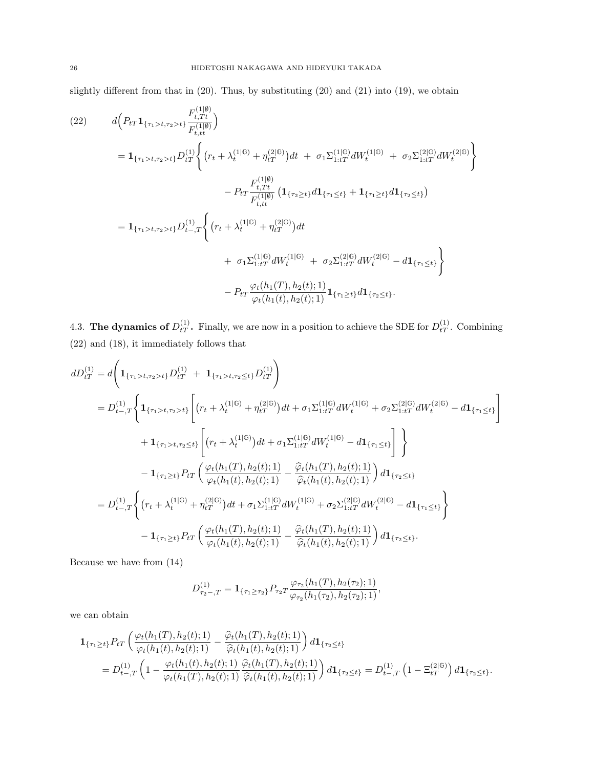slightly different from that in (20). Thus, by substituting (20) and (21) into (19), we obtain

(22) 
$$
d\left(P_{t}T\mathbf{1}_{\{\tau_{1}>t,\tau_{2}>t\}}\frac{F_{t,T}^{(1|\emptyset)}}{F_{t,t}^{(1|\emptyset)}}\right)
$$
\n
$$
= \mathbf{1}_{\{\tau_{1}>t,\tau_{2}>t\}}D_{tT}^{(1)}\left\{(r_{t} + \lambda_{t}^{(1|\emptyset)} + \eta_{tT}^{(2|\emptyset)})dt + \sigma_{1}\Sigma_{1:tT}^{(1|\emptyset)}dW_{t}^{(1|\emptyset)} + \sigma_{2}\Sigma_{1:tT}^{(2|\emptyset)}dW_{t}^{(2|\emptyset)}\right\}
$$
\n
$$
- P_{tT}\frac{F_{t,Tt}^{(1|\emptyset)}}{F_{t,tt}^{(1|\emptyset)}}\left(\mathbf{1}_{\{\tau_{2}\geq t\}}d\mathbf{1}_{\{\tau_{1}\leq t\}} + \mathbf{1}_{\{\tau_{1}\geq t\}}d\mathbf{1}_{\{\tau_{2}\leq t\}}\right)
$$
\n
$$
= \mathbf{1}_{\{\tau_{1}>t,\tau_{2}>t\}}D_{t-,T}^{(1)}\left\{(r_{t} + \lambda_{t}^{(1|\emptyset)} + \eta_{tT}^{(2|\emptyset)})dt + \sigma_{1}\Sigma_{1:tT}^{(1|\emptyset)}dW_{t}^{(1|\emptyset)} + \sigma_{2}\Sigma_{1:tT}^{(2|\emptyset)}dW_{t}^{(2|\emptyset)} - d\mathbf{1}_{\{\tau_{1}\leq t\}}\right\}
$$
\n
$$
- P_{tT}\frac{\varphi_{t}(h_{1}(T), h_{2}(t); 1)}{\varphi_{t}(h_{1}(t), h_{2}(t); 1)}\mathbf{1}_{\{\tau_{1}\geq t\}}d\mathbf{1}_{\{\tau_{2}\leq t\}}.
$$

4.3. **The dynamics of**  $D_{tT}^{(1)}$ . Finally, we are now in a position to achieve the SDE for  $D_{tT}^{(1)}$ . Combining (22) and (18), it immediately follows that

$$
dD_{tT}^{(1)} = d\left(\mathbf{1}_{\{\tau_1 > t, \tau_2 > t\}} D_{tT}^{(1)} + \mathbf{1}_{\{\tau_1 > t, \tau_2 \le t\}} D_{tT}^{(1)}\right)
$$
  
\n
$$
= D_{t-,\mathcal{T}}^{(1)} \left\{\mathbf{1}_{\{\tau_1 > t, \tau_2 > t\}} \left[ (r_t + \lambda_t^{(1|G)} + \eta_{tT}^{(2|G)}) dt + \sigma_1 \Sigma_{1:tT}^{(1|G)} dW_t^{(1|G)} + \sigma_2 \Sigma_{1:tT}^{(2|G)} dW_t^{(2|G)} - d\mathbf{1}_{\{\tau_1 \le t\}} \right] \right\}
$$
  
\n
$$
+ \mathbf{1}_{\{\tau_1 > t, \tau_2 \le t\}} \left[ (r_t + \lambda_t^{(1|G)}) dt + \sigma_1 \Sigma_{1:tT}^{(1|G)} dW_t^{(1|G)} - d\mathbf{1}_{\{\tau_1 \le t\}} \right] \right\}
$$
  
\n
$$
- \mathbf{1}_{\{\tau_1 \ge t\}} P_{tT} \left( \frac{\varphi_t(h_1(T), h_2(t); 1)}{\varphi_t(h_1(t), h_2(t); 1)} - \frac{\widehat{\varphi}_t(h_1(T), h_2(t); 1)}{\widehat{\varphi}_t(h_1(t), h_2(t); 1)} \right) d\mathbf{1}_{\{\tau_2 \le t\}}
$$
  
\n
$$
= D_{t-,\mathcal{T}}^{(1)} \left\{ (r_t + \lambda_t^{(1|G)} + \eta_{tT}^{(2|G)}) dt + \sigma_1 \Sigma_{1:tT}^{(1|G)} dW_t^{(1|G)} + \sigma_2 \Sigma_{1:tT}^{(2|G)} dW_t^{(2|G)} - d\mathbf{1}_{\{\tau_1 \le t\}} \right\}
$$
  
\n
$$
- \mathbf{1}_{\{\tau_1 \ge t\}} P_{tT} \left( \frac{\varphi_t(h_1(T), h_2(t); 1)}{\varphi_t(h_1(t), h_2(t); 1)} - \frac{\widehat{\varphi}_t(h_1(T), h_2(t); 1)}{\widehat{\varphi}_t(h_1(t), h_2(t); 1)} \right) d\mathbf{1}_{\{\tau_2 \le t\}}.
$$

Because we have from (14)

$$
D_{\tau_2-\text{,}T}^{(1)} = \mathbf{1}_{\{\tau_1 \geq \tau_2\}} P_{\tau_2} T \frac{\varphi_{\tau_2}(h_1(T), h_2(\tau_2); 1)}{\varphi_{\tau_2}(h_1(\tau_2), h_2(\tau_2); 1)},
$$

we can obtain

$$
\begin{split} \mathbf{1}_{\{\tau_{1}\geq t\}} P_{tT} \left( \frac{\varphi_{t}(h_{1}(T), h_{2}(t); 1)}{\varphi_{t}(h_{1}(t), h_{2}(t); 1)} - \frac{\widehat{\varphi}_{t}(h_{1}(T), h_{2}(t); 1)}{\widehat{\varphi}_{t}(h_{1}(t), h_{2}(t); 1)} \right) d\mathbf{1}_{\{\tau_{2}\leq t\}} \\ &= D_{t-,T}^{(1)} \left( 1 - \frac{\varphi_{t}(h_{1}(t), h_{2}(t); 1)}{\varphi_{t}(h_{1}(T), h_{2}(t); 1)} \frac{\widehat{\varphi}_{t}(h_{1}(T), h_{2}(t); 1)}{\widehat{\varphi}_{t}(h_{1}(t), h_{2}(t); 1)} \right) d\mathbf{1}_{\{\tau_{2}\leq t\}} = D_{t-,T}^{(1)} \left( 1 - \Xi_{tT}^{(2|0)} \right) d\mathbf{1}_{\{\tau_{2}\leq t\}}. \end{split}
$$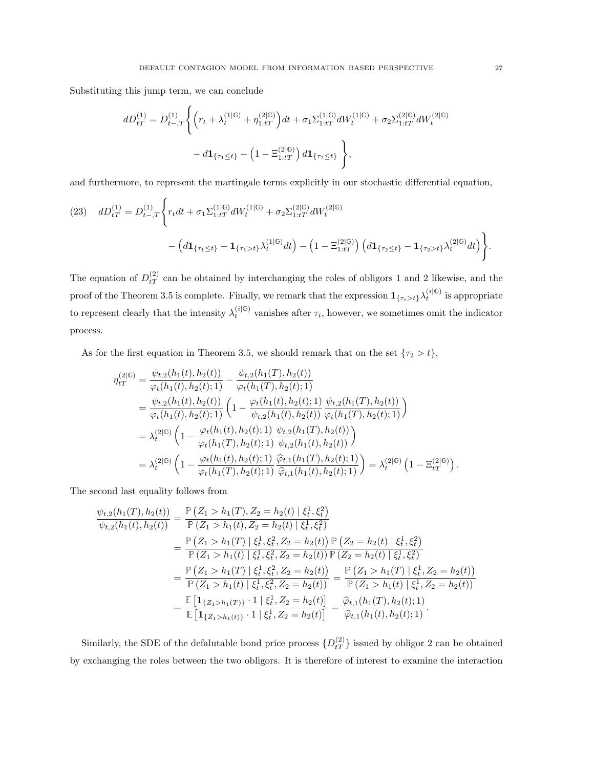Substituting this jump term, we can conclude

$$
dD_{tT}^{(1)} = D_{t-,T}^{(1)} \left\{ \left( r_t + \lambda_t^{(1|\mathbb{G})} + \eta_{1:tT}^{(2|\mathbb{G})} \right) dt + \sigma_1 \Sigma_{1:tT}^{(1|\mathbb{G})} dW_t^{(1|\mathbb{G})} + \sigma_2 \Sigma_{1:tT}^{(2|\mathbb{G})} dW_t^{(2|\mathbb{G})} \right.- d\mathbf{1}_{\{\tau_1 \le t\}} - \left( 1 - \Xi_{1:tT}^{(2|\mathbb{G})} \right) d\mathbf{1}_{\{\tau_2 \le t\}} \right\},
$$

and furthermore, to represent the martingale terms explicitly in our stochastic differential equation,

(23) 
$$
dD_{tT}^{(1)} = D_{t-,T}^{(1)} \left\{ r_t dt + \sigma_1 \Sigma_{1:tT}^{(1|\mathbb{G})} dW_t^{(1|\mathbb{G})} + \sigma_2 \Sigma_{1:tT}^{(2|\mathbb{G})} dW_t^{(2|\mathbb{G})} - \left( d\mathbf{1}_{\{\tau_1 \le t\}} - \mathbf{1}_{\{\tau_1 > t\}} \lambda_t^{(1|\mathbb{G})} dt \right) - \left( 1 - \Xi_{1:tT}^{(2|\mathbb{G})} \right) \left( d\mathbf{1}_{\{\tau_2 \le t\}} - \mathbf{1}_{\{\tau_2 > t\}} \lambda_t^{(2|\mathbb{G})} dt \right) \right\}.
$$

The equation of  $D_{tT}^{(2)}$  can be obtained by interchanging the roles of obligors 1 and 2 likewise, and the proof of the Theorem 3.5 is complete. Finally, we remark that the expression  $\mathbf{1}_{\{\tau_i > t\}} \lambda_t^{(i|G)}$  is appropriate to represent clearly that the intensity  $\lambda_t^{(i|G)}$  vanishes after  $\tau_i$ , however, we sometimes omit the indicator process.

As for the first equation in Theorem 3.5, we should remark that on the set  ${\tau_2 > t}$ ,

$$
\eta_{tT}^{(2|\mathbb{G})} = \frac{\psi_{t,2}(h_1(t), h_2(t))}{\varphi_t(h_1(t), h_2(t); 1)} - \frac{\psi_{t,2}(h_1(T), h_2(t))}{\varphi_t(h_1(T), h_2(t); 1)} \n= \frac{\psi_{t,2}(h_1(t), h_2(t))}{\varphi_t(h_1(t), h_2(t); 1)} \left(1 - \frac{\varphi_t(h_1(t), h_2(t); 1)}{\psi_{t,2}(h_1(t), h_2(t))} \frac{\psi_{t,2}(h_1(T), h_2(t))}{\varphi_t(h_1(T), h_2(t); 1)}\right) \n= \lambda_t^{(2|\mathbb{G})} \left(1 - \frac{\varphi_t(h_1(t), h_2(t); 1)}{\varphi_t(h_1(T), h_2(t); 1)} \frac{\psi_{t,2}(h_1(T), h_2(t))}{\psi_{t,2}(h_1(t), h_2(t))}\right) \n= \lambda_t^{(2|\mathbb{G})} \left(1 - \frac{\varphi_t(h_1(t), h_2(t); 1)}{\varphi_t(h_1(T), h_2(t); 1)} \frac{\widehat{\varphi}_{t,1}(h_1(T), h_2(t); 1)}{\widehat{\varphi}_{t,1}(h_1(t), h_2(t); 1)}\right) = \lambda_t^{(2|\mathbb{G})} \left(1 - \Xi_{tT}^{(2|\mathbb{G})}\right).
$$

The second last equality follows from

$$
\frac{\psi_{t,2}(h_1(T), h_2(t))}{\psi_{t,2}(h_1(t), h_2(t))} = \frac{\mathbb{P}\left(Z_1 > h_1(T), Z_2 = h_2(t) \mid \xi_t^1, \xi_t^2\right)}{\mathbb{P}\left(Z_1 > h_1(t), Z_2 = h_2(t) \mid \xi_t^1, \xi_t^2\right)}
$$
\n
$$
= \frac{\mathbb{P}\left(Z_1 > h_1(T) \mid \xi_t^1, \xi_t^2, Z_2 = h_2(t)\right) \mathbb{P}\left(Z_2 = h_2(t) \mid \xi_t^1, \xi_t^2\right)}{\mathbb{P}\left(Z_1 > h_1(t) \mid \xi_t^1, \xi_t^2, Z_2 = h_2(t)\right) \mathbb{P}\left(Z_2 = h_2(t) \mid \xi_t^1, \xi_t^2\right)}
$$
\n
$$
= \frac{\mathbb{P}\left(Z_1 > h_1(T) \mid \xi_t^1, \xi_t^2, Z_2 = h_2(t)\right)}{\mathbb{P}\left(Z_1 > h_1(t) \mid \xi_t^1, \xi_t^2, Z_2 = h_2(t)\right)} = \frac{\mathbb{P}\left(Z_1 > h_1(T) \mid \xi_t^1, Z_2 = h_2(t)\right)}{\mathbb{P}\left(Z_1 > h_1(t) \mid \xi_t^1, Z_2 = h_2(t)\right)}
$$
\n
$$
= \frac{\mathbb{E}\left[1_{\{Z_1 > h_1(T)\}} \cdot 1 \mid \xi_t^1, Z_2 = h_2(t)\right]}{\mathbb{E}\left[1_{\{Z_1 > h_1(t)\}} \cdot 1 \mid \xi_t^1, Z_2 = h_2(t)\right]} = \frac{\widehat{\varphi}_{t,1}(h_1(T), h_2(t); 1)}{\widehat{\varphi}_{t,1}(h_1(t), h_2(t); 1)}.
$$

Similarly, the SDE of the defalutable bond price process  $\{D_{tT}^{(2)}\}$  issued by obligor 2 can be obtained by exchanging the roles between the two obligors. It is therefore of interest to examine the interaction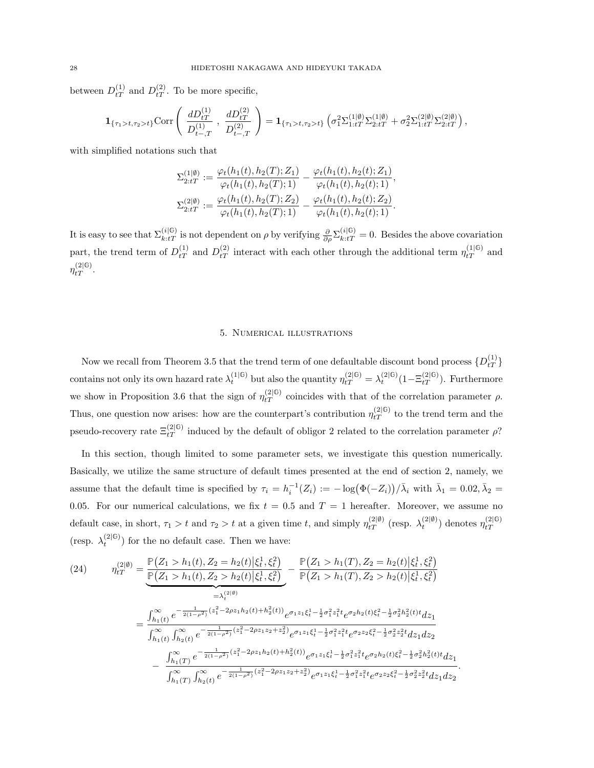between  $D_{tT}^{(1)}$  and  $D_{tT}^{(2)}$ . To be more specific,

$$
\mathbf{1}_{\{\tau_1 > t, \tau_2 > t\}} \text{Corr}\left(\begin{array}{c} dD_{tT}^{(1)} \\ D_{t-,T}^{(1)} \end{array}, \frac{dD_{tT}^{(2)}}{D_{t-,T}^{(2)}}\right) = \mathbf{1}_{\{\tau_1 > t, \tau_2 > t\}} \left(\sigma_1^2 \Sigma_{1:tT}^{(1|\emptyset)} \Sigma_{2:tT}^{(1|\emptyset)} + \sigma_2^2 \Sigma_{1:tT}^{(2|\emptyset)} \Sigma_{2:tT}^{(2|\emptyset)}\right),
$$

with simplified notations such that

$$
\Sigma_{2:tT}^{(1|\emptyset)} := \frac{\varphi_t(h_1(t), h_2(T); Z_1)}{\varphi_t(h_1(t), h_2(T); 1)} - \frac{\varphi_t(h_1(t), h_2(t); Z_1)}{\varphi_t(h_1(t), h_2(t); 1)},
$$
  

$$
\Sigma_{2:tT}^{(2|\emptyset)} := \frac{\varphi_t(h_1(t), h_2(T); Z_2)}{\varphi_t(h_1(t), h_2(T); 1)} - \frac{\varphi_t(h_1(t), h_2(t); Z_2)}{\varphi_t(h_1(t), h_2(t); 1)}.
$$

It is easy to see that  $\Sigma_{k:tT}^{(i|G)}$  is not dependent on  $\rho$  by verifying  $\frac{\partial}{\partial \rho} \Sigma_{k:tT}^{(i|G)} = 0$ . Besides the above covariation part, the trend term of  $D_{tT}^{(1)}$  and  $D_{tT}^{(2)}$  interact with each other through the additional term  $\eta_{tT}^{(1|6)}$  and  $\eta_{tT}^{(2|\mathbb{G})}$ .

#### 5. Numerical illustrations

Now we recall from Theorem 3.5 that the trend term of one defaultable discount bond process  $\{D_{tT}^{(1)}\}$ contains not only its own hazard rate  $\lambda_t^{(1|\mathbb{G})}$  but also the quantity  $\eta_{tT}^{(2|\mathbb{G})} = \lambda_t^{(2|\mathbb{G})} (1 - \Xi_{tT}^{(2|\mathbb{G})})$ . Furthermore we show in Proposition 3.6 that the sign of  $\eta_{tT}^{(2|G)}$  coincides with that of the correlation parameter  $\rho$ . Thus, one question now arises: how are the counterpart's contribution  $\eta_{tT}^{(2|\mathbb{G})}$  to the trend term and the pseudo-recovery rate  $\Xi_{tT}^{(2|G)}$  induced by the default of obligor 2 related to the correlation parameter  $\rho$ ?

In this section, though limited to some parameter sets, we investigate this question numerically. Basically, we utilize the same structure of default times presented at the end of section 2, namely, we assume that the default time is specified by  $\tau_i = h_i^{-1}(Z_i) := -\log(\Phi(-Z_i))/\bar{\lambda}_i$  with  $\bar{\lambda}_1 = 0.02, \bar{\lambda}_2 =$ 0.05. For our numerical calculations, we fix  $t = 0.5$  and  $T = 1$  hereafter. Moreover, we assume no default case, in short,  $\tau_1 > t$  and  $\tau_2 > t$  at a given time t, and simply  $\eta_{tT}^{(2|\emptyset)}$  (resp.  $\lambda_t^{(2|\emptyset)})$ ) denotes  $\eta_{tT}^{(2|\emptyset)}$ (resp.  $\lambda_t^{(2|G)}$ ) for the no default case. Then we have:

$$
(24) \qquad \eta_{tT}^{(2|\emptyset)} = \frac{\mathbb{P}\left(Z_{1} > h_{1}(t), Z_{2} = h_{2}(t) \Big| \xi_{t}^{1}, \xi_{t}^{2}\right)}{\mathbb{P}\left(Z_{1} > h_{1}(t), Z_{2} > h_{2}(t) \Big| \xi_{t}^{1}, \xi_{t}^{2}\right)} - \frac{\mathbb{P}\left(Z_{1} > h_{1}(T), Z_{2} = h_{2}(t) \Big| \xi_{t}^{1}, \xi_{t}^{2}\right)}{\mathbb{P}\left(Z_{1} > h_{1}(T), Z_{2} > h_{2}(t) \Big| \xi_{t}^{1}, \xi_{t}^{2}\right)} \\
= \lambda_{t}^{(2|\emptyset)} \\
= \frac{\int_{h_{1}(t)}^{\infty} e^{-\frac{1}{2(1-\rho^{2})}(z_{1}^{2}-2\rho z_{1}h_{2}(t)+h_{2}^{2}(t))} e^{\sigma_{1}z_{1}\xi_{t}^{1}-\frac{1}{2}\sigma_{1}^{2}z_{1}^{2}t} e^{\sigma_{2}h_{2}(t)\xi_{t}^{2}-\frac{1}{2}\sigma_{2}^{2}h_{2}^{2}(t)t} dz_{1}}{\int_{h_{1}(t)}^{\infty} \int_{h_{2}(t)}^{\infty} e^{-\frac{1}{2(1-\rho^{2})}(z_{1}^{2}-2\rho z_{1}z_{2}+z_{2}^{2})} e^{\sigma_{1}z_{1}\xi_{t}^{1}-\frac{1}{2}\sigma_{1}^{2}z_{1}^{2}t} e^{\sigma_{2}z_{2}\xi_{t}^{2}-\frac{1}{2}\sigma_{2}^{2}z_{2}^{2}t} dz_{1} dz_{2}} \\
- \frac{\int_{h_{1}(T)}^{\infty} e^{-\frac{1}{2(1-\rho^{2})}(z_{1}^{2}-2\rho z_{1}h_{2}(t)+h_{2}^{2}(t))} e^{\sigma_{1}z_{1}\xi_{t}^{1}-\frac{1}{2}\sigma_{1}^{2}z_{1}^{2}t} e^{\sigma_{2}h_{2}(t)\xi_{t}^{2}-\frac{1}{2}\sigma_{2}^{2}h_{2}^{2}(t)t} dz_{1}}{\int_{h_{1}(T)}^{\infty} \int_{h_{2}(t)}^{\infty} e^{-\frac{1}{2(1-\rho^{2})}(z_{1}^{2}-2\r
$$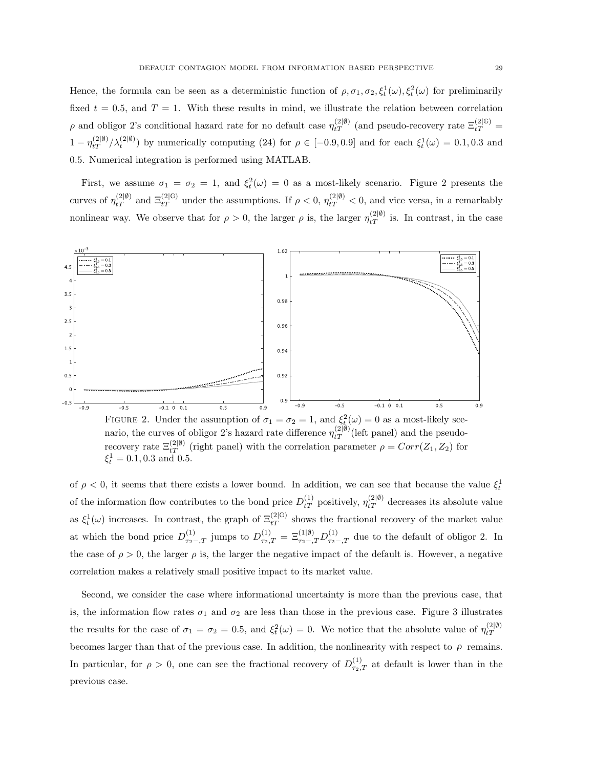Hence, the formula can be seen as a deterministic function of  $\rho, \sigma_1, \sigma_2, \xi_t^1(\omega), \xi_t^2(\omega)$  for preliminarily fixed  $t = 0.5$ , and  $T = 1$ . With these results in mind, we illustrate the relation between correlation *ρ* and obligor 2's conditional hazard rate for no default case  $\eta_{tT}^{(2|\emptyset)}$  (and pseudo-recovery rate  $\Xi_{tT}^{(2|\emptyset)}$  =  $1 - \eta_{tT}^{(2|\emptyset)} / \lambda_t^{(2|\emptyset)}$  by numerically computing (24) for  $\rho \in [-0.9, 0.9]$  and for each  $\xi_t^1(\omega) = 0.1, 0.3$  and 0*.*5. Numerical integration is performed using MATLAB.

First, we assume  $\sigma_1 = \sigma_2 = 1$ , and  $\xi_t^2(\omega) = 0$  as a most-likely scenario. Figure 2 presents the curves of  $\eta_{tT}^{(2|\emptyset)}$  and  $\Xi_{tT}^{(2|\emptyset)}$  under the assumptions. If  $\rho < 0$ ,  $\eta_{tT}^{(2|\emptyset)} < 0$ , and vice versa, in a remarkably nonlinear way. We observe that for  $\rho > 0$ , the larger  $\rho$  is, the larger  $\eta_{tT}^{(2|\theta)}$  is. In contrast, in the case



FIGURE 2. Under the assumption of  $\sigma_1 = \sigma_2 = 1$ , and  $\xi_t^2(\omega) = 0$  as a most-likely scenario, the curves of obligor 2's hazard rate difference  $\eta_{tT}^{(2|\emptyset)}$  (left panel) and the pseudorecovery rate  $\Xi_{tT}^{(2|\emptyset)}$  (right panel) with the correlation parameter  $\rho = Corr(Z_1, Z_2)$  for  $\xi_t^1 = 0.1, 0.3$  and 0.5.

of  $\rho < 0$ , it seems that there exists a lower bound. In addition, we can see that because the value  $\xi_t^1$ of the information flow contributes to the bond price  $D_{tT}^{(1)}$  positively,  $\eta_{tT}^{(2|\emptyset)}$  decreases its absolute value as  $\xi_t^1(\omega)$  increases. In contrast, the graph of  $\Xi_{tT}^{(2|6)}$  shows the fractional recovery of the market value at which the bond price  $D_{\tau_2,\tau}^{(1)}$  jumps to  $D_{\tau_2,\tau}^{(1)} = \Xi_{\tau_2-\tau}^{(1|\emptyset)} D_{\tau_2-\tau}^{(1)}$  due to the default of obligor 2. In the case of  $\rho > 0$ , the larger  $\rho$  is, the larger the negative impact of the default is. However, a negative correlation makes a relatively small positive impact to its market value.

Second, we consider the case where informational uncertainty is more than the previous case, that is, the information flow rates  $\sigma_1$  and  $\sigma_2$  are less than those in the previous case. Figure 3 illustrates the results for the case of  $\sigma_1 = \sigma_2 = 0.5$ , and  $\xi_t^2(\omega) = 0$ . We notice that the absolute value of  $\eta_{tT}^{(2|\emptyset)}$ becomes larger than that of the previous case. In addition, the nonlinearity with respect to  $\rho$  remains. In particular, for  $\rho > 0$ , one can see the fractional recovery of  $D_{\tau_2,T}^{(1)}$  at default is lower than in the previous case.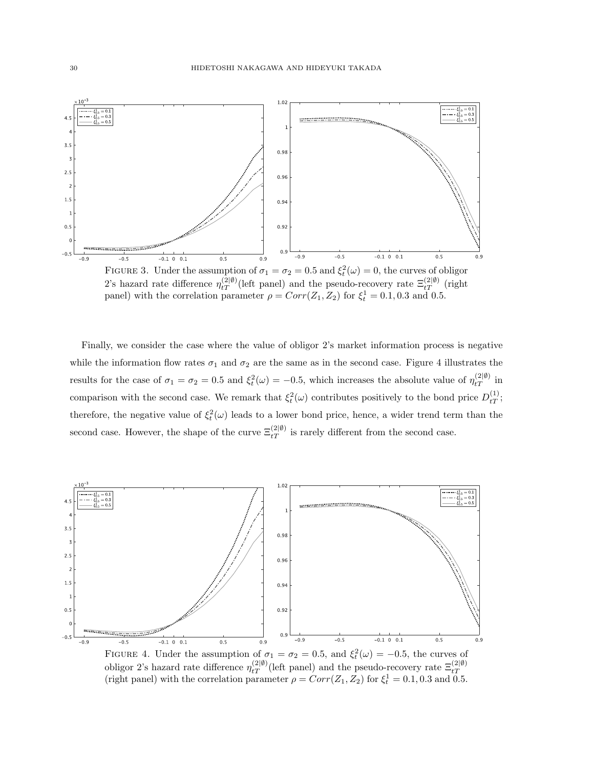

FIGURE 3. Under the assumption of  $\sigma_1 = \sigma_2 = 0.5$  and  $\xi_t^2(\omega) = 0$ , the curves of obligor 2's hazard rate difference  $\eta_{tT}^{(2|\emptyset)}$  (left panel) and the pseudo-recovery rate  $\Xi_{tT}^{(2|\emptyset)}$  (right panel) with the correlation parameter  $\rho = Corr(Z_1, Z_2)$  for  $\xi_t^1 = 0.1, 0.3$  and 0.5.

Finally, we consider the case where the value of obligor 2's market information process is negative while the information flow rates  $\sigma_1$  and  $\sigma_2$  are the same as in the second case. Figure 4 illustrates the results for the case of  $\sigma_1 = \sigma_2 = 0.5$  and  $\xi_t^2(\omega) = -0.5$ , which increases the absolute value of  $\eta_{tT}^{(2|\theta)}$  in comparison with the second case. We remark that  $\xi_t^2(\omega)$  contributes positively to the bond price  $D_{tT}^{(1)}$ ; therefore, the negative value of  $\xi_t^2(\omega)$  leads to a lower bond price, hence, a wider trend term than the second case. However, the shape of the curve  $\Xi_{tT}^{(2|\emptyset)}$  is rarely different from the second case.



FIGURE 4. Under the assumption of  $\sigma_1 = \sigma_2 = 0.5$ , and  $\xi_t^2(\omega) = -0.5$ , the curves of obligor 2's hazard rate difference  $\eta_{tT}^{(2|\emptyset)}$  (left panel) and the pseudo-recovery rate  $\Xi_{tT}^{(2|\emptyset)}$  (right panel) with the correlation parameter  $\rho = Corr(Z_1, Z_2)$  for  $\xi_t^1 = 0.1, 0.3$  and 0.5.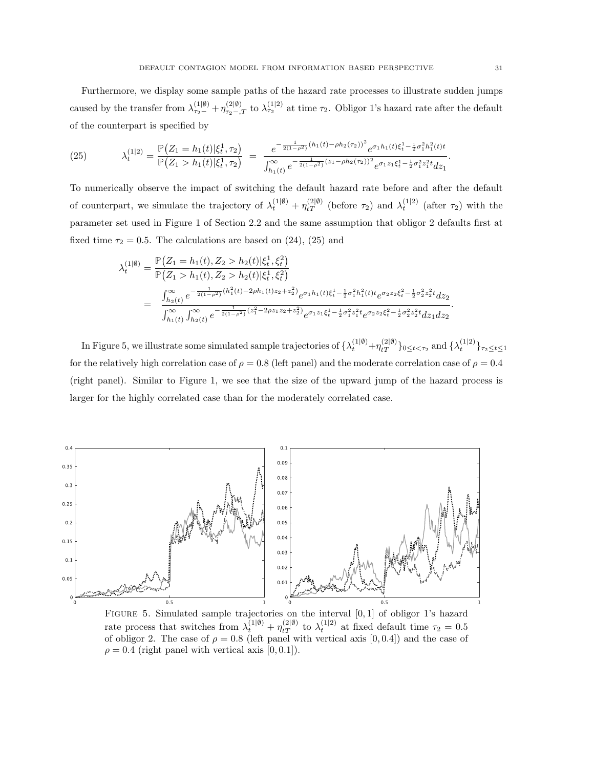Furthermore, we display some sample paths of the hazard rate processes to illustrate sudden jumps caused by the transfer from  $\lambda_{\tau_2-}^{(1|\emptyset)} + \eta_{\tau_2-}^{(2|\emptyset)}$  to  $\lambda_{\tau_2}^{(1|2)}$  at time  $\tau_2$ . Obligor 1's hazard rate after the default of the counterpart is specified by

(25) 
$$
\lambda_t^{(1|2)} = \frac{\mathbb{P}\left(Z_1 = h_1(t)|\xi_t^1, \tau_2\right)}{\mathbb{P}\left(Z_1 > h_1(t)|\xi_t^1, \tau_2\right)} = \frac{e^{-\frac{1}{2(1-\rho^2)}\left(h_1(t) - \rho h_2(\tau_2)\right)^2} e^{\sigma_1 h_1(t)\xi_t^1 - \frac{1}{2}\sigma_1^2 h_1^2(t)t}}{\int_{h_1(t)}^{\infty} e^{-\frac{1}{2(1-\rho^2)}\left(z_1 - \rho h_2(\tau_2)\right)^2} e^{\sigma_1 z_1 \xi_t^1 - \frac{1}{2}\sigma_1^2 z_1^2 t} dz_1}.
$$

To numerically observe the impact of switching the default hazard rate before and after the default of counterpart, we simulate the trajectory of  $\lambda_t^{(1|\emptyset)} + \eta_{tT}^{(2|\emptyset)}$  (before  $\tau_2$ ) and  $\lambda_t^{(1|2)}$  (after  $\tau_2$ ) with the parameter set used in Figure 1 of Section 2.2 and the same assumption that obligor 2 defaults first at fixed time  $\tau_2 = 0.5$ . The calculations are based on (24), (25) and

$$
\lambda_t^{(1|\emptyset)} = \frac{\mathbb{P}\left(Z_1 = h_1(t), Z_2 > h_2(t) | \xi_t^1, \xi_t^2\right)}{\mathbb{P}\left(Z_1 > h_1(t), Z_2 > h_2(t) | \xi_t^1, \xi_t^2\right)} \\
= \frac{\int_{h_2(t)}^{\infty} e^{-\frac{1}{2(1-\rho^2)}(h_1^2(t) - 2\rho h_1(t) z_2 + z_2^2)} e^{\sigma_1 h_1(t) \xi_t^1 - \frac{1}{2}\sigma_1^2 h_1^2(t) t} e^{\sigma_2 z_2 \xi_t^2 - \frac{1}{2}\sigma_2^2 z_2^2 t} dz_2}{\int_{h_1(t)}^{\infty} \int_{h_2(t)}^{\infty} e^{-\frac{1}{2(1-\rho^2)}(z_1^2 - 2\rho z_1 z_2 + z_2^2)} e^{\sigma_1 z_1 \xi_t^1 - \frac{1}{2}\sigma_1^2 z_1^2 t} e^{\sigma_2 z_2 \xi_t^2 - \frac{1}{2}\sigma_2^2 z_2^2 t} dz_1 dz_2}.
$$

In Figure 5, we illustrate some simulated sample trajectories of  $\{\lambda_t^{(1|\emptyset)} + \eta_{tT}^{(2|\emptyset)}\}_{0 \leq t < \tau_2}$  and  $\{\lambda_t^{(1|2)}\}_{\tau_2 \leq t \leq 1}$ for the relatively high correlation case of  $\rho = 0.8$  (left panel) and the moderate correlation case of  $\rho = 0.4$ (right panel). Similar to Figure 1, we see that the size of the upward jump of the hazard process is larger for the highly correlated case than for the moderately correlated case.



Figure 5. Simulated sample trajectories on the interval [0*,* 1] of obligor 1's hazard rate process that switches from  $\lambda_t^{(1|\emptyset)} + \eta_{tT}^{(2|\emptyset)}$  to  $\lambda_t^{(1|2)}$  at fixed default time  $\tau_2 = 0.5$ of obligor 2. The case of  $\rho = 0.8$  (left panel with vertical axis [0,0.4]) and the case of  $\rho = 0.4$  (right panel with vertical axis [0, 0*.*1]).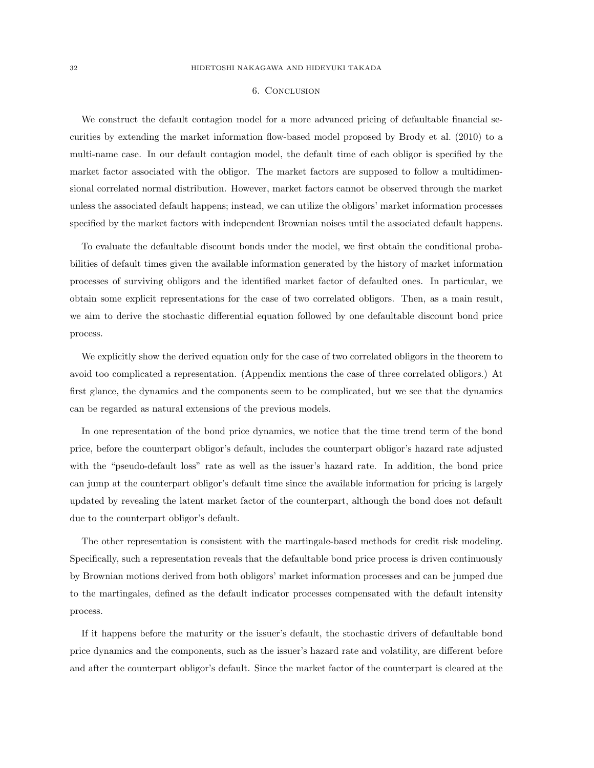#### 6. Conclusion

We construct the default contagion model for a more advanced pricing of defaultable financial securities by extending the market information flow-based model proposed by Brody et al. (2010) to a multi-name case. In our default contagion model, the default time of each obligor is specified by the market factor associated with the obligor. The market factors are supposed to follow a multidimensional correlated normal distribution. However, market factors cannot be observed through the market unless the associated default happens; instead, we can utilize the obligors' market information processes specified by the market factors with independent Brownian noises until the associated default happens.

To evaluate the defaultable discount bonds under the model, we first obtain the conditional probabilities of default times given the available information generated by the history of market information processes of surviving obligors and the identified market factor of defaulted ones. In particular, we obtain some explicit representations for the case of two correlated obligors. Then, as a main result, we aim to derive the stochastic differential equation followed by one defaultable discount bond price process.

We explicitly show the derived equation only for the case of two correlated obligors in the theorem to avoid too complicated a representation. (Appendix mentions the case of three correlated obligors.) At first glance, the dynamics and the components seem to be complicated, but we see that the dynamics can be regarded as natural extensions of the previous models.

In one representation of the bond price dynamics, we notice that the time trend term of the bond price, before the counterpart obligor's default, includes the counterpart obligor's hazard rate adjusted with the "pseudo-default loss" rate as well as the issuer's hazard rate. In addition, the bond price can jump at the counterpart obligor's default time since the available information for pricing is largely updated by revealing the latent market factor of the counterpart, although the bond does not default due to the counterpart obligor's default.

The other representation is consistent with the martingale-based methods for credit risk modeling. Specifically, such a representation reveals that the defaultable bond price process is driven continuously by Brownian motions derived from both obligors' market information processes and can be jumped due to the martingales, defined as the default indicator processes compensated with the default intensity process.

If it happens before the maturity or the issuer's default, the stochastic drivers of defaultable bond price dynamics and the components, such as the issuer's hazard rate and volatility, are different before and after the counterpart obligor's default. Since the market factor of the counterpart is cleared at the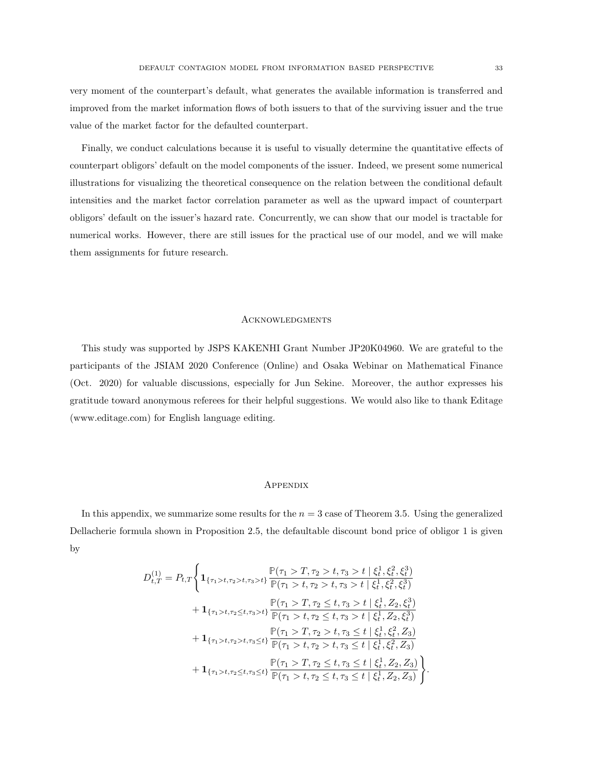very moment of the counterpart's default, what generates the available information is transferred and improved from the market information flows of both issuers to that of the surviving issuer and the true value of the market factor for the defaulted counterpart.

Finally, we conduct calculations because it is useful to visually determine the quantitative effects of counterpart obligors' default on the model components of the issuer. Indeed, we present some numerical illustrations for visualizing the theoretical consequence on the relation between the conditional default intensities and the market factor correlation parameter as well as the upward impact of counterpart obligors' default on the issuer's hazard rate. Concurrently, we can show that our model is tractable for numerical works. However, there are still issues for the practical use of our model, and we will make them assignments for future research.

#### **ACKNOWLEDGMENTS**

This study was supported by JSPS KAKENHI Grant Number JP20K04960. We are grateful to the participants of the JSIAM 2020 Conference (Online) and Osaka Webinar on Mathematical Finance (Oct. 2020) for valuable discussions, especially for Jun Sekine. Moreover, the author expresses his gratitude toward anonymous referees for their helpful suggestions. We would also like to thank Editage (www.editage.com) for English language editing.

### **APPENDIX**

In this appendix, we summarize some results for the  $n = 3$  case of Theorem 3.5. Using the generalized Dellacherie formula shown in Proposition 2.5, the defaultable discount bond price of obligor 1 is given by

$$
D_{t,T}^{(1)} = P_{t,T} \Biggl\{ \mathbf{1}_{\{\tau_1 > t, \tau_2 > t, \tau_3 > t\}} \frac{\mathbb{P}(\tau_1 > T, \tau_2 > t, \tau_3 > t \mid \xi_t^1, \xi_t^2, \xi_t^3)}{\mathbb{P}(\tau_1 > t, \tau_2 > t, \tau_3 > t \mid \xi_t^1, \xi_t^2, \xi_t^3)} + \mathbf{1}_{\{\tau_1 > t, \tau_2 \le t, \tau_3 > t\}} \frac{\mathbb{P}(\tau_1 > T, \tau_2 \le t, \tau_3 > t \mid \xi_t^1, Z_2, \xi_t^3)}{\mathbb{P}(\tau_1 > t, \tau_2 \le t, \tau_3 > t \mid \xi_t^1, Z_2, \xi_t^3)} + \mathbf{1}_{\{\tau_1 > t, \tau_2 > t, \tau_3 \le t\}} \frac{\mathbb{P}(\tau_1 > T, \tau_2 > t, \tau_3 \le t \mid \xi_t^1, \xi_t^2, Z_3)}{\mathbb{P}(\tau_1 > t, \tau_2 > t, \tau_3 \le t \mid \xi_t^1, \xi_t^2, Z_3)} + \mathbf{1}_{\{\tau_1 > t, \tau_2 \le t, \tau_3 \le t\}} \frac{\mathbb{P}(\tau_1 > T, \tau_2 \le t, \tau_3 \le t \mid \xi_t^1, Z_2, Z_3)}{\mathbb{P}(\tau_1 > t, \tau_2 \le t, \tau_3 \le t \mid \xi_t^1, Z_2, Z_3)} \Biggr\}.
$$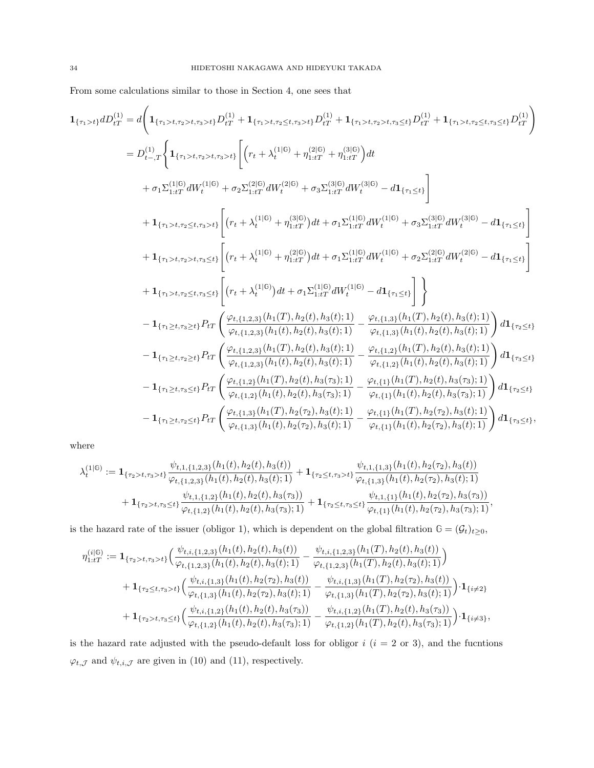From some calculations similar to those in Section 4, one sees that

$$
\begin{split} \mathbf{1}_{\{\tau_{1} > t\}} dD_{tT}^{(1)} &= d\Bigg(\mathbf{1}_{\{\tau_{1} > t, \tau_{2} > t, \tau_{3} > t\}} D_{tT}^{(1)} + \mathbf{1}_{\{\tau_{1} > t, \tau_{2} \leq t, \tau_{3} \leq t\}} D_{tT}^{(1)} + \mathbf{1}_{\{\tau_{1} > t, \tau_{2} \leq t, \tau_{3} \leq t\}} D_{tT}^{(1)}\Big) \\ &= D_{t-,\mathcal{T}}^{(1)} \Bigg\{ \mathbf{1}_{\{\tau_{1} > t, \tau_{2} > t, \tau_{3} > t\}} \Bigg[ \bigg( r_{t} + \lambda_{t}^{(1|0)} + \eta_{1:tT}^{(2|0)} + \eta_{1:tT}^{(3|0)} \bigg) dt \\ &+ \sigma_{1} \Sigma_{1:tT}^{(1|0)} dW_{t}^{(1|0)} + \sigma_{2} \Sigma_{1:tT}^{(2|0)} dW_{t}^{(2|0)} + \sigma_{3} \Sigma_{1:tT}^{(3|0)} dW_{t}^{(3|0)} - d\mathbf{1}_{\{\tau_{1} \leq t\}} \Bigg] \\ &+ \mathbf{1}_{\{\tau_{1} > t, \tau_{2} \leq t, \tau_{3} > t\}} \Bigg[ \bigg( r_{t} + \lambda_{t}^{(1|0)} + \eta_{1:tT}^{(3|0)} \bigg) dt + \sigma_{1} \Sigma_{1:tT}^{(1|0)} dW_{t}^{(1|0)} + \sigma_{3} \Sigma_{1:tT}^{(3|0)} dW_{t}^{(3|0)} - d\mathbf{1}_{\{\tau_{1} \leq t\}} \Bigg] \\ &+ \mathbf{1}_{\{\tau_{1} > t, \tau_{2} > t, \tau_{3} \leq t\}} \Bigg[ \bigg( r_{t} + \lambda_{t}^{(1|0)} + \eta_{1:tT}^{(2|0)} \bigg) dt + \sigma_{1} \Sigma_{1:tT}^{(1|0)} dW_{t}^{(1|0)} + \sigma_{2} \Sigma_{1:tT}^{(2|0)} dW_{t}^{(2|0)} - d\mathbf{1}_{\{\tau_{1} \leq t\}} \Bigg] \\ &+ \mathbf{1}_{\{\tau_{1} > t, \tau_{2} > t, \tau_{3} \leq t
$$

where

$$
\lambda^{(1|\mathbb{G})}_t:=\mathbf{1}_{\{\tau_2>t,\tau_3>t\}}\frac{\psi_{t,1,\{1,2,3\}}(h_1(t),h_2(t),h_3(t))}{\varphi_{t,\{1,2,3\}}(h_1(t),h_2(t),h_3(t);1)}+\mathbf{1}_{\{\tau_2\leq t,\tau_3>t\}}\frac{\psi_{t,1,\{1,3\}}(h_1(t),h_2(\tau_2),h_3(t))}{\varphi_{t,\{1,3\}}(h_1(t),h_2(\tau_2),h_3(t);1)}\\+\mathbf{1}_{\{\tau_2>t,\tau_3\leq t\}}\frac{\psi_{t,1,\{1,2\}}(h_1(t),h_2(t),h_3(\tau_3))}{\varphi_{t,\{1,1\}}(h_1(t),h_2(\tau_3),h_3(\tau_3))}+\mathbf{1}_{\{\tau_2\leq t,\tau_3\leq t\}}\frac{\psi_{t,1,\{1\}}(h_1(t),h_2(\tau_2),h_3(\tau_3))}{\varphi_{t,\{1\}}(h_1(t),h_2(\tau_2),h_3(\tau_3);1)},
$$

is the hazard rate of the issuer (obligor 1), which is dependent on the global filtration  $\mathbb{G} = (\mathcal{G}_t)_{t \geq 0}$ ,

$$
\eta_{1:tT}^{(i|0)} := \mathbf{1}_{\{\tau_2 > t, \tau_3 > t\}} \Big( \frac{\psi_{t,i,\{1,2,3\}}(h_1(t), h_2(t), h_3(t))}{\varphi_{t,\{1,2,3\}}(h_1(t), h_2(t), h_3(t); 1)} - \frac{\psi_{t,i,\{1,2,3\}}(h_1(T), h_2(t), h_3(t))}{\varphi_{t,\{1,2,3\}}(h_1(T), h_2(t), h_3(t); 1)} \Big)
$$
\n
$$
+ \mathbf{1}_{\{\tau_2 \le t, \tau_3 > t\}} \Big( \frac{\psi_{t,i,\{1,3\}}(h_1(t), h_2(\tau_2), h_3(t))}{\varphi_{t,\{1,3\}}(h_1(t), h_2(\tau_2), h_3(t); 1)} - \frac{\psi_{t,i,\{1,3\}}(h_1(T), h_2(\tau_2), h_3(t))}{\varphi_{t,\{1,3\}}(h_1(T), h_2(\tau_2), h_3(t); 1)} \Big) \cdot \mathbf{1}_{\{i \ne 2\}}
$$
\n
$$
+ \mathbf{1}_{\{\tau_2 > t, \tau_3 \le t\}} \Big( \frac{\psi_{t,i,\{1,2\}}(h_1(t), h_2(t), h_3(\tau_3))}{\varphi_{t,\{1,2\}}(h_1(t), h_2(t), h_3(\tau_3); 1)} - \frac{\psi_{t,i,\{1,2\}}(h_1(T), h_2(t), h_3(\tau_3))}{\varphi_{t,\{1,2\}}(h_1(T), h_2(t), h_3(\tau_3); 1)} \Big) \cdot \mathbf{1}_{\{i \ne 3\}},
$$

is the hazard rate adjusted with the pseudo-default loss for obligor *i* (*i* = 2 or 3), and the fucntions  $\varphi_{t,\mathcal{J}}$  and  $\psi_{t,i,\mathcal{J}}$  are given in (10) and (11), respectively.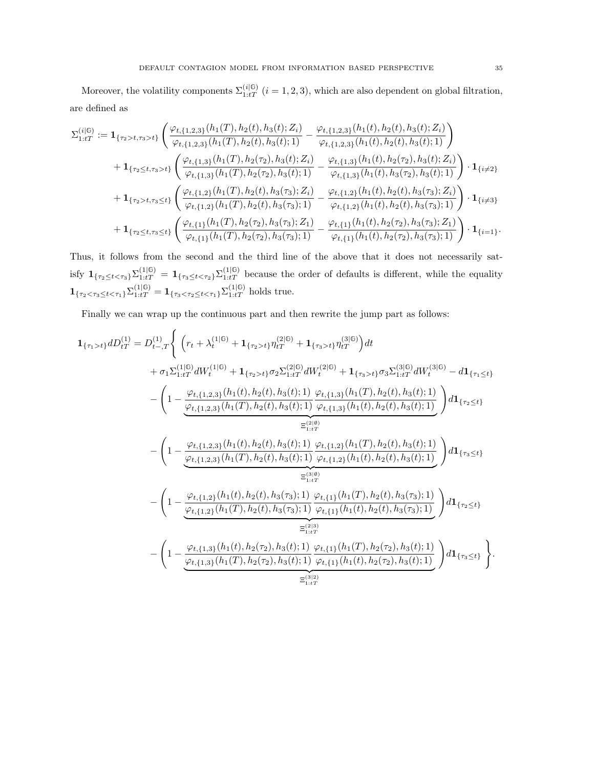Moreover, the volatility components  $\Sigma_{1:tT}^{(i|G)}$   $(i = 1, 2, 3)$ , which are also dependent on global filtration, are defined as

$$
\Sigma_{1:tT}^{(i|0)} := \mathbf{1}_{\{\tau_2 > t, \tau_3 > t\}} \left( \frac{\varphi_{t,\{1,2,3\}}(h_1(T), h_2(t), h_3(t); Z_i)}{\varphi_{t,\{1,2,3\}}(h_1(T), h_2(t), h_3(t); 1)} - \frac{\varphi_{t,\{1,2,3\}}(h_1(t), h_2(t), h_3(t); Z_i)}{\varphi_{t,\{1,2,3\}}(h_1(t), h_2(t), h_3(t); 1)} \right) \n+ \mathbf{1}_{\{\tau_2 \le t, \tau_3 > t\}} \left( \frac{\varphi_{t,\{1,3\}}(h_1(T), h_2(\tau_2), h_3(t); Z_i)}{\varphi_{t,\{1,3\}}(h_1(T), h_2(\tau_2), h_3(t); 1)} - \frac{\varphi_{t,\{1,3\}}(h_1(t), h_2(\tau_2), h_3(t); Z_i)}{\varphi_{t,\{1,3\}}(h_1(t), h_3(\tau_2), h_3(t); 1)} \right) \cdot \mathbf{1}_{\{i \neq 2\}} \n+ \mathbf{1}_{\{\tau_2 > t, \tau_3 \le t\}} \left( \frac{\varphi_{t,\{1,2\}}(h_1(T), h_2(t), h_3(\tau_3); Z_i)}{\varphi_{t,\{1,2\}}(h_1(T), h_2(t), h_3(\tau_3); 1)} - \frac{\varphi_{t,\{1,2\}}(h_1(t), h_2(t), h_3(\tau_3); Z_i)}{\varphi_{t,\{1,2\}}(h_1(t), h_2(t), h_3(\tau_3); 1)} \right) \cdot \mathbf{1}_{\{i \neq 3\}} \n+ \mathbf{1}_{\{\tau_2 \le t, \tau_3 \le t\}} \left( \frac{\varphi_{t,\{1\}}(h_1(T), h_2(\tau_2), h_3(\tau_3); Z_1)}{\varphi_{t,\{1\}}(h_1(T), h_2(\tau_2), h_3(\tau_3); 1)} - \frac{\varphi_{t,\{1,2\}}(h_1(t), h_2(t), h_3(\tau_3); Z_1)}{\varphi_{t,\{1\}}(h_1(t), h_2(\tau_2), h_3(\tau_3); 1)} \right) \cdot \mathbf{1}_{\{i = 1
$$

Thus, it follows from the second and the third line of the above that it does not necessarily satisfy  $\mathbf{1}_{\{\tau_2 \leq t < \tau_3\}} \Sigma_{1:tT}^{(1|0)} = \mathbf{1}_{\{\tau_3 \leq t < \tau_2\}} \Sigma_{1:tT}^{(1|0)}$  because the order of defaults is different, while the equality  $\mathbf{1}_{\{\tau_2 < \tau_3 \leq t < \tau_1\}} \sum_{1:t}^{(1|\mathbb{G})} = \mathbf{1}_{\{\tau_3 < \tau_2 \leq t < \tau_1\}} \sum_{1:t}^{(1|\mathbb{G})}$  holds true.

Finally we can wrap up the continuous part and then rewrite the jump part as follows:

$$
1_{\{\tau_{1}>t\}}dD_{tT}^{(1)} = D_{t-,T}^{(1)} \Biggl\{ \left( r_{t} + \lambda_{t}^{(1|6)} + 1_{\{\tau_{2}>t\}} \eta_{tT}^{(2|6)} + 1_{\{\tau_{3}>t\}} \eta_{tT}^{(3|6)} \right) dt + \sigma_{1} \Sigma_{1:tT}^{(1|6)} dW_{t}^{(1|6)} + 1_{\{\tau_{2}>t\}} \sigma_{2} \Sigma_{1:tT}^{(2|6)} dW_{t}^{(2|6)} + 1_{\{\tau_{3}>t\}} \sigma_{3} \Sigma_{1:tT}^{(3|6)} dW_{t}^{(3|6)} - d\mathbf{1}_{\{\tau_{1}\leq t\}} - \left( 1 - \frac{\varphi_{t,\{1,2,3\}}(h_{1}(t), h_{2}(t), h_{3}(t);1)}{\varphi_{t,\{1,3\}}(h_{1}(T), h_{2}(t), h_{3}(t);1)} \frac{\varphi_{t,\{1,3\}}(h_{1}(T), h_{2}(t), h_{3}(t);1)}{\varphi_{t,\{1,3\}}(h_{1}(t), h_{2}(t), h_{3}(t);1)} \right) d\mathbf{1}_{\{\tau_{2}\leq t\}} - \left( 1 - \frac{\varphi_{t,\{1,2,3\}}(h_{1}(t), h_{2}(t), h_{3}(t);1)}{\varphi_{t,\{1,3\}}(h_{1}(T), h_{2}(t), h_{3}(t);1)} \frac{\varphi_{t,\{1,2\}}(h_{1}(T), h_{2}(t), h_{3}(t);1)}{\varphi_{t,\{1,2\}}(h_{1}(t), h_{2}(t), h_{3}(t);1)} \right) d\mathbf{1}_{\{\tau_{3}\leq t\}} - \left( 1 - \frac{\varphi_{t,\{1,2,3\}}(h_{1}(t), h_{2}(t), h_{3}(\tau_{3});1)}{\varphi_{t,\{1,2\}}(h_{1}(T), h_{2}(t), h_{3}(\tau_{3});1)} \right) d\mathbf{1}_{\{\tau_{2}\leq t\}} - \left( 1 - \frac{\varphi_{t,\{1,2\}}(h_{1}(t), h_{2}(t), h_{3}(\tau_{3});1)}{\varphi_{t,\{1\}}(h_{1}(T), h_{2}(t), h
$$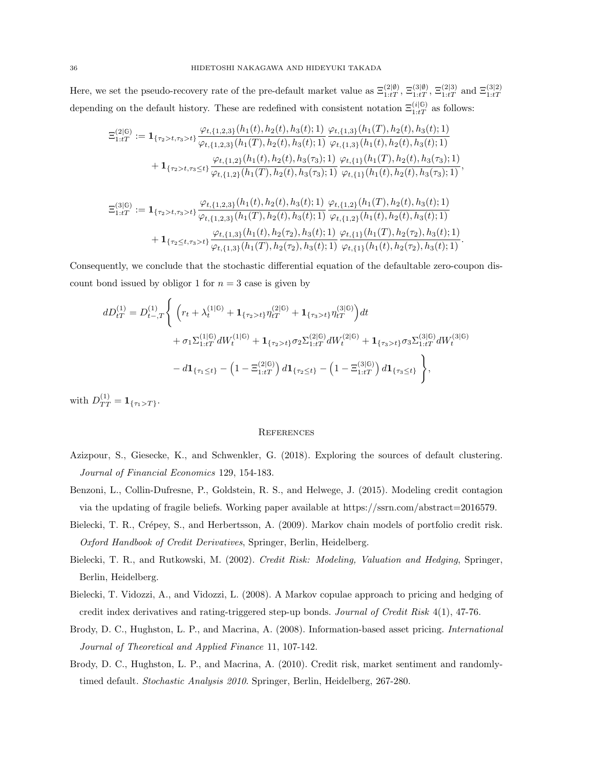Here, we set the pseudo-recovery rate of the pre-default market value as  $\Xi_{1:tT}^{(2|\emptyset)}, \Xi_{1:tT}^{(3|\emptyset)}, \Xi_{1:tT}^{(2|3)}$  and  $\Xi_{1:tT}^{(3|2)}$ depending on the default history. These are redefined with consistent notation  $\Xi_{1:tT}^{(i|0)}$  as follows:

$$
\begin{split} \Xi_{1:tT}^{(2|6)} &:= \mathbf{1}_{\{\tau_2 > t, \tau_3 > t\}} \frac{\varphi_{t,\{1,2,3\}}(h_1(t), h_2(t), h_3(t); 1)}{\varphi_{t,\{1,2,3\}}(h_1(T), h_2(t), h_3(t); 1)} \frac{\varphi_{t,\{1,3\}}(h_1(T), h_2(t), h_3(t); 1)}{\varphi_{t,\{1,3\}}(h_1(t), h_2(t), h_3(t); 1)} \\ &+ \mathbf{1}_{\{\tau_2 > t, \tau_3 \le t\}} \frac{\varphi_{t,\{1,2\}}(h_1(t), h_2(t), h_3(\tau_3); 1)}{\varphi_{t,\{1,2\}}(h_1(T), h_2(t), h_3(\tau_3); 1)} \frac{\varphi_{t,\{1\}}(h_1(T), h_2(t), h_3(\tau_3); 1)}{\varphi_{t,\{1\}}(h_1(t), h_2(t), h_3(\tau_3); 1)}, \end{split}
$$

$$
\Xi_{1:tT}^{(3|6)} := \mathbf{1}_{\{\tau_2 > t, \tau_3 > t\}} \frac{\varphi_{t,\{1,2,3\}}(h_1(t), h_2(t), h_3(t); 1)}{\varphi_{t,\{1,2,3\}}(h_1(T), h_2(t), h_3(t); 1)} \frac{\varphi_{t,\{1,2\}}(h_1(T), h_2(t), h_3(t); 1)}{\varphi_{t,\{1,2\}}(h_1(t), h_2(t), h_3(t); 1)} \n+ \mathbf{1}_{\{\tau_2 \le t, \tau_3 > t\}} \frac{\varphi_{t,\{1,3\}}(h_1(t), h_2(\tau_2), h_3(t); 1)}{\varphi_{t,\{1,3\}}(h_1(T), h_2(\tau_2), h_3(t); 1)} \frac{\varphi_{t,\{1\}}(h_1(T), h_2(\tau_2), h_3(t); 1)}{\varphi_{t,\{1\}}(h_1(t), h_2(\tau_2), h_3(t); 1)}.
$$

Consequently, we conclude that the stochastic differential equation of the defaultable zero-coupon discount bond issued by obligor 1 for  $n = 3$  case is given by

$$
dD_{tT}^{(1)} = D_{t-,T}^{(1)} \left\{ \left( r_t + \lambda_t^{(1|\mathbb{G})} + \mathbf{1}_{\{\tau_2 > t\}} \eta_{tT}^{(2|\mathbb{G})} + \mathbf{1}_{\{\tau_3 > t\}} \eta_{tT}^{(3|\mathbb{G})} \right) dt + \sigma_1 \Sigma_{1:tT}^{(1|\mathbb{G})} dW_t^{(1|\mathbb{G})} + \mathbf{1}_{\{\tau_2 > t\}} \sigma_2 \Sigma_{1:tT}^{(2|\mathbb{G})} dW_t^{(2|\mathbb{G})} + \mathbf{1}_{\{\tau_3 > t\}} \sigma_3 \Sigma_{1:tT}^{(3|\mathbb{G})} dW_t^{(3|\mathbb{G})} - d\mathbf{1}_{\{\tau_1 \le t\}} - \left( 1 - \Xi_{1:tT}^{(2|\mathbb{G})} \right) d\mathbf{1}_{\{\tau_2 \le t\}} - \left( 1 - \Xi_{1:tT}^{(3|\mathbb{G})} \right) d\mathbf{1}_{\{\tau_3 \le t\}} \right\},
$$

 $\text{with } D_{TT}^{(1)} = \mathbf{1}_{\{\tau_1 > T\}}.$ 

#### **REFERENCES**

- Azizpour, S., Giesecke, K., and Schwenkler, G. (2018). Exploring the sources of default clustering. *Journal of Financial Economics* 129, 154-183.
- Benzoni, L., Collin-Dufresne, P., Goldstein, R. S., and Helwege, J. (2015). Modeling credit contagion via the updating of fragile beliefs. Working paper available at https://ssrn.com/abstract=2016579.
- Bielecki, T. R., Crépey, S., and Herbertsson, A. (2009). Markov chain models of portfolio credit risk. *Oxford Handbook of Credit Derivatives*, Springer, Berlin, Heidelberg.
- Bielecki, T. R., and Rutkowski, M. (2002). *Credit Risk: Modeling, Valuation and Hedging*, Springer, Berlin, Heidelberg.
- Bielecki, T. Vidozzi, A., and Vidozzi, L. (2008). A Markov copulae approach to pricing and hedging of credit index derivatives and rating-triggered step-up bonds. *Journal of Credit Risk* 4(1), 47-76.
- Brody, D. C., Hughston, L. P., and Macrina, A. (2008). Information-based asset pricing. *International Journal of Theoretical and Applied Finance* 11, 107-142.
- Brody, D. C., Hughston, L. P., and Macrina, A. (2010). Credit risk, market sentiment and randomlytimed default. *Stochastic Analysis 2010*. Springer, Berlin, Heidelberg, 267-280.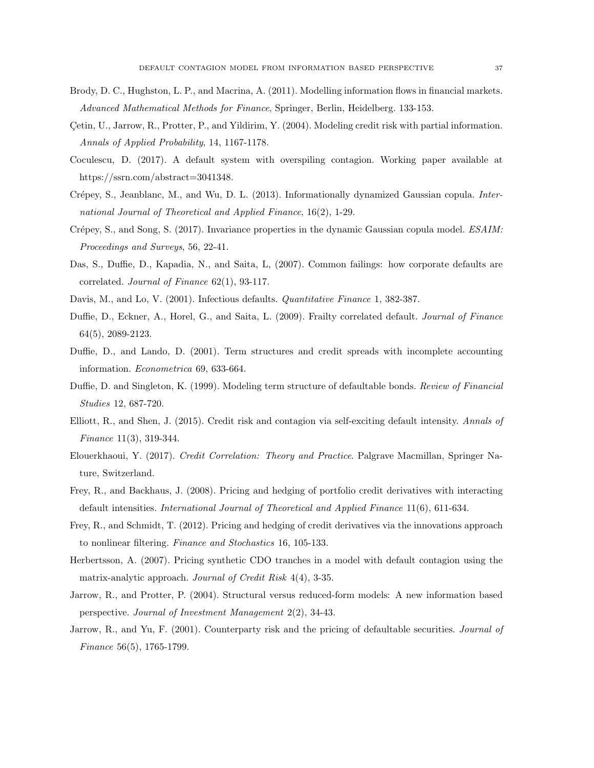- Brody, D. C., Hughston, L. P., and Macrina, A. (2011). Modelling information flows in financial markets. *Advanced Mathematical Methods for Finance*, Springer, Berlin, Heidelberg. 133-153.
- Çetin, U., Jarrow, R., Protter, P., and Yildirim, Y. (2004). Modeling credit risk with partial information. *Annals of Applied Probability*, 14, 1167-1178.
- Coculescu, D. (2017). A default system with overspiling contagion. Working paper available at https://ssrn.com/abstract=3041348.
- Crépey, S., Jeanblanc, M., and Wu, D. L. (2013). Informationally dynamized Gaussian copula. *International Journal of Theoretical and Applied Finance*, 16(2), 1-29.
- Crépey, S., and Song, S. (2017). Invariance properties in the dynamic Gaussian copula model. *ESAIM*: *Proceedings and Surveys*, 56, 22-41.
- Das, S., Duffie, D., Kapadia, N., and Saita, L, (2007). Common failings: how corporate defaults are correlated. *Journal of Finance* 62(1), 93-117.
- Davis, M., and Lo, V. (2001). Infectious defaults. *Quantitative Finance* 1, 382-387.
- Duffie, D., Eckner, A., Horel, G., and Saita, L. (2009). Frailty correlated default. *Journal of Finance* 64(5), 2089-2123.
- Duffie, D., and Lando, D. (2001). Term structures and credit spreads with incomplete accounting information. *Econometrica* 69, 633-664.
- Duffie, D. and Singleton, K. (1999). Modeling term structure of defaultable bonds. *Review of Financial Studies* 12, 687-720.
- Elliott, R., and Shen, J. (2015). Credit risk and contagion via self-exciting default intensity. *Annals of Finance* 11(3), 319-344.
- Elouerkhaoui, Y. (2017). *Credit Correlation: Theory and Practice*. Palgrave Macmillan, Springer Nature, Switzerland.
- Frey, R., and Backhaus, J. (2008). Pricing and hedging of portfolio credit derivatives with interacting default intensities. *International Journal of Theoretical and Applied Finance* 11(6), 611-634.
- Frey, R., and Schmidt, T. (2012). Pricing and hedging of credit derivatives via the innovations approach to nonlinear filtering. *Finance and Stochastics* 16, 105-133.
- Herbertsson, A. (2007). Pricing synthetic CDO tranches in a model with default contagion using the matrix-analytic approach. *Journal of Credit Risk* 4(4), 3-35.
- Jarrow, R., and Protter, P. (2004). Structural versus reduced-form models: A new information based perspective. *Journal of Investment Management* 2(2), 34-43.
- Jarrow, R., and Yu, F. (2001). Counterparty risk and the pricing of defaultable securities. *Journal of Finance* 56(5), 1765-1799.